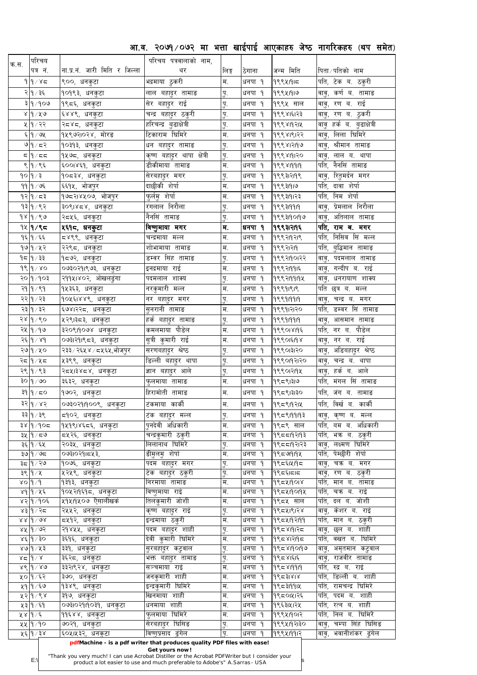आ.व. २०७१/०७२ मा भत्ता खाईपाई आएकाहरु जेष्ठ नागरिकहरु (थप समेत)

| क.स. | परिचय                          |                               | परिचय पत्रवालाको नाम,            |                          |                  |                         |                                              |
|------|--------------------------------|-------------------------------|----------------------------------|--------------------------|------------------|-------------------------|----------------------------------------------|
|      | पत्र नं.                       | ना.प्र.नं. जारी मिति र जिल्ला | थर                               | लिङ्ग                    | ठेगाना           | जन्म मिति               | पिता ⁄ पतिको नाम                             |
|      | $9$  م $\sim$  م               | ९००, धनकुटा                   | भद्रमाया ठुकरी                   | म.                       | धनपा १           | 99941915                | पति, टेक ब. ठकुरी                            |
|      | २∣१ ∕ ३६                       | १०१९३, धनकुटा                 | लाल बहादुर तामाङ                 | पु.                      | धनपा १           | 99941919                | <sup>'</sup> वावु, कर्ण ब. तामाङ             |
|      | २ १ $\gamma$ १                 | १९८६, धनकुटा                  | सेर बहादुर राई                   | पु.                      | धनपा १           | १९९५ साल                | वावु, रण ब. राई                              |
|      | ४  १ ⁄ ५७                      | ६४४९, धनकुटा                  | चन्द्र बहादुर ठकुरी              | पु.                      | धनपा १           | १९९४।६।२३               | वावु, रण ब. ठुकरी                            |
|      | ५  १ / २२                      | २द४द, धनकुटा                  | हरिचन्द्र बुढाक्षेत्री           | पु.                      | धनपा १           | १९९४।१२।५               | वावु हर्क ब. बुढाक्षेत्री                    |
|      | ६ १/७५                         | <u> </u> १५९७२।०२४, मोरङ      | टिकाराम घिमिरे                   | म.                       | धनपा १           | १९९४।९।२२               | लिला घिमिरे<br>वावु,                         |
|      | ७ १∕ द२                        | १०३१३, धनकुटा                 | धन बहा्दर तामाङ                  | पु.                      | धनपा १           | १९९४।२११७               | श्रीमान तामाङ<br>वा्ू,                       |
|      | 55/9                           | १५७८, धनकुटा                  | कृष्ण बहादुर थापा क्षेत्री       | प.                       | धनपा १           | 9९९४191२०               | वावू, लाल ब. थापा                            |
|      | ९ १/९६                         | ६००।४६१, धनकुटा               | डीकीमाया तामाङ                   | म.                       | धनपा १           | 999819919               | पति, नैनसिं तामाङ                            |
|      | १०∣१ ⁄ ३                       | १०८३४, धनकुटा                 | सेरबहादुर मगर                    | पु.                      | धनपा १           | १९९३1२19९               | वावु, रितुमर्दन मगर $\overline{\cdot}$       |
|      | $99$   مخ                      | ६६१५, भोजपुर                  | दाछीकी शेर्पा                    | म.                       | धनपा १           | १९९३।१।७                | पति, दावा शेर्पा                             |
|      | १२∣१ ∕ द३                      | १७८२।४५०७, भोजपुर             | फुर्लमु शेर्पा                   | म.                       | धनपा १           | १९९३।१।२३               | पति, निम शेर्पा                              |
|      | १३∣१∕९२                        | ३०९।४८४, धनकुटा               | रंगलाल निरौला                    | पु.                      | धनपा १           | 9९९३19919               | वावु, प्रेमलाल निरौला                        |
|      | $9 \times 9 \times 9$          | २द५६, धनकुटा                  | नैनसिं तामाङ                     | पु.                      | धनपा १           | १९९३।१०१७               | वावु, अतिलाल तामाङ                           |
|      | १५ १/९८                        | <b>५६१८, धनकुटा</b>           | विष्णुमाया मगर                   | म.                       | धनपा १           | १९९३।२।१६               | पति, राम ब. मगर                              |
|      | $9\xi$ $9/\xi\xi$              | द४९९, धनकुटा                  | चन्द्रमाया मल्ल                  | म.                       | धनपा १           | १९९२19२1९               | पति, निसिव सिं मल्ल                          |
|      | १७∣१∕ ५२                       | २२९८, धनकुटा                  | शोभामाया तामाङ                   | म.                       | धनपा १           | १९९२।२११                | पति, बुद्धिमान तामाङ                         |
|      | १८  १ ∕ ३३                     | १द७२, धनकुटा                  | डम्वर सिंह तामाङ                 | पु.                      | धनपा १           | १९९२1901२२              | वावु, पदमलाल तामाङ                           |
|      | $98$ $9$ $\times$ 0            | ०७३०२१।९७३, धनकुटा            | इनद्रमाया राई                    | म.                       | धनपा १           | 9९९२1991६               | वाबु, गन्दीप ब. राई <sup>-</sup>             |
|      | २० १/१०३                       | २११५।४०२, ओखलढुंगा            | पदमलाल शाक्य                     | पु.                      | धनपा १           | 19९९२19919५             | वावु, धनरायाण शाक्य                          |
|      | २१  १ ⁄ ९१                     | १५३६३, धनकुटा                 | नरकुमारी मल्ल                    | म.                       | धनपा १           | 99991919                | पति छत्र ब. मल्ल                             |
|      | २२│१ ∕ २३                      | १०५६।४४९, धनकुटा              | नर बहादुर मगर                    | पु.                      | धनपा १           | 999919919               | वावु, चन्द्र ब. मगर                          |
|      | २३∣१∕३२                        | ६७४।२२द, धनकुटा               | <u>सुनरानी तामाङ</u>             | म.                       | धनपा १           | १९९१।२१२०               | पति, डम्वर सिं तामाङ                         |
|      | २४ १/९०                        | ५२९।३८३, धनकुटा               | हर्क बहादुर तामाङ                | पु.                      | धनपा १           | 9९९919919               | वावु, आसमान तामाङ                            |
|      | २५  १ / १७                     | ३२०९।१०७४ धनकुटा              | कमलमाया पौडेल                    | म.                       | धनपा १           | 199901819६              | पति, नर ब. पौडेल                             |
|      | २६∣१∕४१                        | ०७३।२१।९८३, धनकुटा            | 'सूत्री कुमारी राई               | म.                       | धनपा १           | ૧९९૦।६।૧૪               | वावु, नर ब. राई                              |
|      | २७ १ ⁄ ५०                      | २३३ ⁄ २६५४ ⁄ ८५६५,भोजपुर      | सरणबहादुर श्रेष्ठ                | पु.                      | धनपा १           | १९९०।३।२०               | वावु, अडिबहादुर श्रेष्ठ                      |
|      | २८ १/५८                        | ५३९९, धनकुटा                  | डिल्ली बहादुर थापा               | पु.                      | धनपा १           | १९९०११२२०               | चन्द्र ब. थापा<br>वावु,                      |
|      | २९  १ ⁄ ९३                     | २द५।३४द४, धनकुटा              | ज्ञान बहादुर आले                 | पु.                      | धनपा १           | 9९९०१२११५               | वावु, हर्क ब. आले                            |
|      | ३०   १ / ७०                    | ३६३२, धनकुटा                  | फुलमाया तामाङ                    | म.                       | धनपा १           | १९८९।३।७                | पति, मंगल सिं तामाङ                          |
|      | ३१  १ ∕ द्रु                   | १७०२, धनकुटा                  | हिरामोती तामाङ                   | म.                       | धनपा १           | १९८९।३।३०               | पति, जंग ब. तामाङ                            |
|      |                                |                               |                                  |                          |                  |                         |                                              |
|      | ३२∣१∕४२                        | ०७३०२१।१००९, धनकुटा           | टंकमाया काकी                     | म.                       | धनपा १           | १९८९।१२।५               | पति, विर्ख ब. कार्की                         |
|      | ३३∣१ ∕ ३९                      | द9०२, धनकुटा                  | टंक बहादुर मल्ल                  | पु.                      | धनपा १           | 995919193               | कृष्ण ब. मल्ल<br>वावु,                       |
|      | ३४∣१∕१०द                       | १५१९।४६८६, धनकुटा             | पुनदेवी अधिकारी                  | म.                       | धनपा १           | १९८९ साल                | पति, बम ब. अधिकारी                           |
|      | ३५ ∣१ ∕ द७                     | द्र्श्र२६, धनकुटा             | चन्द्रकुमारी ठकुरी               | म.                       | धनपा १           | १९८८११२११               | पति, भक्र ब. ठकुरी                           |
|      | ३६│१ ∕ ६५<br>३७∣१ /७८          | २०३५, धनकुटा<br>०७३१०२१।८५३,  | लिलानाथ घिमिरे<br>डीमुलमु शेर्पा | पु.<br>म.                | धनपा १<br>धनपा १ | १९८८19२1२३<br>199591914 | वावु, लक्ष्मण घिमिरे<br>पति, पेम्छीरी शेर्पा |
|      | ३८ ∣१ ∕ २७                     | १०७६, धनकुटा                  | पदम बहा्दर मगर                   | पु.                      | धनपा १           | 19९८६1५19८              | चक्र ब. मगर<br>वावु,                         |
|      | ३९  १ ⁄ ५                      | ५२५९, धनकुटा                  | टेक बहादुर ठकुरी                 | पु.                      | धनपा १           | १९८६।८।८                | वावु, रण ब. ठकुरी                            |
|      | $\gamma$ و/ $\gamma$           | १३१३, धनकुटा                  | निरमाया तामाङ                    | म.                       | धनपा १           | १९८५११०१४               | पति, मान ब. तामाङ                            |
|      | ४१ १⁄ ५६                       | ∣१०५२।१६१८, धनकुटा            | विष्णुमाया राई                   | म.                       | धनपा १           | 1९८५19019४              | पति, चक्र ब. राई                             |
|      | ४२ १/१०६                       | ५१५।१५०७ ऎसालीखर्क            | lतिलकुमारी जोशी                  | म.                       | धनपा १           | १९८५ साल                | पति, दल ब. जोशी                              |
|      | ४३∣१∕२द                        | २५५२, धनकुटा                  | कृष्ण बहादुर राई                 | पु.                      | धनपा १           | १९८५।९।२४               | केशर ब. राई<br>वावू,                         |
|      | $88$ $\frac{1}{9}$ $\sqrt{98}$ | द्र्ष9२, धनकुटा               | इन्द्रमाया ठकुरी                 | म.                       | धनपा १           | १९८५।१२।११              | मान ब. ठकुरी<br>र्पात,                       |
|      | ४५ १ ⁄ ७२                      | २१४५५, धनकुटा                 | पदम बहादुर शाही                  | पु.                      | धनपा १           | 1995819125              | छल ब. शाही<br>वावु,                          |
|      | ४६∣१∕३०                        | ३६१६, धनकुटा                  | देवी कुमारी घिमिरे               | $\overline{\mathbf{H}}.$ | धनपा १           | 19९८४1२19८              | पति, वखत ब. घिमिरे                           |
|      | ४७ १⁄५३                        | ३३१, धनकुटा                   | सुरबहादुर कटुवाल                 | पु.                      | धनपा १           | 19958190196             | वावु, अमृतमान कटुवाल                         |
|      | 8 <  d  > 8                    | ३६२८, धन <u>कुटा</u>          | भक्त बहादुर तामाङ                | पु.                      | धनपा १           | १९८४।६।६                | <u>वावु, राजवीर तामाङ</u>                    |
|      | <u>४९  </u> १/४७               | ३३२।९२४, धनकुटा               | सञ्चमाया राई<br>जनकुमारी शाही    | म.                       | धनपा १           | 1995819919              | पति, रुद्र ब. राई<br>डिल्ली ब. शाही<br>पति,  |
|      | ५०∣१∕६२<br>५१ १/६७             | ३७०, धनकुटा<br>१३४९, धनकुटा   | इन्द्रकुमारी घिमिरे              | म.<br>म.                 | धनपा १<br>धनपा १ | 1818598                 | रामचन्द्र घिमिरे<br>पति.                     |
|      | ५२ १/९४                        | ३१७, धनकुटा                   | खिनमाया शाही                     | म.                       | धनपा १           | 1995319914<br>१९८०१५१२६ | पदम ब. शाही<br>पति,                          |
|      | ५३∣१∕६१                        | ०७३।०२१।१०३१, धनकुटा          | धनमाया शाही                      | म.                       | धनपा १           | १९६३।५।२५               | रत्न ब. शाही<br>पति,                         |
|      | ५४∣१∕६                         | ,११६४४, धनकुटा                | फुलमाया घिमिरे                   | म.                       | धनपा १           | १९९५1901२               | निल ब. घिमिरे<br>पति,                        |
|      | ५५ १/१०                        | ७०२१, धनकुटा                  | सिरबहादुर घिसिङ                  | पु.                      | धनपा १           | १९९५।१२।३०              | चम्पा सिंह घिसिङ<br>वावु,                    |
|      |                                |                               |                                  |                          | धनपा १           | 999419917               | भवानीशंकर ढुंगेल<br>वावू,                    |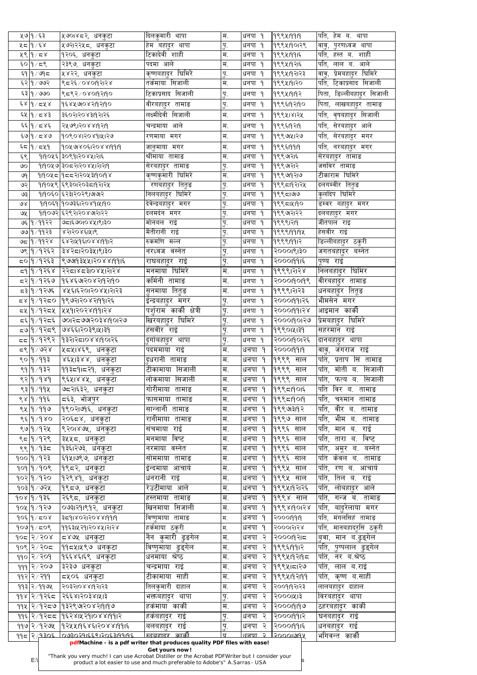|               | ५७∣१∕६३                   | ५७०।४८२, धनकुटा               | दिलकुमारी थापा             | म.               | धनपा १                | 999419919           | पति, हेम ब.<br>थापा         |
|---------------|---------------------------|-------------------------------|----------------------------|------------------|-----------------------|---------------------|-----------------------------|
|               | ५८   १ ∕ ६४               | <sub>।</sub> ५७२।२२५८, धनकुटा | हेम बहा्दर थापा            | प.               | धनपा १                | १९९५1901२९          | ुपरणध्वज थापा<br>वा्ू,      |
|               | 489/28                    | १२०६, धनकुटा                  | टिकादेवी शाही              | म.               | धनपा १                | 9९९५1991६           | र्पात, हस्त ब. शाही         |
|               | ६० १/८९                   | २३९७, धनकुटा                  | पदमा आले                   | म.               | धनपा १                | १९९५११२१६           | पति,<br>लाल ब. आले          |
|               | ६१ १/७१८                  | ,५४२२, धनकुटा                 | <u>कृष्</u> णबहादुर घिमिरे | पु.              | धनपा १                | १९९५।१२।२३          | प्रेमबहादुर घिमिरे<br>वावू, |
|               | $500 \times 9$            | ९८२६/०४०१२१२४                 | तर्कमाया सिजाली            | म.               | धनपा १                | १९९५191२०           | टिकाप्रसाद सिजाली<br>र्पात, |
|               | ६३ १ ∕ ७७०                | ९८९२/०४०१२११०                 | टिकाप्रसाद सिजाली          | पु.              | धनपा १                | 9९९५1919२           | पिता, डिल्लीबहा्दर सिजाली   |
|               |                           |                               |                            |                  |                       |                     |                             |
|               | ६४∣१∕ द५४                 | १६४५७०४२११२१९०                | वीरबहादुर तामाङ            | पु.              | धनपा १                | १९९६19२19०          | पिता, लाखबहादुर तामाङ       |
|               | ६४∣१∕ द४३                 | ३६०२।२०४३।१२।२६               | लक्ष्मीदेवी सिजाली         | म.               | धनपा १                | १९९५।४।२५           | पति, वृषबहादूर सिजाली       |
|               | ६६ १/८४६                  | २५७९।२०४४।१२।१                | चन्द्रमाया आले             | म.               | धनपा १                | १९९६19२19           | पति,<br>सेरबहादुर आले       |
|               | ६७ १ / द४७                | 909081208914126               | रणमाया मगर                 | म.               | धनपा १                | १९९७।५२७            | पति, सेरबहादूर मगर          |
|               | ६८  १ ∕ द५१               | 90X9180E1208819919            | जानुमाया मगर               | म.               | धनपा १                | 999519919           | पति, नरबहादुर मगर           |
| ६९            |                           | १११०५६ ३०९११२०४५।२१६          | श्रीमाया तामाङ             | म.               | धनपा १                | १९९७१२।६            | सेरबहादुर तामाङ             |
| $\infty$      |                           | १११०५७ ३०८२।२०४५।२१२१         | सरबहादुर तामाङ             |                  | धनपा १                | १९९७।२।२            | जसविर तामाङ                 |
|               |                           | ११०५८ १८८२१२०५३११०११४         | कृष्णकुमारी घिमिरे         | पु.<br>म.        | धनपा १                | १९९७१२।७            | टीकाराम घिमिरे              |
| ७१            |                           |                               |                            |                  |                       |                     |                             |
| ও২            |                           | १११०५९ ६९३०१२०३८११२१५         | रणबहादुर तितुङ             | पु.              | धनपा १                | १९९८19२1२५          | दलगम्वीर तितुङ              |
| ও३            |                           | १।१०६० ६२३।२०२९।७।७१२         | निलबहादुर घिमिरे           | पु.              | धनपा १                | १९९८1७७             | कुलदिप घिमिरे               |
| $\mathcal{A}$ |                           | ११०६१ १०७३६।२०४१।५१०          | देवेन्द्रबहा्दर मगर        | पु.              | धनपा १                | १९९८1४190           | डम्वर बहादुर मगर            |
| ७५            |                           | १।१०७२ ६२९२।२०४७।२।२२         | दलमदंन मगर                 | पु.              | धनपा १                | १९९७२।२२            | दलबहादुर मगर                |
|               | ७६ १ ∕ ११२२               | ७८।६७०।०४५।९।३०               | मोनबल राई                  | पु.              | धनपा १                | १९९९।२११            | जीतपाल राइ                  |
|               | ७७ १ ⁄ ११२३               | ४२ा२०४६।५१९                   | मैतीरानी राई               | पु.              | धनपा १                | 999919194           | हेसवीर राई                  |
|               | ७८  १ ∕ ११२४              | 21818008819915                | रुकमणि मल्ल                | पु.              | धनपा १                | 9९९९1991२           | डिल्लीबहादुर ठकुरी          |
|               | ७९  १ ⁄ १२६२              | ३४२८१२०३५१९३०                 | नरध्वज वस्नेत              | पु.              | धनपा १                | २०००।९।३०           | जगतबहादुर बस्नेत            |
|               | द्रवाुी ∕ १२६३            | ९७७१३५५१२०४४११११६             | राघबहादुर राई              | पु.              | धनपा १                | २०००१११६            | पुण्य राई                   |
|               | द9   १ ∕ १२६४             | १२८१४८३१०४५१२१४               | मनमाया घिमिरे              | म.               | धनपा १                | १९९९।२।२४           | lनिलबहादुर <b>घिमि</b> र    |
|               |                           | दर १/१२६७  १६४६७१०४२।१२।१०    | कर्मिनी तामाङ              | म.               | धनपा १                | २०००१०१९            | वीरबहादुर तामाङ             |
|               | द३∣१ ⁄ १२७६               | ४५६।६२०।२०४५।२।२३             | सुनमाया तितुङ              | म.               | धनपा १                | १९९९।२।२३           |                             |
|               |                           |                               |                            |                  |                       |                     | धनबहादुर तितूङ              |
|               |                           | ८४ १∕१२८०  १९७२।२०४२।११।२६    | इन्द्रबहादुर मगर           | पु.              | धनपा १                | २०००१११२६           | भीमसेन मगर                  |
|               |                           | ८४।१/१२८५ ।५५१।२०२४।११।२४     | पशुराम कार्की क्षेत्री     | पु.              | धनपा १                | २०००१११२४           | आइमान काकी                  |
|               | द६∣१ ⁄ १२द६ ∣             | ଓଠା ୧୮୪ ମୋଟ ୨ ମାର୍ଡ           | खिरबहादुर घिमिरे           | पु.              | धनपा १                | <u>୍ରଠାମ୍ବାର୍</u> ତ | प्रेमबहादुर घिमिरे          |
|               |                           | ८७ १/१२८९  ७४६६।२०३९।५।३१     | हंसवीर राई                 | पु.              | धनपा १                | १९९०।५।३१           | सहरमान राई                  |
|               | दद १∕१२९२                 | १३२।२८।०४४।१०।२६              | ुदगोबहादुर थापा            | $\mathbf{h}$     | धनपा १                | २०००११०१२६          | दानबहादुर थापा              |
|               | द९∣१ ⁄ ७२४                | ५८५।४६९, धनकुटा               | पदममाया राई                | म.               | धनपा १                | २०००११११            | वावु, जंगराज राई            |
|               | ९० १⁄११३                  | ४६५।३४४, धनकुटा               | दुधरानी तामाङ              | म.               | $\mathbf{q}$<br>धनपा  | १९९९ साल            | पति,<br>प्रताप सिं तामाङ    |
|               | ९१ १⁄ १३२                 | ११३८१।८२१, धनकुटा             | टीकामाया सिजाली            | म.               | धनपा १                | १९९९ साल            | मोती ब. सिजाली<br>पति,      |
|               | $88$ $9$ / 9 $89$         | ९६५।४४५, धनकुटा               | लोकमाया सिजाली             | म.               | धनपा १                | १९९९ साल            | पति,<br>फत्य ब. सिजाली      |
|               |                           |                               | गोरीमाया तामाङ             | म.               | धनपा १                |                     | पति<br>विर ब.<br>तामाङ      |
|               | ९३ $ 9/99$ ४              | ७द्र२ा६३२, धनकुटा             |                            |                  |                       | १९९८1901६           |                             |
|               | ९४ १ ⁄ ११६                | द६३, भोजपुर                   | फासमाया तामाङ              | म.               | धनपा १                | 1999519019          | पति,<br>चरुमान<br>तामाङ     |
|               | ९५  १ / ११७               | १९०२।७१६, धनकुटा              | सान्नानी तामाङ             | म.               | धनपा १                | १९९७१३११२           | वीर ब. तामाङ<br>पति,        |
|               | ९६∣१∕१४०∣                 | ,२०६८४, धनकुटा                | रानीमाया तामाङ             | म.               | धनपा १                | १९९७ साल            | भीम ब. तामाङ<br>पति,        |
|               | ९७ १⁄१२५                  | ९२०१४७५, धनकुटा               | संचमाया राई                | म.               | धनपा १                | १९९६<br>साल         | पति,<br>मान ब. राई          |
|               | ९८ १/१२९                  | ३५५८, धनकुटा                  | मनमाया विष्ट               | म.               | धनपा १                | १९९६<br>साल         | विष्ट<br>पति,<br>तारा ब.    |
|               | ९९ १⁄१३८                  | १३६।२७३, धनकुटा               | नरमाया वस्नेत              | म.               | धनपा<br>$\mathsf{P}$  | १९९६<br>साल         | पति,<br>बस्नेत<br>अमूर ब.   |
|               | १०० १∕१२३                 | ६१५।७९७, धनकुटा               | सोममाया तामाङ              | म.               | धनपा १                | १९९६<br>साल         | पति<br>केवल ब. तामाङ        |
|               | 909 9/908                 | १९८२, धनकुटा                  | इन्दमाया आचार्य            | म.               | धनपा १                | १९९५<br>साल         | पति,<br>रण ब. आचार्य        |
|               | १०२∣१ ⁄ १२०               | १२९४१, धनकुटा                 | धनरानी राई                 | म.               | धनपा १                | १९९५ साल            | तिल ब. राई<br>पति,          |
|               |                           |                               | रेउटीमाया आले              |                  |                       |                     |                             |
|               | १०३ १ ⁄ ७२५               | १९८७, धनकुटा                  |                            | म.               | धनपा १                | १९९५।१२।२६          | पति,<br>लोबहादुर आले        |
|               | १०४ १∕१३६                 | २६९८, धनकुटा                  | हस्तमाया तामाङ             | म.               | धनपा १                | १९९४ साल            | पति,<br>गन्ज ब. तामाङ       |
|               | १०५ १ ∕ १२७               | ०७३।२१।९१२, धनकुटा            | खिनमाया सिजाली             | म.               | धनपा १                | 9998190138          | पति,<br>बादुरेलाया मंगर     |
|               | $90$ ६ १ $\frac{1}{20}$ ४ | ३८१।४०२।२०४४।११।१             | विष्णुमाया तामाङ           | म.               | धनपा १                | २०००११११            | मंगलसिहं तामाङ<br>पति,      |
|               | १०७ १/८०९                 | 99६३1५२91२०४५1२1२४            | हर्कमाया ठकुरी             | म.               | धनपा १                | २०००।२१२४           | पति, मानबहाद्रुसिं ठकुरी    |
|               | १०८ २/२०४                 | ∣द४७५ धनकुटा                  | <u>नैन कुमारी ढुङगेल</u>   | म.               | २<br>धनपा             | २०००११२             | <u>बुवा, मान ब.ढुङ्गेल</u>  |
|               |                           |                               |                            | म.               | २<br>धनपा             | 9९९६1991२           | पति,<br>पुष्पलाल ढुङ्गल     |
|               | १०९ २/२०८                 | ११८५।५९७ धनकुटा               |                            |                  |                       |                     |                             |
|               |                           |                               | विष्णूमाया<br>ढुङ्गेल      | म.               | २<br>धनपा             |                     |                             |
|               | ११० २/२०१                 | १६६४६।६९ धनकुटा               | धनमाया श्रेष्ठ             |                  |                       | १९९५19२19८          | पति,<br>नर ब.श्रेष्ठ        |
|               | १११ $ 3/209 $             | ३२३७ धनकुटा                   | राई<br>चन्द्रमाया          | म.               | २<br>धनपा             | १९९५।८१९७           | पति,<br>लाल ब.राई           |
|               | $993$ २ $\sqrt{399}$      | द्रप्र०६ धनकटा                | साही<br>टीकामाया           | म.               | २<br>धनपा             | 9९९५19२199          | पति,<br>कृष्ण ब.साही        |
|               | $993$ २/११७५              | २०३२१०४४११२१३                 | तिलकुमारी दाहाल            | म.               | धनपा<br>२             | २००१११२३            | लालबहादुर दाहाल             |
|               | ११४∣२∕१२६द                | २६६४।२०३४।५।३                 | भक्तबहादर थापा             | पु.              | २<br>धनपा             | २०००।५१३            | विरबहादर<br>थापा            |
|               | ११५ २ ⁄ १२८७              | १३२९७।२०४२।१।१७               | हर्कमाया काकी              | म.               | २<br>धनपा             | २०००१११७            | ठहरबहादुर कार्की            |
|               |                           | ११६ २/१२८८ १९६२४।५२१।०४४।११।२ | हकबहादर राई                | पु.              | २<br>धनपा             | २०००१११२            | घनबहादर राई                 |
|               | <u>११७ २ /१२७५</u>        | ११२५५११६४६।२०४४।११।६          | बलबहादुर राई               | पु.              | २<br>धनपा             | २०००१११६            | धनबहा्दर राई                |
|               |                           | 301091305 003029155059199195  | <u>। रुदबहादर कार्की</u>   | । $\overline{u}$ | $\mathcal{L}$<br>धनपा | 20001919X           | र्भागवन्त कार्की            |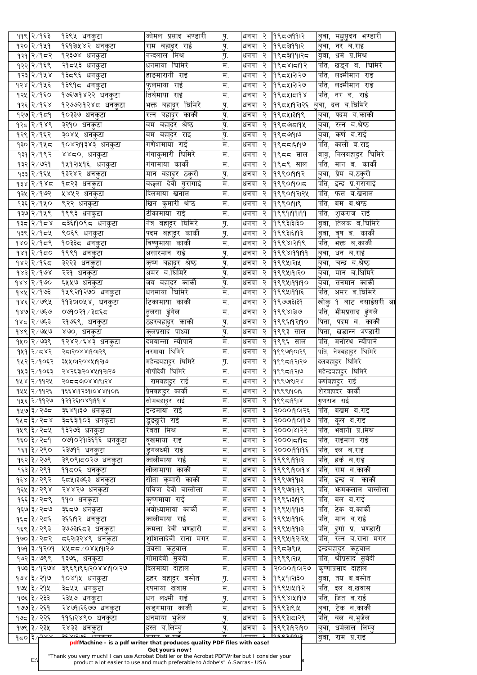|     | ११९∣२ ∕ १६३                  | १३९५ धनकुटा                       | कोमल प्रसाद भण्डारी                      | $\dot{B}$                       | धनपा २ | 19९८७१११२          | बुवा, मधुसुदन भण्डारी                          |
|-----|------------------------------|-----------------------------------|------------------------------------------|---------------------------------|--------|--------------------|------------------------------------------------|
|     | १२० २⁄१५१                    | १६१३।५४२ धनकुटा                   | राम बहा्दर राई                           | $\overline{y}$ .                | धनपा २ | 9९८३११११२          | बुवा, नर ब.राइ                                 |
|     | १२१ २ ∕ १८२                  | १२३७४ धनकुटा                      | नन्दलाल मिश्र                            | $\dot{B}_9$                     | धनपा २ | १९८३1991२८         | बुवा, धर्म प्र.मिश्र                           |
|     | १२२∣२ ∕ १६९                  | २१८४३ धनकुटा                      | धनमाया घिमिरे                            | $H_{\cdot}$                     | धनपा २ | 19९८४1८19२         | पति, खड्ग ब. घिमिर <mark>े</mark>              |
|     | १२३∣२ ∕ १४४                  | १३८९६ धनकुटा                      | हाङमारानी राई                            | म.                              | धनपा २ | १९८५।२१२७          | पति, लक्ष्मीमान राई                            |
|     | १२४ २ ∕ १५६                  | १३९१८ धनकुटा                      | फुलमाया राई                              | म.                              | धनपा २ | १९८५।२।२७          | पति, लक्ष्मीमान राई                            |
|     | १२५ २ ⁄ १६०                  | १७६७१४२२ धनकुटा                   | तिर्थमाया राई                            | म.                              | धनपा २ | १९८५।८११           | पति, नर ब. राई                                 |
|     | १२६∣२ ∕ १६४∶                 | १२७७२।१२४८ धनकुटा                 | भक्त बहादुर घिमिरे                       | पु.                             | धनपा २ | १९८५।१२।२६         | <u>बु</u> वा, दल ब.घिमिरे                      |
|     | १२७ २ ∕ १⊄९                  | १०३३७ धनकुटा                      | रत्न बहादुर काकी                         | $\dot{b}$                       | धनपा २ | 1995413199         | बुवा, पदम ब.कार्की                             |
|     | १२८ २∕१४९                    | ३२१० धनकु <u>टा</u>               | बम बहादुर श्रेष्ठ                        | $\dot{B}_9$                     | धनपा २ | १९८७।दा१५          | बुवा, रत्न ब.श्रेष्ठ                           |
|     | १२९∣२ ∕ १६२                  | ३०४५ धनकुटा                       | बम बहादुर राइ                            | $\dot{\mathbf{b}}_9$            | धनपा २ | १९८७१।७            | बुवा, कर्ण ब.राई                               |
|     |                              |                                   | गणेशमाया राई                             | म.                              |        |                    | पति, काली ब.राइ                                |
|     | १३० २⁄१५८                    | १०४२।१३४३ धनकुटा                  |                                          |                                 | धनपा २ | 19९८८1६19७         |                                                |
|     | <b>9३१ २</b> /१९२            | ४४८०, धनकुटा                      | गंगाकुमारी घिमिरे                        | $\overline{\mathbf{H}}$ .       | धनपा २ | १९८८ साल           | वावु, निलबहादुर घिमिरे                         |
|     | १३२ २ ∕ ७२१                  | १५१२।५१६, धनकुटा                  | गंगामाया काकी                            | म.                              | धनपा २ | १९८९ साल           | पति, मान ब. काकी                               |
|     | १३३ २ ∕ १६५                  | १३२४२ धनकुटा                      | मान बहादुर ठकुरी                         | $\dot{B}_9$                     | धनपा २ | 99901919           | बुवा, प्रेम ब.ठकुरी                            |
|     | १३४ २∕१४द                    | १८२३ धनकुटा                       | बछला देवी गुरागाई                        | म.                              | धनपा २ | 1999019015         | पति, इन्द्र प्र.गुरागाइं                       |
|     | १३५  २ ∕ १७२                 | ∣५४५२ धनकुटा                      | दिलमाया खनाल                             | म.                              | धनपा २ | १९९०११२१           | पति, फत्त ब.खनाल                               |
|     | १३६ २ ∕ १५०                  | ९२२ धनकुटा                        | खिन कुमारी श्रेष्ठ                       | $\overline{\mathbf{H}}$ .       | धनपा २ | 99901919           | पति, बम ब.श्रेष्ठ                              |
|     | १३७ २⁄१५९                    | १९९३ धनकुटा                       | टीकामाया राई                             | म.                              | धनपा २ | 99999999           | पति,<br>शुकराज राई                             |
|     | १३८∣२∕१८४                    | द३६।१०९द धनकुटा                   | <u>नित्र बहादुर घिमिरे</u>               | $\dot{B}$                       | धनपा २ | १९९३।३।३०          | तिलक ब.घिमिरे<br>डुवा,                         |
|     | १३९ २ ⁄ १८४                  | <sub>।</sub> ९०६९ धनकुटा          | पदम बहा <u>द</u> ुर कार्की               | $\dot{\mathbf{b}}_9$            | धनपा २ | 9९९३1६19३          | बुवा, वृष ब. कार्की                            |
|     | १४० २∕१८९                    | ∣१०३३८ धनकुटा                     | विष्णूमाया काकी                          | $\overline{\mathbf{H}}.$        | धनपा २ | 999812199          | पति, भक्त ब.कार्की                             |
|     | १४१∣२∕१द०                    | १९९१ धनकुटा                       | असारमान राई                              | पु.                             | धनपा २ | 9998199199         | बुवा, धन ब.राई                                 |
|     | १४२∣२ ∕ १६८                  | ३२२३ धनकुटा                       | कृष्ण बहादुर श्रेष्ठ                     | $\overline{P}$                  | धनपा २ | 19९९५1२1५          | <u>बु</u> वा, चन्द्र ब.श्रेष्ठ                 |
|     | १४३∣२ ∕ १७४                  | २२१ धनकुटा                        | अमर ब.घिमिरे                             | $\overline{A'}$                 | धनपा २ | 999419120          | बिंवा, मान ब.घिमिरे                            |
|     | १४४  २ <i>∕</i> १७०          |                                   |                                          | प.                              |        | धनपा २  १९९५।११।१० | <u> बुवा, सनमान कार्की</u>                     |
|     |                              | <u> ६५५७ धनकुटा </u>              | <u>जय बहादुर कार्की</u><br>धनमाया घिमिरे | म.                              |        | धनपा २  १९९५।११।६  | <sup>।</sup> पति, अमर ब.घिमिरे                 |
|     | १४५∣२ ∕ १७३                  | १५९२।१२७० धनकुटा                  |                                          |                                 |        |                    |                                                |
|     | १४६ २∕ ७९५                   | ११३०।०५४, धनकुटा                  | टिकामाया कार्की                          | म.                              |        | धनपा २  १९७७।३।३१  | खोकु १ बाट बसाइसरी आ                           |
|     | १४७∣२ ∕ ७६७                  | <b>০७</b> १०२१ ⁄ ३द६द             | तुलसा ढुंगेल                             | म.                              |        | धनपा २  १९९४।३।७   | पति, भीमप्रसाद ढुंगले                          |
|     | १४८∣२∕ ७६३                   | २१७६९, धनकुटा                     | <u>ठहरबहादुर काकी</u>                    | $\dot{B}$                       | धनपा २ | १९९६।१२।१०         | पिता, पदम ब. काकी                              |
|     | १४९ २∕ ७५७                   | ४७०, धनकुटा                       | कूलप्रसाद पाध्या                         | $\mathbf{h}$                    | धनपा २ | $ 9$ ९९३ साल       | पिता, खडान्न भण्डारी                           |
|     | १५० २∕ ७३९                   | १२४२ ∕६४३ धनकुटा                  | दमयान्ता न्यौपाने                        | $\overline{\mathbf{H}}_{\cdot}$ | धनपा २ | १९९६ साल           | पति, मनोरथ न्यौपाने                            |
|     | १५१ २∕ ८४२                   | २८1२०४४19०1२९                     | नरमाया घिमिरे                            | म.                              | धनपा २ | 19९९७१०१२९         | पति, नेत्रबहादुर घिमिरे                        |
|     | १५२ २⁄१०६२                   | <u>રૂપ્રપ્રગર૦૪૫૭</u> ૨૭          | महेन्द्रबहादुर घिमिरे                    | $\overline{A}$                  | धनपा २ | १९९८19२1२७         | <u>दलबहा</u> दुर घिमिरे                        |
|     | १५३ २ ∕१०६३                  | २४२६३।२०४५।१२।२७                  | गोपीदेवी घिमिरे                          | म.                              | धनपा २ | १९९८19२1७          | महेन्द्रबहा्दर घिमिरे $\overline{\phantom{a}}$ |
|     | १५४ २∕११२५                   | २०८८७०४४।९।२४                     | रामबहादुर राई                            | म.                              | धनपा २ | १९९७९।२४           | कर्णबहादुर राइ                                 |
|     | १५५ २ ∕ ११२६                 | १६६४।१२३१।०४४।१०।६                | प्रिमबहादुर कार्की                       | $\overline{\mathbf{H}}$ .       | धनपा २ | १९९९1901६          | शेरबहादर कार्की                                |
|     | १५६ २ ∕ ११२७                 | 9797 21089 1991 8                 | सोमबहादुर राई                            | म.                              | धनपा २ | 1999519918         | गुणराज राई                                     |
|     | १५७∣३ ∕ २७८                  | ३६४१।३७ धनकुटा                    | इन्द्रमाया राई                           | म.                              | धनपा ३ | २०००१०१२६          | पति, बखम ब.राई                                 |
|     | १५८∣३ ∕ २८४                  | ३द६३।१०३ धनकुटा                   | डूडखुरी राई                              | म.                              | धनपा ३ | २०००१०१९७          | पति, कूल ब.राइं                                |
|     |                              |                                   | रेवता मिश्र                              | म.                              |        | २०००।४।२२          | पति, भवानी प्र.मिश्र                           |
|     | १५९∣३ ∕ २८५                  | १३२७३ धनकुटा                      |                                          |                                 | धनपा ३ |                    |                                                |
|     | १६० ३ ∕ २द9                  | ०७१०२१।३६१६ धनकुटा                | वृखमाया राई                              | म.                              | धनपा ३ | २०००।दा१द          | पति, राईमान राई                                |
|     | १६१ ३∕ २९०∣                  | २३७११ धनकुटा                      | डुगलक्ष्मी राई                           | म.                              | धनपा ३ | २०००११११६          | पति, दल ब.राई                                  |
|     | १६२∣३ ∕ २७९                  | ३९०९।द०२७ धनकुटा                  | कालीमाया राई                             | म.                              | धनपा ३ | 99991913           | पति, हकं ब.राई                                 |
|     | १६३∣३ ∕ २९१                  | ११८०६ धनकुटा                      | लीलामाया काकी                            | म.                              | धनपा ३ | 9999190198         | पति, राम ब.काकी                                |
|     | १६४ ३ ∕ २९२                  | ६८५।३७६३ धनकुटा                   | सीता कूमारी काकी                         | म.                              | धनपा ३ | 9999913            | पति, इन्द्र ब. काकी                            |
|     | १६५∣३ ∕ २९४                  | २४४२७ धनकुटा                      | पवित्रा देवी वास्तोला                    | म.                              | धनपा ३ | 9999199            | पति, भनमकलाल वास्तोला                          |
|     | १६६∣३ ∕ २८९ ∣                | ११० धनकुटा                        | कृष्णमाया राई                            | म.                              | धनपा ३ | 9९९६1३19२          | पति, बल ब.राई                                  |
|     | १६७∣३ ∕ २८७                  | <sub>।</sub> ३६८७ धनकुटा          | अयोध्यामाया काकी                         | म.                              | धनपा ३ | 999419913          | पति, टेक ब.काकी                                |
|     |                              | ३६६।१२ धनकुटा                     | कालीमाया राइ                             | म.                              | धनपा ३ | 999419915          | पति, मान ब.राई                                 |
|     | १६८ ३ ∕ २८६                  |                                   | कमला देवी भण्डारी                        | म.                              | धनपा ३ | 999419913          | पति, दुर्गा प्र. भण्डारी                       |
|     |                              |                                   |                                          |                                 |        |                    |                                                |
|     | १६९ ∣३ ∕ २९३                 | ३७७३।६८३ धनकुटा                   |                                          |                                 |        |                    |                                                |
|     | १७० ३ ∕ २द२                  | दि६२।३२४९ धनकुटा                  | शुशिलादेवी राना मगर                      | म.                              | धनपा ३ | १९९५।१२।२५         | पति, रत्न ब.राना मगर                           |
|     | ३ ∕ १२०१                     | १५८८/०४५।१।२७                     | उवसा कटवाल                               | म.                              | धनपा ३ | १९८३१९।५           | इन्द्रबहा्दर कटुवाल                            |
|     | १७२ ३∕ ७९९                   | १३७६, धनकुटा                      | गोमादेवी सुवेदी                          | म.                              | धनपा ३ | १९९९।२।५           | पति, श्रीप्रसाद सुवेदी                         |
|     | १७३ ३ ∕ १२७४                 | ३९६९।९६।२०४४।१०।२७                | दिलमाया दाहाल                            | म.                              | धनपा ३ | २०००१९०१७          | कष्णाप्रसाद दाहाल                              |
|     | १७४ ३∕ २१७                   | १०४१५ धनकटा                       | ठहर बहादुर बस्नेत                        | $\overline{y}$ .                | धनपा ३ | १९५१।२।३०          | बवा, तय ब.बस्नेत                               |
|     | १७५ ३ ⁄ २१५                  | ३८५५ धनकुटा                       | रुपमाया खवास                             | म.                              | धनपा ३ | 9९९५1५19२          | पति,<br>दल ब.खवास                              |
|     | १७६ ३ ∕ २३३                  | २३५७ धनकुटा                       | धन लक्ष्मी राई                           | $\overline{A}$                  | धनपा ३ | १९९४।५।१७          | पति,<br>जित ब.राई                              |
| 969 | $999 \times 75$              | २४७१।२६७७ धनकटा                   | 'खड्गमाया काकी                           | म.                              | धनपा ३ | १९९३१९।५           | टेक ब.काकी<br>.बवा,                            |
|     | १७८  ३ ∕ २२६                 | ११६।२४९० धनकुटा                   | धनमाया भूजेल                             | पु.                             | धनपा ३ | १९९३।दा२९          | पति,<br>बल ब.भूजेल                             |
|     | १७९∣३ ∕ २३५<br>$\frac{1}{2}$ | २४३३ धनकटा<br>$DCVICIOC$ $CTTETT$ | हस्त ब.लिम्ब                             | पु.                             | धनपा ३ | १९९३19२19०         | धर्मलाल लिम्ब<br>बूवा,                         |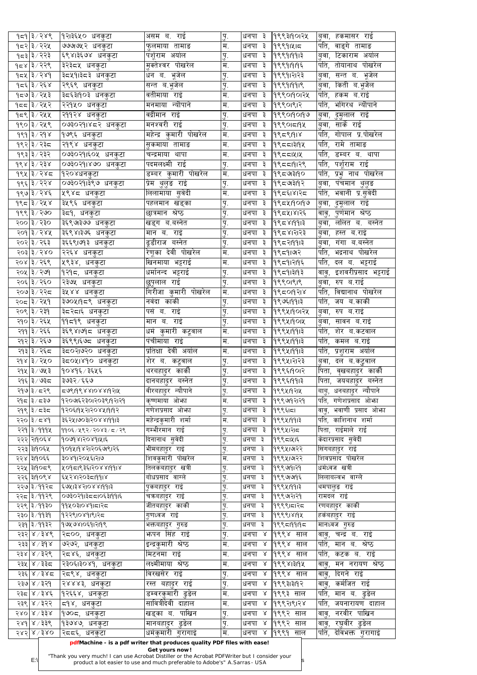|      | १८९√ हे ∣१≂१           | १२।३६५० धनकुटा                       | असम ब. राई                   | पु.        | धनपा ३            | १९९३।१०।२५   | बुवा, हकमासर राई                                   |
|------|------------------------|--------------------------------------|------------------------------|------------|-------------------|--------------|----------------------------------------------------|
|      | १८२∣३ ∕ २२५            | ७७७७५२ धनकुटा                        | फुलमाया तामाङ                | म.         | धनपा ३            | १९९१।५।८     | पति, वाङ्गे तामाङ                                  |
|      | १८३∣३ ∕ २२३            | ६९४।३६७४ धनकुटा                      | पशूराम अयोल                  | पु.        | धनपा ३            | 199919913    | बुवा, टिकाराम अर्याल                               |
|      | १८९∖ ३∤ ४३९            | ३२३द५ धनकुटा                         | मक्तेश्वर पोखरेल             | म.         | धनपा ३            | 199919195    | तोयानाथ पोखरेल<br>पति,                             |
|      | १८४∣३∕२४१              | ३द५१।३द३ धनकुटा                      | धन ब. भूजेल                  | पु.        | धनपा ३            | १९९१।२।२३    | बुवा, सन्त ब. भूजेल                                |
|      | १८३∕ २६४               | २९६९ धनकुटा                          | सन्त ब. <u>भू</u> जेल        | पु.        | धनपा ३            | 1999919919   | बुवा, किती ब.भूजेल <sub>.</sub>                    |
|      | १८७∣३∕ २५३             | ३८६३।१०३ धनकुटा                      | वतीमाया राइ                  | म.         | धनपा ३            | 19९९०19०1२५  | पति, हकम ब.राई                                     |
|      | १८४२  ३∕२              | २२१५० धनकुटा                         | मनमाया न्यौपाने              | म.         | धनपा ३            | 99901912     | पति, भगिरथ न्यौपाने                                |
|      | १८९ ३⁄२५५              | २११२४ धनकुटा                         | वद्रीमान राई                 | पु.        | धनपा ३            | 999019019    | बुवा, दुमुलाल राई                                  |
|      | १९० ३⁄ २५९             | ०७३०२१।४८२ धनकुटा                    | मनश्वरी राई                  | पु.        | धनपा ३            | 1999015194   | बिवा, सार्के राई                                   |
|      | $989$ 3/ $99$ $\times$ | १७९६ धनकुटा                          | महेन्द्र कुमारी पोखरेल       | म.         | धनपा ३            | 199591918    | पति, गोपाल प्र.पोखरेल                              |
|      | १९२∣३ ∕ २३८            | २१९४ धनकुटा                          | सुकमाया तामाङ                | म.         | धनपा ३            | 19९८८1३19५   | पति, रामे तामाङ                                    |
|      | १९३ ३ ∕ २३२            | ०७३०२१।६०५ धनकुटा                    | चन्द्रमाया थापा              | म.         | धनपा ३            | 9९८८141      | पति, डम्बर ब. थापा                                 |
|      | १९४ ३∕ २३४∣            | ०७३०२१।४७० धनकुटा                    | पदमलक्ष्मी राई               |            | धनपा ३            | 1995519129   | पति, पशूराम राई                                    |
|      | १९५ ३/२४८              | १२०४धनकुटा                           | <u>डम्बर कुमारी पोखरेल</u>   | पु.<br>म.  | धनपा ३            | $ 9$ ९८७३१९० | पति, प्रभु नाथ पोखरेल                              |
|      | १९६∣३ ∕ २२४            |                                      |                              |            |                   | 9९८७३११२     |                                                    |
|      |                        | ०७३०२१।३९७ धनकुटा                    | प्रेम थुलुङ राई              | पु.<br>म.  | धनपा ३<br>धनपा ३  |              | ब़वा, पंचमान थुलुङ<br><u>पति, भवानी प्र.सुवेदी</u> |
|      | १९७ ३/२४६              | ५९४८ धनकुटा                          | <u>लिलामाया</u> सुवेदी       |            |                   | १९८६1४1२८    |                                                    |
|      | १९८ ३/२५४              | ३५९६ धनकुटा                          | पहलमान खड्का                 | पु.        | धनपा ३            | 19952190199  | बुवा, दुमूलाल राई                                  |
|      | १९९ ३ ∕ २७०            | ३द१, धनकुटा                          | छात्रमान श्रेष्ठ             | पु.        | धनपा ३            | 1995418125   | <u>वावु,</u> पुर्णमान श्रेष्ठ                      |
|      | २०० ३ ⁄ २३०            | ३६९७३७७ धनकुटा                       | खड्ग ब.बस्नेत                | पु.        | धनपा ३            | 1995819913   | <u>बु</u> वा, ललित ब. बस्नेत                       |
|      | २०१ ३/२४५              | ३६९४।३७६ धनकुटा                      | मान ब. राई                   | पु.        | धनपा ३            | १९८४।२।२३    | बुवा, हस्त ब.राई                                   |
|      | २०२ ३ ⁄ २६३            | ३६६९।७१३ धनकुटा                      | ढूडीराज बस्नेत               | पु.        | धनपा ३            | १९८२११११३    | lबुवा, गंगा ब.बस्नेत                               |
|      | २०३ ३ ⁄ २४०            | २२६४ धनकुटा                          | रेणूका देवी पोखरेल           | म.         | धनपा ३            | १९८१।७२      | पति, भद्रनाथ पोखरेल                                |
|      | २०४ ३/२६९              | ५९३४, धनकुटा                         | खिनमाया भट्टराई              | म.         | धनपा ३            | 199591219६   | पति,<br>दल ब. भट्टराइ                              |
|      | २०५  ३ ∕ २७१           | १२१८, धनकुटा                         | धर्मानन्द भट्टराई            | पू.        | धनपा ३            | 1995913193   | इशवरीप्रसाद भट्टराइ<br>वावु,                       |
|      | २०६ ३ / २६०            | २३७५ धनकुटा                          | 'छुपलाल राई                  | प.         | धनपा ३            | 99901919     | बूवा, रुप ब.राई                                    |
|      | २०७ ३/२२द              | ३५४४ धनकुटा                          | <u>गिरीजा क</u> ुमारी पोखरेल | म.         | धनपा ३            | 1995019218   | पति, विद्यानाथ पोखरेल                              |
|      | २०८ ३⁄ २५१             | ३७०५।१८९ धनकुटा                      | नवंदा काकी                   | पु.        | धनपा ३            | 9९७६1991३    | पति, जय ब.काकी                                     |
|      | २०९ ३ ⁄ २३१            | ३द२दा६ धनकुटा                        | पसं ब. राई                   | पु.        | धनपा ३            | १९९५।१०१२५   | रुप ब.राई<br>्षवा,                                 |
|      | २१० ३ ⁄ २६५            | ११८१९ धनकुटा                         | मान ब. राई                   | पु.        | धनपा ३            | 1999419014   | सावन ब.राई<br>्ववा,                                |
|      | २११ ३ ⁄ २६६            | ३६९४।७१८ धनकुटा                      | धर्म कुमारी कटूवाल           | म.         | धनपा ३            | 999419913    | पति, शेर ब.कटवाल                                   |
|      | २१२∣३ ∕ २६७            | ३६९९।६७८ धनकुटा                      | पंचीमाया राई                 | म.         | धनपा ३            | 999419913    | पति, कमल ब.राई                                     |
|      | २१३ ३ ⁄ २६८            | ३द०२।७२० धनकुटा                      | प्रतिक्षा देवी अर्याल        | म.         | धनपा ३            | 1999419913   | पति, प्रशुराम अयोल                                 |
|      | २१४ ३⁄ २५०             | ३८०५।४१० धनकुटा                      | शेर ब. कटूवाल                | पु.        | धनपा ३            | 19९९५1२1२३   | बुवा, दल ब.कटुवाल                                  |
|      | २१५ ३ ∕ ७५३            | १०४१६ ∕ ३६५६                         | थरबहादुर काकी                | पु.        | धनपा ३            | 19९९६1901२   | पिता, वृखबहादुर काकी                               |
|      | २१६ ३ ⁄ ७३८            | ३७३२ ⁄ ६६७                           | दानबहादुर बस्नेत             | पु.        | धनपा ३            | 9९९६1991३    | पिता,<br>जयबहादुर बस्नेत                           |
|      |                        |                                      |                              |            |                   |              |                                                    |
|      | २१७ ३ ⁄ द२९            | 59819888108819912                    | <u>वीरबहा</u> दुर न्यौपाने   | पु.        | धनपा ३            | १९९५19२1५    | <u>बाबु, धनब</u> हादुर न्यौपाने                    |
|      | २१८∣३ ∕ द३७            | १२०७६२३०।२०३९।१२।२१                  | कृष्णमाया ओफा                | म.         | धनपा ३            | १९९७१२१२१    | गणेशप्रसाद ओफा<br>पति,                             |
|      | २१९ ३/८३८              | १२०६११५२।२०४५।१११२                   | गणेशप्रसाद ओफा               | पु.        | धनपा ३            | १९९६।दा      | वावु, भवाणी प्रसाद ओफा                             |
|      | २२० ३/८४१              | ३६२५।७०३।२०४४।१११३                   | महेन्द्रकुमारी शर्मा         | म.         | धनपा ३            | 999419913    | काशिनाथ शर्मा<br>पति,                              |
|      | २२१ ३ ⁄ १११५           | ११०६ <i>/५९२/२</i> ०४३ <i>/८/२</i> ९ | गम्भीरमान राई                | पु.        | धनपा ३            | १९९५।२।८     | पिता, राईमाले राई                                  |
|      | २२२  २११०६४            | 90૭9૪1૨૦૪91૪1६                       | दिनानाथ सुवेदी               | पु.        | धनपा ३            | १९९८1५1६     | केदारप्रसाद सुवेदी                                 |
|      | २२३ ३११०६५             | १०१५११४२।२०६७१।२६                    | भीमबहादुर राई                | पु.        | धनपा ३            | १९९५।७२२     | सिंगबहादुर राई                                     |
|      | २२४  ३११०६६            | ३०४१।२०५६।२७                         | शिवकुमारी पोखरेल             | म.         | धनपा ३            | १९९५1७1२२    | शिवप्रसाद पोखरेल                                   |
|      | २२५ शि०द९              | ४०१८1९३६1२०४४1991४                   | तिलकबहाटुर खत्री             | पु.        | धनपा ३            | 9९९७११२१     | धर्मध्वज खत्री                                     |
|      | २२६ शि०९४              | ६५२४।२०३८।११।४                       | बोधप्रसाद वाग्ले             | पु.        | धनपा ३            | १९९७७१६      | लिलाबल्वभ वाग्ले                                   |
|      | २२७ ३ ⁄ ११२८           | E 1661225102816                      | पुकबहादुर राई                | पु.        | धनपा ३            | 9९९५1991३    | थमपालुङ राई                                        |
|      | २२८ ३/११२९             | 0७३०२१।३८८।०६३।११।६                  | चकबहादुर राई                 | पु.        | धनपा ३            | १९९७१२१२१    | रामदल राई                                          |
|      | २२९ ३ ⁄ ११३०           | ११५०३१०४१।८१२८                       | जीतबहादुर कार्की             | पु.        | धनपा ३            | १९९९।८१२८    | <u>रणबहा</u> दुर कार्की                            |
|      | २३० ३ ∕ ११३१           | १२२९10४१1९1२८                        | गुणध्वज राई                  | पु.        | धनपा ३            | 999918194    | हर्कबहादुर राई                                     |
|      | २३१ ३ ⁄ ११३२           | १७५७४।०६१।२१९९                       | भक्तबहादुर गुरुङ             | पु.        | धनपा ३            | १९९८19919८   | मानध्वज गुरुङ                                      |
|      | २३२ ४ / ३४९            | २८००, धनकुटा                         | <u> फपन सिंह राई</u>         | पु.        | धनपा ४            | १९९४ साल     | वावु, चन्द्र ब. राई                                |
|      | २३३  ४ ⁄ ३१ ४          | ७२७२,<br>धनकुटा                      | इन्द्रकुमारी श्रेष्ठ         | म.         | धनपा<br>$\alpha$  | ।१९९४<br>साल | पति,<br>श्रष्ठ<br>मान ब.                           |
|      | २३४   ४ / ३२९          | २८४६, धनकुटा                         | मिटनमा राई                   | म.         | धनपा ४            | $ 9$ ९९४ साल | पति, कटक ब. राई                                    |
|      |                        | २३०६।३०४१, धनकुटा                    | <u>लक्ष्मी</u> माया श्रेष्ठ  | म.         | धनपा ४            | 1999813194   | मन नरायण श्रेष्ठ<br>वावु,                          |
|      | ४ ⁄ ३३८                |                                      |                              |            | धनपा ४            | $ 9$ ९९४ साल | दिगने राई<br>वावु,                                 |
|      | २३६ ४ / ३४८            | २द९४, धनकुटा                         | विरखसेर राई                  | पु.        |                   |              |                                                    |
|      | २३७ ४ ⁄ ३२१            | २४४४३, धनकुटा                        | रस्त बहादुर राई              | पु.        | धनपा ४            | 999313193    | कर्मजित राई<br>वावु,                               |
|      | २३८ ४ / ३४६            | १२६६४, धनकुटा                        | डम्वरकुमारी ढुङेल            | म.         | धनपा ४            | १९९३ साल     | पति,<br>मान ब. ढुङेल                               |
| २३५। | २३९ ४ / ३२२            | द9४, धनकुटा                          | सावित्रीदेवी दाहाल           | म.         | धनपा ४            | १९९२।९।२४    | पति,<br>जयनारायण दाहाल                             |
|      | $5808 \times 1528$     | १७०८, धनकुटा                         | खड्का ब. पाखिन               |            | धनपा<br>$\propto$ | $ 9$ ९९२ साल |                                                    |
| २४१  | 8/336                  | १३७४७, धनकुटा                        | मानबहादुर ढुङेल              | पु.<br>पु. | धनपा<br>$\propto$ | १९९२ साल     | वावु, नरवीर पाखिन<br>वावु, रघुवीर ढुडेल            |

 $E:\n\begin{vmatrix}\n\text{Poisson} & \text{Poisson} \\
\text{Poisson} & \text{Poisson} \\
\text{Poisson} & \text{Poisson} \\
\text{Poisson} & \text{Poisson} \\
\text{Poisson} & \text{Poisson} \\
\text{Poisson} & \text{Poisson} \\
\text{Poisson} & \text{Poisson} \\
\text{Poisson} & \text{Poisson} \\
\text{Poisson} & \text{Poisson} \\
\text{Poisson} & \text{Poisson} \\
\text{Poisson} & \text{Poisson} \\
\text{Poisson} & \text$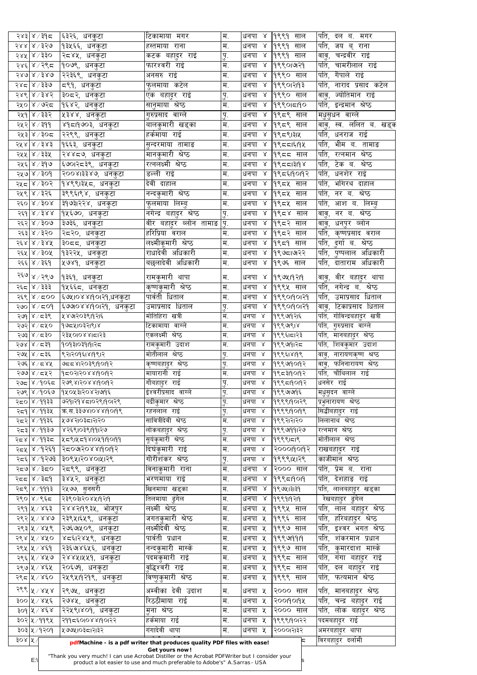|         | २४३∣४ ∕ ३१८          | ६३२६, धनकुटा               | टिकामाया मगर                                                            | म.                   |                                  | धनपा ४  १९९१ साल         | पति, दल ब. मगर                               |
|---------|----------------------|----------------------------|-------------------------------------------------------------------------|----------------------|----------------------------------|--------------------------|----------------------------------------------|
|         | २४४ ४ ⁄ ३२७          | १३५६६, धनकुटा              | हस्तमाया राना                                                           | म.                   | ${\bf \chi}$<br>धनपा             | 9९९१<br>साल              | पति,<br>जय ब् राना                           |
|         | २४४  ४ ∕ ३३०         | २द४५, धनकुटा               | कटक बहादुर राई                                                          | पु.                  | धनपा ४                           | १९९१ साल                 | चन्द्रवीर राई<br>वावु,                       |
|         | २४६ ४ / २९८          | १०७९, धनकुटा               | फारश्वरी राई                                                            | म.                   | धनपा<br>$\alpha$                 | १९९०।७२१                 | पति,<br>चामरीलाल राई                         |
|         | $580$ $\times 580$   | २२३६९, धनकुटा              | अनसरु राई                                                               | म.                   | $\propto$<br>धनपा                | १९९० साल                 | पति,<br>गैपाले राई                           |
|         | २४८∣४ ∕ ३३७          | द९१, धनकुटा                | फुलमाया कटेल                                                            | म.                   | धनपा<br>${\cal R}$               | १९९०।२।१३                | पति,<br>नाराद प्रसाद कटेल                    |
|         | २४९   ४ / ३४२        | ३०द२, धनकुटा               | एक बहादुर राई                                                           |                      | $\alpha$<br>धनपा                 | १९९० साल                 | ज्योतिमान राई                                |
|         |                      |                            |                                                                         | $\overline{A}$<br>म. | $\lambda$                        |                          | वावु,<br>पति,                                |
|         | २५० ४/७२८            | १६४२, धनकुटा               | सानुमाया श्रेष्ठ                                                        |                      | धनपा                             | १९९०।दा9०                | इन्द्रमान श्रेष्ठ                            |
|         | २५१ ४ / ३३२          | ५३४४, धनकुटा               | गुरुप्रसाद वाग्ले                                                       | पु.                  | $\alpha$<br>धनपा                 | ∣१९८९ साल                | मधुसुधन वाग्ले                               |
|         | २५२ ४ ⁄ ३११          | ४१८।१७०३, धनकुटा           | बालकुमारी खड्का                                                         | म.                   | धनपा<br>$\alpha$                 | १९८९ साल                 | वावु, स्व. ललित ब. खड्क                      |
|         | २५३ ४/३०८            | २२९९, धनकुटा               | हर्कमाया राई                                                            | म.                   | धनपा<br>$\alpha$                 | 19९८९1३1५                | पति, धनराज राई                               |
|         | २५४ ४ / ३४३          | १६६३, धनकुटा               | सुन्दरमाया तामाङ                                                        | म.                   | धनपा ४                           | 19९८८1६19५               | <u>भीम ब. तामाङ</u><br>पति,                  |
|         | २५५   ४ / ३३५        | २४४८७, धनकुटा              | मानकुमारी श्रेष्ठ                                                       | म.                   | धनपा<br>$\alpha$                 | ∣१९८८ साल                | पति,<br>रत्नमान श्रेष्ठ                      |
|         | २५६ ४ ⁄ ३१७          | ६७०।२८३९, धनकुटा           | रत्नलक्ष्मी श्रेष्ठ                                                     | म.                   | $\lambda$<br>धनपा                | 1995513198               | टेक ब. श्रेष्ठ<br>पति,                       |
|         | २५७ ४ ⁄ ३०१          | २००४।३३४७, धनकुटा          | डल्ली राई                                                               | म.                   | धनपा<br>$\alpha$                 | 19958190197              | पति,<br>धनशेर राई                            |
|         | २५८∣४ ∕ ३०२          | १४९९।३५८, धनकुटा           | <u>देवी</u> दाहाल                                                       | म.                   | धनपा<br>$\alpha$                 | १९८५ साल                 | र्भागरथ दाहाल<br>पति,                        |
|         |                      |                            |                                                                         |                      | ${\bf \chi}$                     |                          |                                              |
|         | २५९   ४ / ३२६        | ३९९६।९४, धनकुटा            | नन्दकुमारी श्रेष्ठ                                                      | म.                   | धनपा                             | १९८५ साल                 | पति,<br>नर ब. श्रेष्ठ                        |
|         | २६० ४ ⁄ ३०४          | ३१७३।२२४, धनकुटा           | <u>फ</u> लमाया लिम्बु                                                   | म.                   | $\alpha$<br>धनपा                 | १९८५ साल                 | पति,<br><u>आ</u> श ब. लिम्बु                 |
|         | २६१ ४ / ३४४          | १५६७०, धनकुटा              | नगेन्द्र बहादुर श्रेष्ठ                                                 | पु.                  | धनपा<br>$\overline{\mathcal{S}}$ | ∣१९८४ साल                | नर ब. श्रेष्ठ<br>वा्ू,                       |
|         | २६२ ४ / ३०७          | ३७३६, धनकुटा               | वीर बहादुर ब्लोन तामाङ                                                  | lg.                  | धनपा<br>$\alpha$                 | ∣१९८२ साल                | धनपुर व्लोन<br>वावु,                         |
|         | २६३ ४ / ३२०          | २द२०, धनकुटा               | हरिप्रिया वराल                                                          | म.                   | धनपा ४                           | १९८२ साल                 | पति,<br>कृष्णप्रसाद वराल                     |
|         | २६४ ४ ⁄ ३४५          | ३०दद, धनकुटा               | लक्ष्मीकूमारी श्रेष्ठ                                                   | म.                   | $\propto$<br>धनपा                | १९८१ साल                 | <i>दु</i> र्गा ब. श्रेष्ठ<br>पति,            |
|         | २६५   ४ / ३०५        | <b>१३२२५, धनकुटा</b>       | राधादेवी अधिकारी                                                        | म.                   | धनपा ४                           | 19९७८1७१२                | ्पुष्पलाल अधिकारी<br>पति,                    |
|         | २६६ ४ ⁄ ३६१          | ∣५७४१, धनकुटा              | बछलादेवी अधिकारी                                                        | म.                   | $\alpha$<br>धनपा                 | १९७६ साल                 | र्पात, दाताराम अधिकारी                       |
|         |                      |                            |                                                                         |                      |                                  |                          |                                              |
|         | २६७ ४ / २९७          | १३६१, धनकुटा               | <u>रामकुमारी था</u> पा                                                  | म.                   |                                  | धनपा ४  १९७५।१२।१        | !वावृ, वीर बहादुर थापा<br><del>नर्</del> न — |
|         | <i>रि६</i> ४ ∕ ३३३   | पिश्द्द्द, धनकूटा          | कृष्णकुमारी श्रेष्ठ                                                     | म.                   |                                  | <u>धिनपा ४  १९९५ साल</u> | पात, नगन्द्र ब. श्रष्ठ                       |
|         | २६९ ४ ⁄ द००          | ६७५।०४४।१०।२१,धनकुटा       | पार्वती धिताल                                                           | म.                   | धनपा                             | ૪  ૧९९૦।૧૦।૨૧            | पति, उमाप्रसाद धिताल                         |
|         | २७० ४ ⁄ द्र0१        | ६७७०४४।१०।२१, धनकुटा       | उमाप्रसाद धिताल                                                         | पु.                  | धनपा                             | ४  १९९०।१०।२१            | वावु, टिकाप्रसाद धिताल                       |
|         | २७१ ४ / द३९          | ५४७१०३९।१२।६               | मोतिहिरा खत्री                                                          | म.                   | धनपा ४                           | १९९७१२१६                 | पति, गोविन्द्रबहाटुर खत्री                   |
|         | २७२ ४ / ८५०          | १७८५।०३२।९।४               | टिकामाया वाग्ले                                                         | म.                   | धनपा ४                           | 9999918                  |                                              |
|         |                      |                            |                                                                         |                      |                                  |                          | पति, गुरुप्रसाद वाग्ले                       |
|         | २७३ ४ ⁄ द३०          | २३५०१०४४।८१२३              | एकलक्ष्मी श्रेष्ठ                                                       | म.                   | धनपा ४                           | १९९६।दा२३                | पति, मानबहादुर श्रेष्ठ                       |
|         | २७४   ४ ⁄ द३१        | १०१३१०३१।१।२८              | रामकुमारी उदाश                                                          | म.                   | धनपा ४                           | 19९९७११२८                | पति, शिवकुमार उदाश                           |
|         | २७५   ४ ⁄ द३६        | १२ा२०१६।४।१९।२             | मोतीलाल श्रेष्ठ                                                         | पु.                  | धनपा ४                           | 9९९६1४19९                | नारायणकृष्ण श्रष्ठ<br>वावु,                  |
|         | २७६ ४ / ८४५          | ७८८४।२०३९।१०११२            | कृष्णबहादुर श्रेष्ठ                                                     | पु.                  | धनपा ४                           | 19९९७19019२              | र्फानेनारायण श्रेष्ठ<br>वावु,                |
|         | २७७ ४ ⁄ द५२          | १८०२१२०४४११०११२            | मायारानी राई                                                            | म.                   | धनपा ४                           | 19९८३19019२              | पति, चौथिलाल राई                             |
|         | २७८ ४ ⁄ १०६८         | २७९४।२०४४।१०११२            | गौबहादुर राई                                                            | पु.                  | धनपा ४                           | 19995190197              | धनसेर राई                                    |
|         | २७९ ४ ⁄ १०६७         | १५०५३।२०४२।७१६             | इंश्वरीप्रसाद वाग्ले                                                    | पु.                  | धनपा ४                           | १९९७।७१६                 | 'मधुसुदन वाग्ले                              |
|         | २८० ४ ⁄ ११३३         | ७२१।२१४८।०२९।१०।२९         | बद्रीकुमार श्रेष्ठ                                                      | $\mathbf{h}$         | धनपा ४                           | १९९९1901२९               | प्रभुनारायण श्रेष्ठ                          |
|         | २द9 ४ ∕ ११३५         | क्र.स.३३७४।०४४।१०।१९       | रहनलाल राई                                                              | $\mathbf{F}$         | धनपा ४                           | 9999190199               | सिद्धीबहादुर राइ                             |
|         | २८२ ४ ∕ ११३६         | १७४२०३८१२२०                | सावित्रीदेवी श्रेष्ठ                                                    | म.                   | धनपा ४                           | १९९२।२।२०                | लिलानाथ श्रेष्ठ                              |
|         | २८३∣४ ∕ ११३७         | ४२६९।०३९।११।२७             | लोकबहादुर श्रेष्ठ                                                       | $\dot{b}_9$          | धनपा ४                           | 9९९७१११२७                | रत्नमान श्रेष्ठ                              |
|         |                      |                            |                                                                         |                      |                                  |                          | मोतीलाल श्रेष्ठ                              |
|         | २द४ ४ ∕ ११३द         | ५८९।५८१४।०५१।१०।११         | सूर्यकुमारी श्रेष्ठ                                                     | म.                   | धनपा ४                           | 199991519                |                                              |
|         | २द्र्४  ४ ∕ १२६१     | २८०७२०४४११०११२             | दिघकुमारी राई                                                           | म.                   | धनपा ४                           | २०००१०१२                 | राखबहादुर राई                                |
|         |                      | २८६ ४/१२७३  ३०९५।२०४०।५।२९ | गौरीशंकर श्रेष्ठ                                                        | पु.                  | धनपा ४                           | 19९९९1५1२९               | काजीमान श्रेष्ठ                              |
|         | २द७ ४ ∕ ३द०          | २द९९, धनकुटा               | विनाकुमारी राना                                                         | म.                   | धनपा ४                           | २००० साल                 | पति, प्रेम ब. राना                           |
|         | २दद ४ ∕ ३द9          | ३४५२, धनकुटा               | भरणमाया राई                                                             | म.                   |                                  | धनपा ४  १९९८19019        | पति, देशहाङ राई                              |
|         | २८९ ४ ⁄ १११३         | २५७७, सुनसरी               | खिनमाया खड्का                                                           | म.                   | धनपा ४  १९७५।३।३१                |                          | र्पात, लालबहादुर खड्का                       |
|         | २९० ४ ⁄ ९६८          | २३९०३।२०४५।१२।१            | तिलमाया ढुंगेल                                                          | म.                   | धनपा ४                           | 1999919219               | रेखबहादुर ढुंगेल                             |
|         |                      |                            | लक्ष्मी श्रेष्ठ                                                         | म.                   | धनपा ५                           | १९९५ साल                 | र्पात, लाल बहादुर श्रेष्ठ                    |
|         |                      |                            |                                                                         |                      |                                  |                          | पति, हरिबहा्दर श्रेष्ठ                       |
|         | २९१ ५ ⁄ ४६३          | २४४२।१९३५, भोजपुर          |                                                                         |                      |                                  |                          |                                              |
|         | २९२ ५ / ४४७          | २३९५।६५९, धनकुटा           | <u>जगतकुमारी श्रेष्ठ</u>                                                | म.                   | धनपा ५                           | १९९६ साल                 |                                              |
|         | २९३ ५ / ४५९          | २७६७५०९, धनकुटा            | लक्ष्मीदेवी श्रेष्ठ                                                     | म.                   | धनपा ५                           | १९९७ साल                 | पति, इश्वर भगत श्रेष्ठ                       |
|         | २९४ ५ / ४५०          | ४८६।२४५९, धनकुटा           | पार्वती प्रधान                                                          | सि.                  | धनपा ५                           | 9999999                  | $\overline{\mathsf{q}}$ ति,<br>शकरमान प्रधान |
|         | २९५  ५ / ४६१         | २३६७१४६५६,<br>धनकटा        | नन्दकुमारी<br>मास्कं                                                    | म.                   | धनपा<br>५                        | १९९७ साल                 | पति,<br>कुमारदाश मास्के                      |
|         | २९६ ५ ⁄ ४५७          | २४४५।५५१, धनकुटा           | पदमकुमारी राई                                                           | म.                   | धनपा ५                           | १९९८ साल                 | पति,<br>गंगा बहादुर राइ                      |
|         | २९७ ५ ⁄ ४६५          | २०६७१, धनकुटा              | वृद्धिश्वरी राई                                                         | म.                   | ५<br>धनपा                        | १९९८ साल                 | पति,<br>दल बहादुर राई                        |
|         |                      |                            |                                                                         | म.                   | धनपा ५                           |                          | फत्यमान श्रेष्ठ                              |
|         | २९८ ५ / ४६०          | २५९५।१२१९, धनकुटा          | <u>विष्णुकुमारी श्रेष्ठ</u>                                             |                      |                                  | १९९९ साल                 | पति,                                         |
|         |                      | २९७५, धनकुटा               | अम्वीका देवी उदाश                                                       | म.                   | धनपा ५                           | २००० साल                 | पति,<br>मानबहादुर श्रेष्ठ                    |
|         | ३०० ५ ⁄ ४५६          | २७४५, धनकुटा               | रिठठीमाया राई                                                           | म.                   | धनपा ५                           | २००११०१५                 | पति,<br>चन्द्र बहा्दर राई                    |
|         | ३०१ $ x \rangle$ ४६४ | २२५९।४०१, धनकुटा           | मना श्रेष्ठ                                                             | म.                   | धनपा ५                           | २००० साल                 | पति, लोक<br>बहादर श्रेष्ठ                    |
|         | ३०२ ५ ⁄ ११९५         | २११८६०१०४४११०१२२           | हर्कमाया राई                                                            | म.                   | धनपा ५                           | १९९९1901२२               | पदमबहादुर राई                                |
|         |                      | ४७७५।०३८।२१३२              | गंगादेवी थापा                                                           |                      |                                  | २०००।२१३२                |                                              |
| ३०४ ५ / | ३०३ ५ ⁄ १२०१         |                            | pdfMachine - is a pdf writer that produces quality PDF files with ease! | म.                   | धनपा ५                           |                          | अमरबहादुर थापा<br>'विरबहादुर दर्लामी         |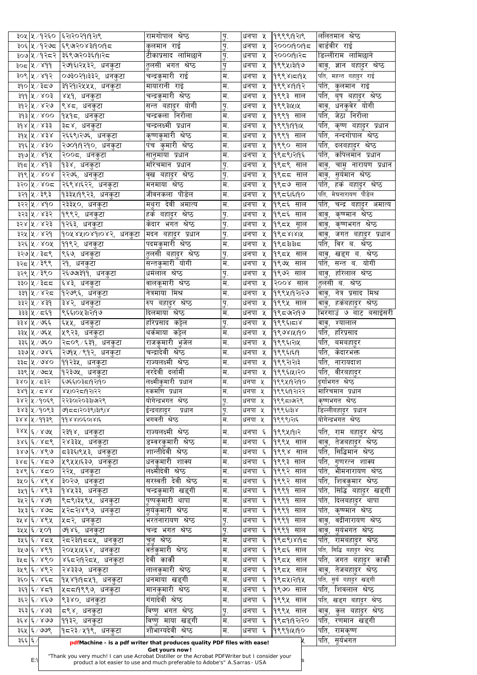|         | ३०५ ५ ∕ १२६० ∶          | ६२।२०२१।१२।९                  | रामगोपाल श्रेष्ठ                                                        | $\dot{\mathbf{b}}$ | धनपा ५ | 9९९९19२1९               | र्लालतमान श्रेष्ठ                    |
|---------|-------------------------|-------------------------------|-------------------------------------------------------------------------|--------------------|--------|-------------------------|--------------------------------------|
|         | ३०६ ५ ⁄ १२७८            | ६९७२०४३।१०११८                 | कुलमान राई                                                              | पु.                | धनपा ५ | २०००१०१६                | वार्डवीर राई                         |
|         | ३०७ ५ ⁄ १२८२            | ३६९७१०३६।१।२८                 | टीकाप्रसाद लामिछाने                                                     | पु.                | धनपा ५ | २०००११२८                | डिल्लीराम लामिछाने                   |
|         | ३०८ ∖ ४   ३०६           | २७१६।२५३२, धनकुटा             | तलसी भगत श्रेष्ठ                                                        | पु                 | धनपा ५ | १९९५।३११७               | वावु, ज्ञान बहा्दर श्रेष्ठ           |
|         | ३०९ ५ / ४१२             | ०७३०२१।३३२, धनकुटा            | चन्द्रकुमारी राई                                                        | म.                 | धनपा ५ | 1999815194              | पति,<br>महन्त बहादुर राई             |
|         | ३१०∣५ ∕ ३द७             | ३१२१।२५५५, धनकुटा             | मायारानी राई                                                            | म.                 | धनपा ५ | 999819197               | पति,<br>कुलमान राई                   |
|         | ३११   ५ / ४०३           | ४५१, धनकुटा                   | चन्द्रकुमारी श्रेष्ठ <sup>े</sup>                                       | म.                 | धनपा ५ | १९९३ साल                | पति,<br>बृष बहादुर श्रेष्ठ           |
|         |                         |                               |                                                                         |                    |        |                         |                                      |
|         | ३१२ ५ ⁄ ४२७             | ९४८, धनकुटा                   | सन्त बहा्दर योगी                                                        | पु.                | धनपा ५ | १९९३।५।५                | धनकुवेर योगी<br>वावु,                |
|         | ३१३ ५ / ४००             | <sub>।</sub> १५१८, धनकुटा     | चन्द्रकला निरौला                                                        | म.                 | धनपा ५ | १९९१ साल                | जेठा निरौला<br>पति,                  |
|         | ३१४   ५ / ४३३           | ३द४, धनकुटा                   | चन्द्रलक्ष्मी प्रधान                                                    | म.                 | धनपा ५ | 1999919914              | पति,<br>कृष्ण बहादुर प्रधान          |
|         | ३१५   ५ / ४३४           | २६६९।२७६, धनकुटा              | कृष्णकुमारी श्रेष्ठ                                                     | म.                 | धनपा ५ | १९९१ साल                | नन्दगोपाल श्रेष्ठ<br>पति,            |
|         | ३१६∣५ ∕ ४३०∶            | २७०१।१२१०, धनकुटा             | पंच कुमारी श्रेष्ठ                                                      | म.                 | धनपा ५ | १९९० साल                | पति,<br>दलबहादुर श्रेष्ठ             |
|         | ३१७ ५ ⁄ ४१५             | २००८, धनकुटा                  | सानुमाया प्रधान                                                         | म.                 | धनपा ५ | १९८९।२१९                | पति,<br>र्कापेलमान प्रधान            |
|         | ३१८४/४१३                | १३४, धनकुटा                   | मरिचमान प्रधान                                                          | पु.                | धनपा ५ | १९८९ साल                | चामु नारायण प्रधान<br>वावु,          |
|         | 308K/208                | २२७६, धनकुटा                  | वृख बहा्दर श्रेष्ठ                                                      | पु.                | धनपा ५ | १९८८ साल                | <u>स</u> र्यमान श्रेष्ठ<br>वावू,     |
|         | ३२०∣५ ∕ ४०द             | २६९४।६२२, धनकुटा              | मनमाया श्रेष्ठ                                                          | म.                 | धनपा ५ | ∣१९८७ साल               | पति,<br>हर्क बहादुर श्रेष्ठ          |
|         | ३२१∣५ ∕ ३९३∶            | १३३५।१९२३, धनकुटा             | जीवनकला पौडेल                                                           | म.                 | धनपा ५ | १९८६।६१०                | मेघनारायण पौडेल<br>पति,              |
|         | ३२२∣५ ∕ ४१०             | २३३५०, धनकुटा                 | मथुरा देवी अमात्य                                                       | म.                 | धनपा ५ | १९८६ साल                | चन्द्र बहा्दर अमात्य<br>पति,         |
|         |                         |                               |                                                                         |                    |        |                         |                                      |
|         | ३२३∣५ ∕ ४३२             | १९९२, धनकुटा                  | हर्क बहा्दर श्रेष्ठ                                                     | पु.                | धनपा ५ | १९८६ साल                | कृष्ण्मान श्रेष्ठ<br>वावु,           |
|         | ३२४∣५ ∕ ४२३∶            | १२६३, धनकुटा                  | केदार भगत श्रेष्ठ                                                       | पु.                | धनपा ५ | १९८५ सूाल               | कृष्णभगत श्रेष्ठ<br>वावु,            |
|         | ३२५   ५ / ४२१           | १०५४५।०४१।०४२, धनकुटा         | मदन बहादुर प्रधान                                                       | पु.                | धनपा ५ | 199581812               | जगत बहादुर प्रधान<br>वावु,           |
|         | ३२६ ५ / ४०५             | ११९२, धनकुटा                  | पदमकुमारी श्रेष्ठ                                                       | म.                 | धनपा ५ | १९८३।३।८                | पति,<br>विर ब. श्रेष्ठ               |
|         | ३२७∣५ ∕ ३८९             | ९६७, धनकुटा                   | <u>त</u> लसी बहादुर श्रेष्ठ                                             | पू.                | धनपा ५ | १९८५ साल                | खड्ग ब. श्रेष्ठ<br>बावु,             |
|         | ३२८∣५ ∕ ३९९∶            | २१, धनकुटा                    | सन्तकुमारी योगी                                                         | $H_{\cdot}$        | धनपा ५ | १९७५ साल                | सन्त ब. योगी<br>पति,                 |
|         | ३२९∣५ ∕ ३९०∣            | २६७७३११, धनकुटा               | धर्मलाल श्रेष्ठ                                                         | पु.                | धनपा ५ | $\overline{1}$ १९७२ साल | बाबु, हरिलाल श्रेष्ठ                 |
|         | ३३०∣५ ∕ ३ेदद            | ६४३, धनकुटा                   | <u>वालकूमारी श्रेष्ठ</u>                                                | ! म.               | धनपा ५ | २००४ साल                | तुलसी ब. श्रेष्ठ                     |
|         | ३३१∣५ ∕ ४२८             | १२७९६, धनकुटा                 | नेत्रमाया मिश्र                                                         | म.                 |        | धनपा ५ १९९५११२१७        | वावु, नेत्र प्रसाद मिश्र             |
|         | ३३२∣५ ∕ ४३१             | ३४२, धनकुटा                   | <sup>।</sup> रुप बहादुर श्रेष्ठ                                         | पु.                |        | धनपा ५  १९९५ साल        | वावु, हकंबहादुर श्रेष्ठ              |
|         | ३३३∣५ ∕ द६९             | ९६६।०५३।२।१७                  | दिलमाया श्रेष्ठ                                                         | म.                 | धनपा ५ | १९८७२११७                | भिरगाउं ७ बाट बसाईसरी                |
|         | ३३४  ५ / ७६६            | ६५५, धनकुटा                   | हरिप्रसाद कट्टेल                                                        |                    |        | धनपा ५  १९९६।दा४        |                                      |
|         |                         |                               |                                                                         | पु.<br>म.          |        |                         | वावु, श्यालाल                        |
|         | ३३५│५ ∕ ७६५             | ∣५९२३, धनकुटा                 | थर्कमाया कट्टेल                                                         |                    |        | धनपा ५  १९७४।५।१०       | पति, हरिप्रसाद                       |
|         | ३३६∣५ ∕ ७६०             | २८०९ ⁄ ६३१, धनकुटा            | राजकुमारी भुजेल                                                         | म.                 | धनपा ५ | १९९६।२।५                | पति, बमबहादुर                        |
|         | ३३७ ५ / ७४६             | २७१५ ⁄ ९१२, धनकुटा            | चन्द्रादेवी श्रेष्ठ                                                     | म.                 | धनपा ५ | 9९९६1६19                | पति,<br>केदारभक्त                    |
|         | ३३द ४ ∕ ७४०             | ११२३५, धनकुटा                 | राज्यलक्ष्मी श्रेष्ठ                                                    | म.                 | धनपा ५ | $ 9$ ९९२।२।३            | पति, नारायदाश                        |
|         | ३३९∣५ ∕ ७द्र५           | १२३७५, धनकुटा                 | नरदेवी दर्लामी                                                          | म.                 | धनपा ५ | <u> १९९६।५</u> 1२०      | पति, वीरबहादुर                       |
|         | ३४०∣५ ∕ द३२             | ६७६६।०३८।१२।१०                | लक्ष्मीकुमारी प्रधान                                                    | म.                 | धनपा ५ | १९९५19२19०              | दूर्गाभगत श्रेष्ठ                    |
|         | $38d$ x $\sim$ x $\sim$ | ४५।०२८।१२२                    | रुकमणि प्रधान                                                           | म.                 | धनपा ५ | १९९६।१२।२२              | मारिचमान प्रधान                      |
|         | ३४२ ५ ⁄ १०६९            | २२३०।२०३३।७१९                 | योगेन्द्रभगत श्रेष्ठ                                                    | पु.                | धनपा ५ | 19९९८1७१९               | कृष्णभगत श्रेष्ठ                     |
|         | ३४३ ५ ⁄ १०९३            | ७१८१२०३९।३१९१४                | ईन्द्रबहादूर प्रधान                                                     | $\mathbf{h}$       | धनपा ५ | १९९६।३।४                | डिल्लीबहाटुर प्रधान                  |
|         | ३४४∣५ ∕ ११३९            | 998810501815                  | भगवती श्रेष्ठ                                                           | $\overline{H}$ .   | धनपा ५ | १९९९।२।६                | योगेन्द्रभगत श्रेष्ठ                 |
|         | ३४५ ६/४७५               | २३१४, धनकुटा                  | राज्यलक्ष्मी श्रेष्ठ                                                    | म.                 | धनपा ६ | 1999X1917               | पति, राम बहादुर श्रेष्ठ              |
|         |                         |                               |                                                                         | म.                 |        |                         |                                      |
|         | ३४६∣६ ∕ ४८९             | २४३३५, धनकुटा                 | डम्वरकुमारी श्रेष्ठ                                                     |                    | धनपा ६ | १९९५ साल                | वावु, तेजबहादुर श्रेष्ठ              |
|         | ३४७ ६ ⁄ ४९७             | द३३६।९५३, धनकुटा              | शान्तीदेवी श्रेष्ठ                                                      | म.                 | धनपा ६ | १९९४ साल                | पति, सिद्धिमान श्रेष्ठ               |
|         | ३४८∣६ ∕ ४द७             | ५९५५।६३७, धनकुटा              | धनकुमारी शाक्य                                                          | म.                 | धनपा ६ | १९९३ साल                | र्पाते, गुणरत्न शाक्य                |
|         | ३४९∣६ ∕ ४८०             | २२५, धनकुटा                   | लक्ष्मीदेवी श्रेष्ठ                                                     | म.                 | धनपा ६ | १९९२ साल                | पति, भीमनारायण श्रेष्ठ               |
|         | ३५० ६ / ४९४             | ३०२७, धनकुटा                  | सरस्वती देवी श्रेष्ठ                                                    | म.                 | धनपा ६ | १९९२ साल                | पति, शिवकुमार श्रेष्ठ                |
|         | ३५१∣६ ∕ ४९३∣            | १४५३३, धनकुटा                 | चन्द्रकुमारी खड्गी                                                      | म.                 | धनपा ६ | १९९१ साल                | पति, सिद्धि बहादुर खड्गी             |
|         | ३५२ ६ ⁄ ४७९             | ९८९।३५९५, धनकुटा              | पुष्पकुमारी थापा                                                        | म.                 | धनपा ६ | १९९१<br>साल             | पति, दिलबहादुर थापा                  |
|         | ३५३∣६ ∕ ४७८             | ५२८२।४९७, धनकुटा              | <u>सु</u> र्यकुमारी श्रेष्ठ                                             | म.                 | धनपा ६ | १९९१<br>साल             | पति,<br>कृष्ण्मान श्रेष्ठ            |
|         | ३५४ ६ ⁄ ४९५             | ५८२, धनकुटा                   | भरतनारायण श्रेष्ठ                                                       | पु.                | धनपा ६ | १९९१<br>साल             | वद्रीनारायण श्रेष्ठ<br>वावु,         |
|         | ३५५ ६ ⁄ ५०१             | ∣७१४६, धनकुटा                 | चन्द्र भगत श्रेष्ठ                                                      | पु.                |        | धनपा ६  १९९१ साल        | वावु, सुर्यभगत श्रेष्ठ               |
|         |                         | ३५६ ६ ⁄ ४८५ दिदश9दद्ध, धनकुटा | <u>चुनु</u> श्रेष्ठ                                                     | म.                 |        | धनपा ६  १९द९।४।१द       | <u>पति, रामबहादुर श्रेष्ठ</u>        |
|         | ३५७ ६ ⁄ ४९१             | २०५५।५६४, धनकुटा              | वर्तकुमारी श्रेष्ठ                                                      | म.                 | धनपा ६ | ∣१९८६ साल               | पति,<br>सिद्धि बहादुर श्रेष्ठ        |
|         | ३५८∣६∕४९०               | ४६८२।१२८५, धनकुटा             | देवी कार्की                                                             | म.                 | धनपा ६ | १९८५ साल                | पति,<br>जगत बहा्दर काकी              |
|         |                         |                               | लालकुमारी श्रेष्ठ                                                       | म.                 |        |                         |                                      |
|         | ३५९∣६ ∕ ४९२             | २४३३७, धनकुटा                 |                                                                         |                    | धनपा ६ | १९८५ साल                | तेजबहादुर श्रेष्ठ<br>वाव,            |
|         | ३६० ६ ⁄ ४६८             | १५४१।१८५१, धनकुटा             | धनमाया खड्गी                                                            | म.                 | धनपा ६ | 19९८४1२19५              | पति, सुर्य बहादुर खड्गी              |
|         | ३६१ ६ ∕ ४ द9            | ∣५८८।१९९७, धनकुटा             | मानकमारी श्रेष्ठ                                                        | म.                 | धनपा ६ | १९७० साल                | पति,<br>शिवलाल श्रेष्ठ               |
|         |                         | ९३४०, धनकुटा                  | गंगादेवी श्रेष्ठ                                                        | म.                 | धनपा ६ | १९९५ साल                | पति,<br>खड्ग बहादुर श्रेष्ठ          |
|         | ३६२ ६ / ४६७             |                               |                                                                         | पु.                | धनपा ६ | १९९५ साल                | कुल बहादुर श्रेष्ठ<br>वाव,           |
|         | ३६३ ६ ⁄ ४७३             | द९४, धनकुटा                   | विष्णु भगत श्रेष्ठ                                                      |                    |        |                         |                                      |
|         | ३६४ ६/४७७               |                               | विष्णु माया खड्गी                                                       | म.                 | धनपा ६ | १९८१११२०                | पति,<br>रणमान खड्गी                  |
|         |                         | ११३२, धनकुटा                  | शौभाग्यदेवी श्रेष्ठ                                                     |                    | धनपा ६ |                         |                                      |
| ३६६ ६ ⁄ | ३६५  ६ / ७७९            | १८२३ ⁄ ५१९, धनकुटा            | pdfMachine - is a pdf writer that produces quality PDF files with ease! | म.                 |        | 199914190               | पति,<br>रामकृष्ण<br>पति,<br>सूर्यभगत |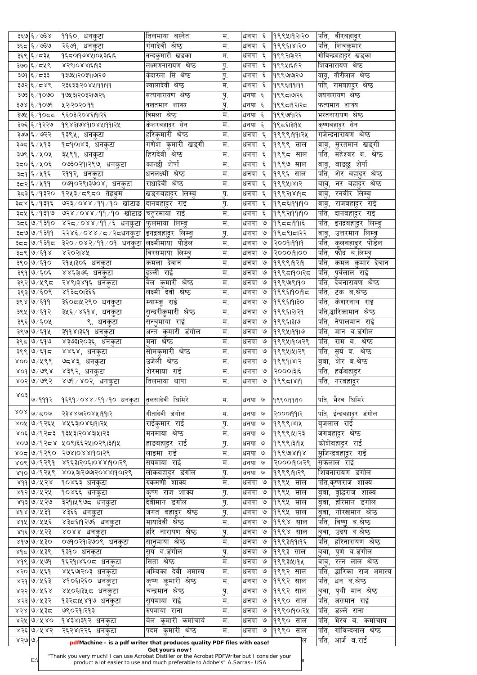|      | ३६७ ६ ⁄ ७३४                                    | ११६०, धनकुटा                                                                                   | तिलमाया बस्नेत                                                              | म.                | धनपा ६    | १९९५११२२०      | पति, वीरबहादुर                              |
|------|------------------------------------------------|------------------------------------------------------------------------------------------------|-----------------------------------------------------------------------------|-------------------|-----------|----------------|---------------------------------------------|
|      | ३६८ ∖६ / ७३७                                   | २६७१, धनकुटा                                                                                   | गंगादेवी श्रेष्ठ                                                            | म.                | धनपा ६    | १९९६।४।२०      | पति, शिवकुमार                               |
|      | ३६९∣६ ∕ ८३५                                    | १६८०१७४५१०५३१६१६                                                                               | नन्दकुमारी खडका                                                             | म.                | धनपा ६    | १९९२।३।२२      | गोविन्द्रबहा्दर खड्का                       |
|      | ३७० ६ ⁄ द५९                                    | ४२९१०४४।६११३                                                                                   | लक्ष्मणनारायण श्रेष्ठ                                                       | पु.               | धनपा ६    | ૧९९५।६।૧२      | शिवनारायण श्रेष्ठ                           |
|      | ३७९∣६ ∕ द३३                                    | १३७५।२०३१।७१२७                                                                                 | केदारला सिं श्रेष्ठ                                                         | पु.               | धनपा ६    | ৭९९७।७।२७      | वावु, गौरीलाल श्रेष्ठ                       |
|      | ३७२∣६ ∕ द४९                                    | २३६३३।२०४५।११।११                                                                               | ज्वालादेवी श्रेष्ठ                                                          | म.                | धनपा ६    | 9998199199     | पति, रामबहादुर श्रेष्ठ                      |
|      | ३७३ ६/१०७०                                     | १७५३।२०३२।७१२६                                                                                 | सत्यनारायण श्रेष्ठ                                                          | पु.               | धनपा ६    | १९९८1७१६       | जयनारायण श्रेष्ठ                            |
|      | ३७४ ६ / १०७१                                   | ५२ा२०२०१११                                                                                     | वखतमान शाक्य                                                                | पु.               | धनपा ६    | १९९८19२1२८     | फत्यमान शाक्य                               |
|      | ३७५ ६/१०८८                                     | १६०३१२०४६१११२६                                                                                 | विमला श्रेष्ठ                                                               | म.                | धनपा ६    | १९९७११२६       | भरतनारायण श्रेष्ठ                           |
|      | ३७६ ६ ⁄ १२२७                                   | 998319891084199124                                                                             | केशरबहादुर सेन                                                              | म.                | धनपा ६    | १९८६1३19४      | कृष्णबहादुर सेन                             |
|      | ३७७ ६ / ७२२                                    | १३९५, धनकुटा                                                                                   | हरिकुमारी श्रेष्ठ                                                           | म.                | धनपा ६    | 9९९९1991२५     | गजेन्द्रनारायण श्रेष्ठ                      |
|      | ३७८ दि∕ ५१३                                    |                                                                                                | गणेश कुमारी खड्गी                                                           | म.                | धनपा ६    | १९९९ साल       | वावु, सुरतमान खड्गी                         |
|      |                                                | १द१०।४३, धनकुटा                                                                                | हिरादेवी श्रेष्ठ                                                            |                   |           |                |                                             |
|      | ३७९ ६ ⁄ ५०५                                    | ३५९१, धनकुटा                                                                                   |                                                                             | म.                | धनपा ६    | १९९८ साल       | महेश्वर ब. श्रेष्ठ<br>पति,                  |
|      | ३८०∣६ ∕ ५०६                                    | ०७३०२१।२९७, धनकुटा                                                                             | कान्छी शेर्पा                                                               | म.                | धनपा ६    | १९९७ साल       | बाङछु शेर्पा<br>वावु,                       |
|      | ३द9∣६ ∕ ५१६                                    | २११२, धनकुटा                                                                                   | धनलक्ष्मी श्रेष्ठ                                                           | म.                | धनपा ६    | १९९६ साल       | पति,<br>शेर बहादुर श्रेष्ठ                  |
|      | ३द२∣६ ∕ ५११                                    | ०७१०२९।३७०४, धनकुटा                                                                            | राधादेवी श्रेष्ठ                                                            | म.                | धनपा ६    | १९९५।४।२       | नर बहादुर श्रेष्ठ<br>बावु,                  |
|      | ३८३∣६ ∕१३२०                                    | १२५३ ∕ द९द०  तेह्रथुम                                                                          | <b>खिड्गबहा</b> दुर लिम्ब्                                                  | पु.               | धनपा ६    | १९९२।४।१८      | रनवीर लिम्बु<br>वावु,                       |
|      | ३८४ ६ ∕ १३१६                                   | ७२३/०४४/११/१० खोटाङ                                                                            | दानबहादुर राइ                                                               | $\underline{q}$ . | धनपा ६    | १९८६।११।१०     | राजबहादुर राई<br>वावु,                      |
|      | ३द्र४∣६ ∕ १३१७                                 | ७२४⊄०४४ ⁄ ११ ⁄ १० खोटाङ   चतुरमाया) राइ                                                        |                                                                             | म.                | धनपा ६    | 9९९२199190     | पति,<br>दानबहादुर राई                       |
|      | ३८६ ७∕१३१०                                     | ४२८ ⁄ ०४४ ⁄ ११ ⁄ ६  धनकुटा  फुलमाया  लिम्बु                                                    |                                                                             | म.                | धनपा ७    | 9९८८1991६      | पति,<br>इनद्रबहादुर लिम्बु                  |
|      | ३८७∣७ ∕ १३११                                   | २२४६ ⁄ ०४४ ⁄ ८ ⁄ २८धनकुटा  इनद्रबहा्दर   लिम्बु                                                |                                                                             | पु.               | धनपा ७    | १९८९।८।२२      | उत्तरमान लिम्बु<br>वावु,                    |
|      | ३दद ७/१३१द                                     | ३२० ∕ ०४२ ⁄ ११ ⁄ ०१ धनकुटा ∣लक्ष्मीमाया   पोडेल                                                |                                                                             | म.                | धनपा ७    | 200919919      | पति,<br><u>कू</u> लबहादुर पौडेल             |
|      | ३८९ ७/६१४                                      | ४२०२१४५                                                                                        | विरसमाया लिम्बु                                                             | म.                | धनपा ७    | <b>SOODIOO</b> | फौद ब.लिम्बु<br>पति,                        |
|      | ३९० ७/६१०                                      | २१५।३०६ धनकुटा                                                                                 | कमला देवान                                                                  | म.                | धनपा ७    | 9९९९19२19      | पति,<br>कमल कुमार देवान                     |
|      | ३९१ ७/६०६                                      | ४४६३।७६ धनकुटा                                                                                 | दुल्ली राई                                                                  | म.                | धनपा ७    | १९९८।१०।२८     | पति, पुर्वलाल राइ                           |
|      | ३९२ ७⁄ ५९८                                     | <u>२४९।३४१६ धनकुटा</u>                                                                         | वेल कुमारी श्रेष्ठ                                                          | म.                | धनपा ७    | 99999190       | पति, देवनारायण श्रेष्ठ                      |
|      | ३९३ ७/६०९                                      | ४१३८०।३६६                                                                                      | लक्ष्मी देवी श्रेष्ठ                                                        | म.                | धनपा ७    | 1999 19019 5   | पति, टंक ब.श्रेष्ठ                          |
|      | ३९४ ७⁄६११                                      | ,३६०८।५२९० धनकुटा                                                                              | म्याम्कू राई                                                                | म.                | धनपा ७    | १९९६191३०      | पति, केशरनाथ राई                            |
|      | ३९५ ७/६१२                                      | ३५६ ⁄ ४६१४, धनकुटा                                                                             | सुन्दरीकुमारी श्रेष्ठ                                                       | म.                | धनपा ७    | १९९६।२।२१      | पति,द्धारिकामान श्रेष्ठ                     |
|      | ३९६ ७/६०५                                      | ९, धनकुटा                                                                                      | सन्चुमाया राई                                                               | म.                | धनपा ७    | १९९६।३।७       | र्पात, नेपालमान राई                         |
|      | ३९७ ७⁄६१५                                      | ३११४।३६१ धनकुटा                                                                                | अन्त कुमारी डंगोल                                                           | म.                | धनपा ७    | 999419919      | पति, मान ब.डंगोल                            |
|      | ३९८ ७/६१७                                      | ४३७३।२०३६, धनकुटा                                                                              | म़ुना श्रेष्ठ                                                               | म.                | धनपा ७    | १९९५1901२९     | राम ब. श्रेष्ठ<br>पति,                      |
|      | ३९९ ७/६१८                                      | ४४६४, धनकुटा                                                                                   | सोमकुमारी श्रेष्ठ                                                           | म.                | धनपा ७    | १९९५।५।२९      | पति,<br>सुर्य ब. श्रेष्ठ                    |
|      | ४०० ७/५९९                                      |                                                                                                | उजेली श्रेष्ठ                                                               | म.                | धनपा ७    | 99991812       | शेर ब.श्रेष्ठ                               |
|      |                                                | ७द४३, धनकुटा                                                                                   |                                                                             |                   |           |                | ्बवा,                                       |
|      | $x$ od   $x \rightarrow 8$                     | ४३९२, धनकुटा                                                                                   | शेरमाया राई                                                                 | म.                | धनपा ७    | २०००।३१६       | पति, हर्कबहादुर                             |
|      | ४०२ ७/७९२                                      | ४७१ ⁄ ४०२, धनकुटा                                                                              | तिलमाया थापा                                                                | म.                | धनपा ७    | 199951819      | पति,<br>नरबहादुर                            |
|      | 808/9992                                       | १६९१ ⁄ ०४४ ⁄ ११ ⁄ १० धनकुटा                                                                    | तिलसादेवी घिमिरे                                                            | म.                | धनपा ७    | 999019190      | पति, भैरव घिमिरे                            |
|      | $80$ $\frac{1}{9}$ $\frac{1}{9}$ $\frac{1}{9}$ | २३४४७१२०४५।११।२                                                                                | गीतादेवी डंगोल                                                              | म.                | धनपा ७    | २०००१११२       | पति, ईन्द्रबहादुर डंगोल                     |
|      | ४०५ ७⁄१२६५                                     | ४५६३१०४६१११२५                                                                                  | राईकुमार राई                                                                | पु.               | धनपा ७    | 99991812       | बृजलाल राई                                  |
|      |                                                | ४०६ ७/१२८३ ।१३५३।२०४३।५।२३                                                                     | मनमाया श्रेष्ठ                                                              | म.                | धनपा ७    | १९९९।५१२३      | जगबहादुर श्रेष्ठ                            |
|      |                                                | ४०७ ७/१२८४  ५०९।६६२५।०२९।३११५                                                                  | हाङबहादुर राई                                                               | <u>पु.</u>        | धनपा ७    | 999913194      | कोशेबहादुर राइ                              |
|      |                                                | ४०८ ७/१२९०  २७४।०४४।१०।२९                                                                      | लाइमा राई                                                                   | म.                | धनपा ७    | 99998198       | ।सजिन्द्रबहादुर रा <b>इ</b>                 |
|      | ४०९ ७/१२९१                                     | ४१६३।२०६।०४४।१०।२९                                                                             | सयमाया राई                                                                  | म.                | धनपा ७    | २०००१०१९       | <u>स</u> ुकलाल राई                          |
|      | ४१० ७/१२५९                                     | ४०४३१२७७१२०४४११०१२९                                                                            | लोकबहादुर डंगोल                                                             |                   | धनपा ७    | 999919129      | शिवनारायण डंगोल                             |
|      | ४११ ७/५२४                                      |                                                                                                | रुकमणी शाक्य                                                                | पु.<br>म.         | धनपा ७    | १९९५ साल       |                                             |
|      |                                                | १०४६३ धनकुटा                                                                                   |                                                                             |                   | धनपा ७    |                | पति,कृष्णराज शाक्य                          |
|      | ४१२ ७/५२५                                      | १०४६६ धनकुटा                                                                                   | कृष्ण राज शाक्य<br>देवीमान डंगोल                                            | पु.               |           | १९९५ साल       | बुवा, वूद्धिराज शाक्य<br>बुवा, हरिमान डंगोल |
|      | ४१३ ७/५२७                                      | ३२१।५९७८ धनकुटा                                                                                |                                                                             | पु.               | धनपा ७    | १९९५ साल       |                                             |
|      | ४१४ ७⁄ ५३१                                     | ४३६६ धनकुटा                                                                                    | जगत बहादूर श्रेष्ठ                                                          | पु.               | धनपा ७    | १९९५ साल       | गोरखमान श्रेष्ठ<br>बुवा,                    |
|      | ४१५ ७/५५६                                      | ४३८६।१२७६ धनकुटा                                                                               | मायादेवी श्रेष्ठ                                                            | म.                | धनपा ७    | १९९४ साल       | पति,<br>विष्णू ब.श्रेष्ठ                    |
|      | ४१६ ७/५२३                                      | ४०४४ धनकुटा                                                                                    | हरि नारायण श्रेष्ठ                                                          | <u>पु.</u>        | धनपा ७    | १९९४ साल       | उदय ब.श्रेष्ठ<br> ब़वा,                     |
|      | <u>४१७ ७/५३०</u>                               | <mark>०७१०२</mark> १।३७०९ धनकुटा                                                               | सानमाया श्रष्ठ                                                              | म.                | धनपा ७    | 9993199195     | पति, हरिनारायण श्रेष्ठ                      |
|      | ४१८ ७/५३९                                      | १३१० धनकटा                                                                                     | सूर्य ब.डंगोल                                                               | पु.               | धनपा ७    | १९९३ साल       | पूर्ण ब.डंगोल<br>ुववा,                      |
|      | ४१९ ७/५७१                                      | १६२१।४६०८ धनकटा                                                                                | सिता श्रेष्ठ                                                                | म.                | धनपा<br>৩ | 999314194      | रत्न लाल श्रेष्ठ<br>वाव,                    |
|      | ४२० ७/५६१                                      | ४५६७२०३ धनकुटा                                                                                 | अम्बिका देवी अमात्य                                                         | म.                | धनपा ७    | १९९२ साल       | पति,<br>द्धारिका राज अमात्य                 |
|      | ४२१ ७/५६३                                      | ४१०६।२६० धनकुटा                                                                                | कृष्ण कुमारी श्रेष्ठ                                                        | म.                | धनपा ७    | १९९२ साल       | पति.<br>धन ब.श्रेष्ठ                        |
|      | ४२२ ७/५६४                                      | ४५०६।३५८ धनकटा                                                                                 | चन्द्रमान श्रेष्ठ                                                           | पु.               | धनपा ७    | १९९२ साल       | पुथी मान श्रेष्ठ<br>बुवा,                   |
|      | ४२३ ७/५३२                                      | १३२८1५४१७ धनकटा                                                                                | सर्यमाया राई                                                                | म.                | धनपा ७    | १९९० साल       | पति,<br>जसमान राई                           |
|      | ४२४ ७/५३८                                      | ७९०२१।२१३                                                                                      | रुपमाया राना                                                                | म.                | धनपा ७    | १९९०११०१५      | पति,<br>डल्ले राना                          |
|      | $834$ $9480$                                   | १४३४।३१२ धनकटा                                                                                 | बेल कुमारी कर्माचार्य                                                       | म.                | धनपा ७    | १९९० साल       | पति,<br>भैरव ब. कमोचार्य                    |
|      | $855$   ७/५४२                                  | २६२४।२२६ धनकुटा                                                                                | पदम कमारी श्रेष्ठ                                                           | म.                | धनपा ७    | १९९०<br>साल    | पति,<br>गोविन्दलाल श्रेष्ठ                  |
| 8290 |                                                |                                                                                                | pdfMachine - is a pdf writer that produces quality PDF files with ease!     |                   |           | लि             | पति, आर्ज ब.राई                             |
|      |                                                |                                                                                                | Get yours now!                                                              |                   |           |                |                                             |
|      | E                                              | "Thank you very much! I can use Acrobat Distiller or the Acrobat PDFWriter but I consider your | product a lot easier to use and much preferable to Adobe's" A. Sarras - USA |                   |           |                |                                             |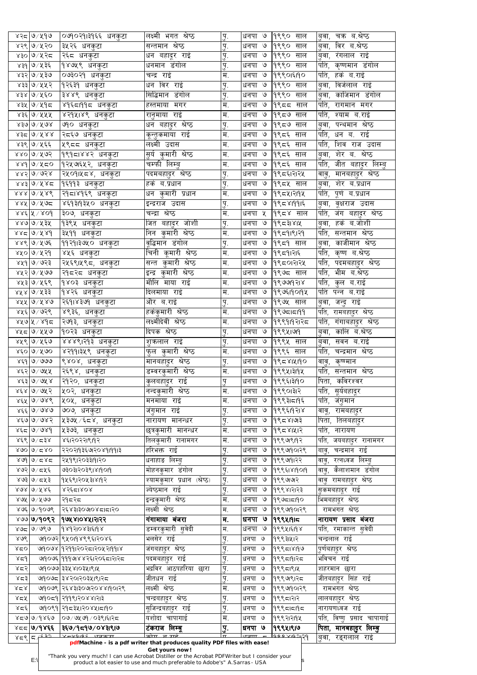|            | ४२८ ७/५१७              | ०७१०२१।३१६६ धनकुटा            | लक्ष्मी भगत श्रेष्ठ              | $\overline{A}$            | धनपा ७                | १९९०<br>साल          | चक्र ब.श्रेष्ठ<br>बुवा,                           |
|------------|------------------------|-------------------------------|----------------------------------|---------------------------|-----------------------|----------------------|---------------------------------------------------|
|            | ४२९ ७/५२०              | ३५२६ धनकुटा                   | सन्तमान श्रेष्ठ                  | <u>पु.</u>                | $\mathcal{O}$<br>धनपा | १९९०<br>साल          | विर ब.श्रेष्ठ<br>बवा,                             |
|            | ४३० ७/५२८              | <sub>।</sub> २६द धनकुटा       | <u>धिन बहादूर राई</u>            | <u>पु.</u>                | धनपा ७                | १९९०<br>साल          | रंगलाल राई<br>बवा,                                |
|            | ४३१ ७/५३६              | १४७५९ धनकुटा                  | धनमान डंगोल                      | <u>पु.</u>                | धनपा ७                | १९९० साल             | पति, कृष्णमान डंगोल                               |
|            | ४३२ ७/५३७              | <sub>।</sub> ०७३०२१ धनकुटा    | चन्द्र राई                       | $\overline{\mathbf{H}}$ . | धनपा ७                | १९९०१६११०            | पति,<br>हर्क ब.राई                                |
|            | ४३३ ७/५५२              | १२६३१ धनकुटा                  | धन विर राई                       | पु.                       | धनपा ७                | १९९० साल             | विर्जलाल राई<br>बुवा,                             |
|            | ४३४ ७/५६०              | <sub>।</sub> ३४४९ धनकुटा      | सिद्धिमान डंगोल                  | पु.                       | धनपा ७                | १९९०<br>साल          | काजिमान डंगोल<br>बवा,                             |
|            | ४३५ ७/५१८              | ४१६८।११८ धनकुटा               | हस्तमाया मगर                     | म.                        | धनपा ७                | १९८८ साल             | पति,<br>रागमान मगर                                |
|            | ४३६ ७⁄५५५              | <sub>।</sub> ४२१५।४९ धनकुटा   | रानुमाया राई                     | 'म.                       | धनपा ७                | १९८७ साल             | पति,<br>श्याम ब.राई                               |
|            | ४३७ ७/५७४              | ७१० धनकुटा                    | 'धन बहादुर श्रेष्ठ               |                           | धनपा ७                | १९८७ साल             | 'बुवा, पन्थमान श्रेष्ठ                            |
|            |                        |                               |                                  | पु.<br>म.                 | धनपा ७                | १९८६ साल             | पति,<br>धन ब. राई                                 |
|            | ४३⊄∣७∕४४४              | <sub>।</sub> २द६७ धनकुटा      | कून्तुकमाया राई<br>लक्ष्मी उदास  |                           |                       |                      |                                                   |
|            | ४३९ ७/५६६              | ५९८८ धनकुटा                   |                                  | म.                        | धनपा ७                | १९८६<br>साल          | शिव राज उदास<br>पति,                              |
|            | ४४० ७/५७२              | १९१द।४४२ धनकुटा               | सुर्य कुमारी श्रेष्ठ             | म.                        | धनपा ७                | १९८६ साल             | शेर ब. श्रेष्ठ<br>ुववा,                           |
|            | ४४१ ७/५८०              | १२५७६५२, धनकुटा               | चम्फी लिम्बु                     | म.                        | धनपा ७                | १९८६ साल             | पति,<br><u>जीत बहादुर लिम्बु</u>                  |
|            | $885$ $\sigma$ / $958$ | <sub>।</sub> २५०१।५८४, धनकुटा | पदमबहादुर श्रेष्ठ                | पु.                       | धनपा ७                | १९८६।२।२५            | मानबहादुर श्रेष्ठ<br>वावु,                        |
|            | ४४३ ७/५४८              | १६११३ धनकुटा                  | हर्क ब.प्रधान                    | पु.                       | धनपा ७                | १९८५ साल             | बुवा, शेर ब.प्रधान                                |
|            | 888 2188               | २१८।४१६९ धनकुटा               | <u>धन</u> कुमारी प्रधान          | म.                        | धनपा ७                | १९८५।२११५            | पति,<br>पूर्ण ब.प्रधान                            |
|            | ४४५  ७ <i>/५७</i> द    | ४६१३।१३५० धनकुटा              | इन्द्रराज उदास                   | पु.                       | धनपा ७                | १९८४1991६            | वूक्षराज उदास<br>बुवा,                            |
|            | $886$ X $\sqrt{20}$    | ३०७, धनकुटा                   | चन्द्रा श्रेष्ठ                  | म.                        | धनपा ५                | १९८४ साल             | पति, जंग बहादुर श्रेष्ठ                           |
|            | $880$ $\alpha$ $\beta$ | १३९५ धनकुटा                   | जित बहा <u>द</u> ुर जोशी         | पु.                       | धनपा ७                | १९८३।४।५             | हर्क ब.जोशी<br>बुवा,                              |
|            | ४४८ ७/५४१              | ३५११ धनकुटा                   | निन कुमारी श्रेष्ठ               | म.                        | धनपा ७                | 995919129            | पति,<br>सन्तमान श्रेष्ठ                           |
|            | ४४९ ७/५७६              | ११२१।३७५० धनकुटा              | वूद्धिमान डंगोल                  | पु.                       | धनपा ७                | १९८१ साल             | काजीमान श्रेष्ठ<br>डुवा,                          |
|            | ४५० ७/५२१              | ४५६ धनकुटा                    | चिनी कूमारी श्रेष्ठ              | म.                        | धनपा ७                | १९८१।२१६             | पति,<br>कृष्ण ब.श्रेष्ठ                           |
|            | ४५१ ७/७२३              | २५६९।५९८, धनकुटा              | सन्त कुमारी श्रेष्ठ              | म.                        | धनपा ७                | १९८०१२१५             | पति,<br>पदमबहा्दर श्रेष्ठ                         |
|            | ४५२ ७/५७७              | २१८२८ धनकुटा                  | इन्द्र कुमारी श्रेष्ठ            | म.                        | धनपा ७                | १९७८ साल             | भीम ब.श्रेष्ठ<br>पति,                             |
|            | ४५३ ७/५६९              | <u> १४०३ धनकुटा</u>           | मौलि माया राई                    | म.                        | धनपा ७                | 199999718            | <u>पिति, कुल ब.राई</u>                            |
|            | ४५४ ७/५३३              | १४२६ धनकुटा                   | दिलमाया राई                      | म.                        | धनपा ७                | 19९७६19019५          | पति पन्न ब.राई                                    |
|            | ४५५ ७/५४७              | २६१।४३७१ धनकुटा               | और ब.राइ                         | पु.                       | धनपा ७                | १९७५ साल             | ।बुवा, जन्दु रा <b>ई</b>                          |
|            | ४५६ ७/७२९              | ४९३६, धनकुटा                  | हर्ककुमारी श्रेष्ठ               | म.                        | धनपा ७                | 199515199            | र्पात, रामबहादुर श्रेष्ठ                          |
|            |                        |                               | लक्ष्मीदेवी श्रेष्ठ              | म.                        | धनपा ७                |                      |                                                   |
|            | ४५७ ५ / ४१८            | २७१३, धनकु <u>टा</u>          |                                  |                           |                       | १९९१।१२।२८           | पति, गंगाबहादुर श्रेष्ठ                           |
|            | ४५८ ७/५५७              | १०२३ धनकुटा                   | दिपक श्रेष्ठ                     | पु.                       | धनपा ७                | 1९९५1७19             | कालि ब.श्रेष्ठ<br>बुवा,                           |
|            | ४५९ ७/५६७              | ४४४९।२१३ धनकुटा               | 'शुकलाल राई                      | $\overline{A}$            | धनपा ७                | १९९५ साल             | सवन ब.राई<br>'बुवा,                               |
|            | ४६० ७/५७०              | <sub>।</sub> ४२११।३५९ धनकुटा  | फुल कुमारी श्रेष्ठ               | म.                        | धनपा ७                | १९९६ साल             | पति,<br>चन्द्रमान श्रेष्ठ                         |
|            | $858/9$ । $878$        | <sub>।</sub> ९४०४, धनकुटा     | ।मानबहादुर श्रेष <u>्</u> ठ      | पु.                       | धनपा ७                | 9९८४1५190            | कृष्ण्मान<br>वावु,                                |
|            | ४६२ ७/७५५              | २६९४, धनकुटा                  | डम्वरकुमारी श्रेष्ठ              | म.                        | धनपा ७                | 1999413194           | र्पात, सन्तमान श्रेष्ठ                            |
|            | ४६३ ७/७५४              | २१२०, धनकुटा                  | कुलबहादुर राइ                    | पु                        | धनपा ७                | १९९६।३११०            | कविरश्वर<br>पिता,                                 |
|            | ४६४ ७/७५२              | ५०२, धनकुटा                   | <u> नन्दकु</u> मारी श्रेष्ठ      | म.                        | धनपा ७                | १९९०।३।२             | पति, सूर्यबहादूर                                  |
|            | ४६५ ७/७४९              | <sub>।</sub> ५०५, धनकुटा      | मनमाया राई                       | म.                        | धनपा ७                | १९९३।८१९             | पति,<br>जगुमान                                    |
|            | $866/\sqrt{98}$        | <sub>।</sub> ७०७, धनकुटा      | 'जगुमान राई                      | पु.                       | धनपा ७                | १९९६19२1४            | वावू, रामबहादुर                                   |
|            | ४६७ ७/७४२              | ५३७५ ∕ ६८४, धनकुटा            | नारायण मानन्धर                   | <u>पु.</u>                | धनपा ७                | १९८४।७३              | पिता, तिलबहादुर                                   |
|            | $\gamma$ ४६८   ७/७४१   | ५३७३, धनकुटा                  | छत्रकुमारी मानन्धर               | म.                        | धनपा ७                | १९८४।५।२             | पति,<br>नारायण                                    |
|            | ४६९ ७/ ८३४             | ४६।२०२२।९।१२                  | lतिलकुमारी <mark>रानामगर</mark>  | म.                        | धनपा ७                | १९९७९७२              | र्पात, जयबहादुर रानामगर                           |
|            | $8006\times80$         | २२०२११३६७१२०४१।११।३           | हरिभक्त राई                      | पु.                       | धनपा ७                | १९९७१०१२९            | <sup>।</sup> बावु, चन्द्रमान राई                  |
|            | $80d/a$ $20d$          | २५१९।२०३३।१।२०                | धनाहाङ लिम्बु                    | पु.                       | धनपा ७                | १९९७११२२             | वावु, रत्नध्वज लिम्बु                             |
|            | ४७२ ७/८५६              | ७३०३।२०३९।४।१०।१              | मोहनकुमार डंगोल                  | पु.                       | धनपा ७                | 99981819019          | वावु, कैलाशमान डंगोल                              |
|            | ४७३ ७/८५३              | १५६९1२०५३1४19२                | श्यामकुमार प्रधान (श्रेष्ठ)      | पु.                       | धनपा ७                | १९९७७१२              | वावु रामबहादुर श्रेष्ठ                            |
|            | 8086/1286              | ४२६८१४०४                      | ज्येष्ठमान राइ                   |                           | धनपा ७                | १९९४।२।२३            | सुकमबहादूर राई                                    |
|            | ४७५  ७∕ ५७७            | २१८२८                         | इन्द्रकुमारी श्रेष <u>्</u> ठ    | पु.<br>म.                 | धनपा ७                | 9959790              |                                                   |
|            | $800\%$ । $80\%$       |                               | लक्ष्मी श्रेष्ठ                  |                           | धनपा ७                |                      | भिमबहादूर श्रेष्ठ                                 |
|            |                        | २६४३1३०७०४८1८१२०              |                                  | म.                        |                       | १९९७१०१२९            | रामभगत श्रेष्ठ                                    |
|            | $809$  ७/१०९२          | 19988108815155                | गंगामाया बंजरा                   | म.                        | धनपा ७                | 1९९५1915             | नारायण प्रसाद बंजरा                               |
|            | ४७८ ७/७९७              | 9892108315198                 | <u>डम्वरकुमारी सु</u> वेदी       | म.                        | धनपा ७                | १९९५1६19४            | पति, रमाकान्त सुवेदी                              |
| 808        |                        | <u>णि</u> ०७२ ९५०११४९९६।२०४६  | भलसेर राई                        | पू.                       | धनपा ७                | १९९३।५।२             | चन्द्रलाल राई                                     |
| 850        |                        | ७१०७४ १९९१।२०२८।२०५२।११।४     | जगबहादुर श्रेष्ठ                 | $\overline{y}$ .          | धनपा ७                | 999518196            | पुर्णबहादुर श्रेष्ठ                               |
| 829        |                        | ७१०७६ १११७४४२६।२०६८।२।२८      | पदमबहा्दर राई                    | पु.                       | धनपा ७                | १९९८191२८            | भविचन राई                                         |
| 853        |                        | ७१०७७  ३३५४1०३५१९१५           | भद्रविर आठपहरिया छारा            | $\overline{q}$ .          | धनपा ७                | १९९८1९1५             | शहरमान छारा                                       |
| 828        |                        | ७१०७८ ३४२०१२०३५१९१२८          | जीतधन राई                        | पु.                       | धनपा ७                | १९९७९।२८             | सिंह राई<br>जीतबहा्दर                             |
| xzx        |                        | ७१०७९ रि६४३।३०७१२०४४।१०१२९    | लक्ष्मी श्रेष्ठ                  | म.                        | धनपा ७                | १९९७१०१२९            | रामभगत श्रेष्ठ                                    |
|            |                        | ७१०८१ २११९।२०४४।२।३           | चन्द्रबहा्दर श्रेष्ठ             | पु.                       | धनपा ७                | १९९८1२1२             | लालबहादुर श्रेष्ठ                                 |
|            |                        | ७१०९१ २१८३५।२०४५।८१०          | सूजिन्द्रबहा्दर राई              | पु.                       | धनपा ७                | 999515195            | नारायणध्वज राई                                    |
|            |                        | ०७/७५७१/०३९।६।२८              | यशोदा चापागाई                    | म.                        | धनपा ७                | १९९२1२19५            | पति, विष्णु प्रसाद चापागाई                        |
| xzx<br>358 | ४८७ ७/१४६७             |                               |                                  |                           |                       |                      |                                                   |
|            | ४दद ७/१४६६             | ३६७/१८१७/०४३।९।७              |                                  |                           | ।धनपा ७               | 99941919             |                                                   |
| $85$   द   | د د ع                  | $V = 0.0105$ error            | टंकराज लिम्बू<br>ਤਹੇਸ਼ਾਂ ਕਾ ਸਾਰੇ | ।पु.<br>$\mathbf{H}$      |                       | <u> lo de o comp</u> | मानबहादुर लिम्बु<br> पिता,<br>रङ्गलाल राई<br>बवा, |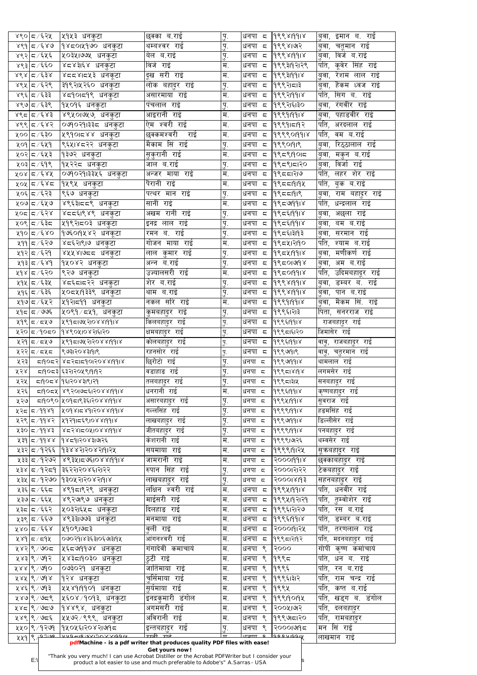|       | ४९० द7६२५      | ∣५१५३ धनकुटा                                                                                   | छक्का ब.राई                                                                                                                                                              | $\overline{A}$            | धनपा द                           | 999819918         | बुवा, इमान ब. राई         |
|-------|----------------|------------------------------------------------------------------------------------------------|--------------------------------------------------------------------------------------------------------------------------------------------------------------------------|---------------------------|----------------------------------|-------------------|---------------------------|
|       | ४९१   दर््४७   | १४८०।५१७० धनकुटा                                                                               | थम्बश्वर राई                                                                                                                                                             | पु.                       | धनपा द                           | 9९९४1७१२          | बुवा, चतूमान राई          |
|       | ४९२ ८४६५६      | ५०३५।७७५ धनकुटा                                                                                | बेल ब.राई                                                                                                                                                                | पु.                       | धनपा द                           | 999819918         | बुवा, विर्ज ब.राई         |
|       | ४९३ ८ ⁄ ६६०    | ४८४३।६४ धनकुटा                                                                                 | विर्ज राई                                                                                                                                                                | म.                        | धनपा द                           | १९९३19२1२९        | पति, कुवेर सिंह राई       |
|       | ४९४ ८ ⁄ ६३४    | ४दद४।द५३ धनकूटा                                                                                | दूख सरी राई                                                                                                                                                              | म.                        | धनपा द                           | 9९९३1991४         | बुवा, रेशम लाल राई        |
|       | ४९५   द7६२९    | <sub>।</sub> ३१९२।५२६० धनकुटा                                                                  | लोक बहादुर राई                                                                                                                                                           | $\overline{A}$            | धनपा द                           | १९९२।दा३          | बूवा, हैकम ध्वज राई       |
|       | ४९६ ८ ⁄ ६३३    | ४द9०।द9९ धनकुटा                                                                                | असारमाया राई                                                                                                                                                             | म.                        | धनपा द                           | 9९९२1991४         | र्पात, सिग ब. राई         |
|       | ४९७ द7६३९      |                                                                                                | पंचलाल राई                                                                                                                                                               |                           | धनपा<br>$\overline{\mathsf{c}},$ | १९९२ा६।३०         | रंगवीर राई                |
|       |                | १५०१६ धनकुटा                                                                                   |                                                                                                                                                                          | $\mathbf{h}$              |                                  |                   | ुववा,                     |
|       | ४९८ ८/६४३      | <sub>।</sub> ४९५०।७५७, धनकुटा                                                                  | आइरानी राई                                                                                                                                                               | म.                        | धनपा द                           | 99999918          | पहाडवीर राई<br>्बवा,      |
|       | ४९९   दर्∕ ६४२ | ०७१०२१।३३८ धनकुटा                                                                              | ऐम श्वरी राई                                                                                                                                                             | म.                        | धनपा द                           | १९९१।८११२         | पति,<br>अरदलाल राई        |
|       | ५०० द ∕६३०     | ५९१०।८४४ धनकुटा                                                                                | छक्कमश्वरी राई                                                                                                                                                           | म.                        | धनपा द                           | 999901918         | पति,<br>वम ब.राई          |
|       | ५०१ ८∕६५१      | ९६५।४८२२ धनकुटा                                                                                | मैकाम सिं राई                                                                                                                                                            | पु.                       | धनपा द                           | 99901919          | रिठ्ठालाल राई<br>बवा,     |
|       | ५०२∣८ ∕६५३     | १३७२ धनकुटा                                                                                    | सुकुरानी राई <b>।</b>                                                                                                                                                    | म.                        | धनपा द                           | १९८९19015         | बुवा, मकुन ब.राई          |
|       | ५०३ ८∕६१९      | १५२२८ धनकुटा                                                                                   | जाल ब.राई                                                                                                                                                                | $\dot{B}$                 | धनपा द                           | 9९८९।८१२०         | 'बुवा, विजा राई           |
|       | ५०४ ८∕६४५      | ०७१०२१।३३५६ धनकुटा                                                                             | अन्जर माया राई                                                                                                                                                           | म.                        | धनपा द                           | १९८८।२७           | पति, लहर शेर राई          |
|       | ५०५∣८ ∕६४८     | १५९५ धनकुटा                                                                                    | पैरानी राई                                                                                                                                                               | म.                        | धनपा द                           | 995519194         | पति, बूक ब.राइं           |
|       | ५०६∣८ ∕६२३     | ९६७ धनकुटा                                                                                     | पत्थर मान राई                                                                                                                                                            | पु.                       | धनपा<br>$\overline{5}$           | 99551919          | बुवा, राम बहा्दर राई      |
|       | ५०७∣८ ∕६५७     | ४९६३।दद९ धनकुटा                                                                                | सानी राई                                                                                                                                                                 | म.                        | धनपा द                           | 99599918          | पति,<br>धन्द्रलाल राई     |
|       | ५०द द ∕६२४     | ⊦४८८६।९४९ धनकुटा                                                                               | अखम रानी राई                                                                                                                                                             |                           | धनपा<br>$\zeta$                  | १९८६।११।४         | अछला राई<br>्बवा,         |
|       | ५०९ द ∕६३द     | ५१९२।८०३ धनकुटा                                                                                | इनद्र लाल राई                                                                                                                                                            | $\dot{B}$                 | धनपा द                           | १९८६1991४         | बम ब.राई                  |
|       |                |                                                                                                |                                                                                                                                                                          | पु.                       |                                  |                   | ्बवा,                     |
|       | ५१०∣८ ∕६४०     | १७६०।१४४२ धनकूटा                                                                               | रमन ब. राई                                                                                                                                                               | पु.                       | धनपा द                           | 9९८६1३19३         | बुवा, सरमान राई           |
|       | ५११ ⊄ ∕६२७     | ४द६२।९।७ धनकुटा                                                                                | गोजन माया राई                                                                                                                                                            | $\overline{\mathbf{H}}$ . | धनपा द                           | १९८५।२११०         | पति,<br>श्याम ब.राई       |
|       | ५१२∣८ ∕ ६२१    | ४५५४।७दद धनकुटा                                                                                | लाल कुमार राई                                                                                                                                                            | $\mathbf{h}$              | धनपा द                           | १९८५1991४         | मणीकणं राई<br>बवा,        |
|       | ५१३∣८∕६४९      | १५०४२ धनकुटा                                                                                   | अन्न ब.राई                                                                                                                                                               | $\dot{B}$                 | धनपा द                           | 99501998          | बुवा, अम ब.राई            |
|       | ५१४∣८ ∕६२०     | ९२७ धनकुटा                                                                                     | उज्यालसरी राई                                                                                                                                                            | $\overline{\mathbf{H}}$ . | धनपा द                           | 195019918         | पति, उदिमबहादूर राइ       |
|       | ५१५ ⊄ ∕ ६३५    | ४द६दाद२२ धनकुटा                                                                                | शेर ब.राइ                                                                                                                                                                | प.                        | धनपा द                           | 999819918         | <u>बुवा, डम्बर ब. राई</u> |
|       | ५१६∣८ ∕ ६३६    | ५०८५।१३३९ धनकुटा                                                                               | थाम ब.राई                                                                                                                                                                | पु.                       | धनपा द                           | 999819918         | बुवा, पान ब.राई           |
|       | ५१७∣८ ∕६५२     | ५१२।द9१ धनकुटा                                                                                 | नकल सरि राई                                                                                                                                                              | म.                        | धनपा द                           | 99999918          | बुवा, मैकम सि. राई        |
|       | ५१८   द ∕ ७७६  | ५०९१ ⁄ द५१,  धनकुटा                                                                            | कुमबहादुर राई                                                                                                                                                            | $\overline{A}$            | धनपा द                           | १९९६।२।३          | पिता, सनरराज राई          |
|       | ५१९ ८ ∕ द५७    | 295192708819918                                                                                | किलबहादुर राई                                                                                                                                                            | $\mathbf{h}^{\prime}$     | धनपा द                           | १९९६1991४         | राजबहादुर राई             |
|       | ५२० द79०द०     | १४९०५।०४२।६।२०                                                                                 |                                                                                                                                                                          |                           | धनपा द                           | १९९८ा६।२०         | जिमासेर राई               |
|       |                |                                                                                                | क्षमबहादुर राई                                                                                                                                                           | पु.                       |                                  |                   |                           |
|       | ५२१∣८ ∕ द५७    | 299519271708819918                                                                             | कोलबहादुर राई                                                                                                                                                            | पु.                       | धनपा द                           | 9९९६1991४         | वावु, राजबहादुर राई       |
|       | ५२२ ८/८५८      | १७३१२०४३१११९                                                                                   | रहनसोर राई                                                                                                                                                               | $\mathbf{y}$ .            | धनपा द                           | 9999919           | वावु, चतुरमान राई         |
| ५२३।  |                | 519052 852515901208819918                                                                      | छिरोटो राई                                                                                                                                                               | पु.                       | धनपा द                           | 9९९७१११४          | थामलाल राई                |
| ५२४।  |                | ८११७४२।२०५९। दाव                                                                               | वडाहाङ राई                                                                                                                                                               | पु.                       | धनपा द                           | 999518198         | लगमसेर राई                |
| ५२५।  |                | ८१९७४ विद्यालय होता र                                                                          | 'तलबहादुर राई                                                                                                                                                            | पु.                       | धनपा द                           | १९९८1३1५          | सनबहादूर राई              |
| ५२६   |                | 519052 892019581208819918                                                                      | धनरानी राई                                                                                                                                                               | म.                        | धनपा द                           | 9९९६1991४         | कृष्णबहादुर राई           |
| ५२७   |                | ८११०९० ५०१८१९३६।२०४४।११।४                                                                      | असारबहादुर राइ                                                                                                                                                           | $\overline{A}$            | धनपा द                           | 999419918         | सूवराज राई                |
|       |                | 275 5180801208 275                                                                             | गल्लसिंह राई                                                                                                                                                             | पु.                       | धनपा द                           | 99991918          | हङमसिंह राई               |
|       |                | ४२९ = 1998२ - १११२१ = २४७७ 1991                                                                | लाखबहादुर राई                                                                                                                                                            | पु.                       | धनपा द                           | 99999918          | डिल्लीसेर राई             |
|       |                | 830 21881208108819918                                                                          | जीतबहादुर राई                                                                                                                                                            | पु.                       | धनपा द                           | 99991918          | पनबहादुर राई              |
|       |                | ४३१ = 1988   १४८१   २४ % २   १२६                                                               | केशरानी राई                                                                                                                                                              | म.                        | धनपा द                           | १९९९।७२६          | थम्वसेर राई               |
|       |                | ५३२ 5/9२६६ 9३४४२1२०४२191२५                                                                     | सयमाया राई                                                                                                                                                               | म.                        | धनपा द                           | 9९९९191२५         | सूकबहादुर राई             |
|       |                | ४३३ ८/१२७२  ४९३५।८७६।०४४।११।४                                                                  | जामरानी राई                                                                                                                                                              | म.                        | धनपा द                           |                   |                           |
|       |                |                                                                                                |                                                                                                                                                                          |                           |                                  | 500019118         | छक्काबहा्दर राई           |
|       |                | ५३४ ८ ⁄ १२८१  ३६२२।२०४६।२।२२                                                                   | रुपान सिंह राई                                                                                                                                                           | पु.                       | धनपा द                           | २०००।२१२२         | टिकबहादुर राई             |
|       |                | ४३५   ८/१२७०   १३०५२।२०४२।१।४                                                                  | लाखबहादुर राई                                                                                                                                                            | $\overline{A}$            | धनपा द                           | २०००१४११३         | सहनबहा्दर राई             |
|       | ५३६ द ∕ ६६द    | ४९१द।९२९ धनकुटा                                                                                | लक्षिन श्वरी राई                                                                                                                                                         | म.                        | धनपा द                           | 9९९५1991४         | र्पात, धनवीर राई          |
|       | ५३७∣ ८ ∕ ६६५   | ४९२७९७ धनकुटा                                                                                  | माईसरी राई                                                                                                                                                               | म.                        | धनपा द                           | १९९५।१२।२१        | पति, तुम्वोशेर राई        |
|       | ५३द ⊄ ∕ ६६२    | ५०३२।६५८ धनकुटा                                                                                | दिलहाङ राई                                                                                                                                                               | म.                        | धनपा द                           | १९९६।२।२७         | पति, रस ब.राइ             |
|       | ५३९ ८ ∕ ६६७    | ४९३३।७७३ धनकुटा                                                                                | मनमाया राई                                                                                                                                                               | म.                        | धनपा द                           | 9९९६1991४         | पति, डम्बर ब.राई          |
|       | ५४० द ∕६६४     | ५१०९।७८३                                                                                       | वली राई                                                                                                                                                                  | म.                        | धनपा द                           | २०००११२५          | र्पात, तरणलाल राई         |
|       | ५४१ द/ द१४     | ०७०२१।४३६३।०६७।३।१५                                                                            | आंगनश्वरी राई                                                                                                                                                            | म.                        |                                  | धनपा ८  १९९८।२।१२ | $ $ पति, मदनबहाटुर राइं   |
|       | ५४२ ९/७०८      | ५६८७११७४ धनकटा                                                                                 | गंगादेवी कमाचार्य                                                                                                                                                        | म.                        | धनपा ९                           | 2000              | गोपी<br>कष्ण कर्माचार्य   |
|       | ५४३ ९ ⁄ ७१२    | ५४३दा9०३० धनकुटा                                                                               | ठटी राई                                                                                                                                                                  | म.                        | धनपा ९                           | १९९८              | धन ब. राई<br>पति,         |
|       | ४४४ ९/७१०      | ०७३०२१ धनकटा                                                                                   | जातिमाया राई                                                                                                                                                             | म.                        | धनपा ९                           | १९९६              | पति,<br>रन ब.राई          |
|       | ४४४  ९ / ७१४   | १२४ धनकटा                                                                                      | चुर्सिमाया राई                                                                                                                                                           | म.                        | धनपा ९                           | १९९६।३।२          | पति,<br>राम चन्द्र राई    |
|       | ५४६ ९ ⁄ ७१३    | ५५४१।११०१ धनकटा                                                                                | सर्यमाया राई                                                                                                                                                             | म.                        | ९<br>धनपा                        | १९९५              | पति,<br>कष्त ब.राई        |
|       |                |                                                                                                |                                                                                                                                                                          |                           |                                  |                   |                           |
|       | ५४७ ९/७८९      | ∣५६०४ ∕१०१३, धनकुटा                                                                            | इनद्रकुमारी डंगोल                                                                                                                                                        | म.                        | धनपा ९                           | 999190194         | खड्ग ब. डंगोल<br>पति,     |
|       | ५४८∣९ ⁄ ७द७    | १४४९४, धनकुटा                                                                                  | अगमसरी राई                                                                                                                                                               | म.                        | धनपा ९                           | २००५।७२           | पति,<br>दलबहादुर          |
|       | ५४९ ९ / ७८६    | ∣५५७२ ⁄ ९९९, धनकुटा                                                                            | अविरानी राई                                                                                                                                                              | म.                        | धनपा ९                           | १९९७८ा२०          | पति,<br>रामबहादुर         |
|       | ५५० ९ ⁄ १२७१   | १५०५६।२०४२।७१८                                                                                 | इन्तबहादुर राई                                                                                                                                                           | पु.                       | धनपा ९                           | २०००।७१८          | मन सिं राई                |
| ५५१ ९ |                | Anagivvaria avisovvia soul                                                                     | ਸਾਣੀ ਸਾਣ                                                                                                                                                                 | $\mathbf{T}$              | $e$ <del>runn</del> $q$          | lagoujaay         | लाखमान राई                |
|       | $E:\setminus$  | "Thank you very much! I can use Acrobat Distiller or the Acrobat PDFWriter but I consider your | pdfMachine - is a pdf writer that produces quality PDF files with ease!<br>Get yours now!<br>product a lot easier to use and much preferable to Adobe's" A. Sarras - USA |                           |                                  |                   |                           |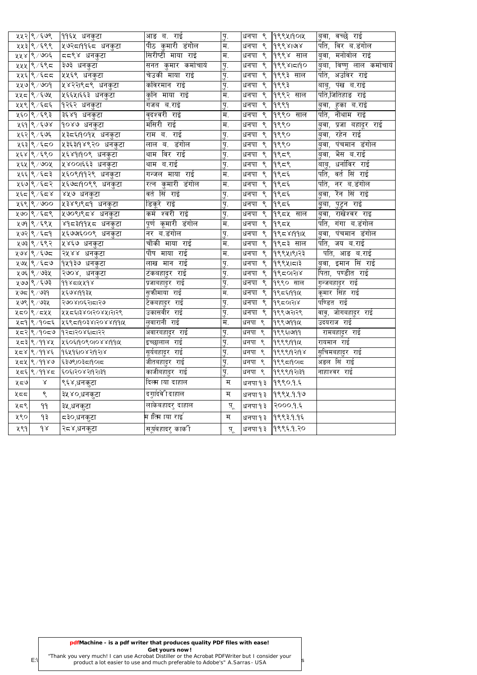|      | ५५२ ९ ⁄ ६७९  | ११६५ धनकुटा                       | आङ ब. राई                 | $\overline{A}$     | धनपा<br>९                           | १९९५।१०।५    | वच्छे राई<br>ुववा,             |
|------|--------------|-----------------------------------|---------------------------|--------------------|-------------------------------------|--------------|--------------------------------|
|      | ५५३ ९ ⁄ ६९९  | ५७२दा9१६द धनकुटा                  | पीठ कुमारी डंगोल          | म.                 | $\mathcal{S}_{\mathcal{S}}$<br>धनपा | 99981918     | पति,<br>विर ब.डंगोल            |
|      | ५५४ ९/७०६    | दद९४ धनकुटा                       | सिरीष्टी माया राई         | म.                 | ९<br>धनपा                           | १९९४ साल     | मनोवोल राई<br>बूवा,            |
|      | ५५५∣९ ∕ ६९८  | ३७३ धनकुटा                        | सनत कुमार कमोचार्य        | पु.                | ९<br>धनपा                           | 9९९४15190    | विष्णू लाल कर्माचार्य<br>ड़बा, |
|      | ५५६ ९ ⁄ ६८८  | ५५६९ धनकुटा                       | चेउकी माया राइ            | पु.                | ९<br>धनपा                           | १९९३ साल     | पति,<br>अउविर राई              |
|      | ५५७ ९ / ७०१  | ५४२२।९८९ धनकुटा                   | कविरमान राई               | पु.                | धनपा<br>९                           | १९९३         | पंख ब.राई<br>बाबू,             |
|      | ५५८ ९ ⁄ ६७५  | ५६६५।६६३ धनकुटा                   | कुनि माया राई             | म.                 | ९<br>धनपा                           | $ 9$ ९९२ साल | पति,जितिहाङ राई                |
|      | ५५९ ९ ⁄ ६८६  | १२६२ धनकुटा                       | गजब ब.राई                 | पु.                | ९<br>धनपा                           | 9999         | बुवा, हुका ब.राई               |
|      | ५६० ९ ⁄ ६९३  | ३६४१<br>धनकुटा                    | वृदश्वरी राई              | म.                 | धनपा<br>९                           | १९९० साल     | पति,<br>नौथाम राई              |
|      | ५६१ ९ ⁄ ६७४  | १०४७ धनकुटा                       | मंसिरी राई                | म.                 | ९<br>धनपा                           | 9990         | प्रजा बहादूर राई<br>ुबवा,      |
|      | ५६२ ९ ⁄ ६७६  | ५३८६।१०१५ धनकुटा                  | राम ब. राई                | पु.                | ९<br>धनपा                           | १९९०         | रहेन राई<br>डुवा,              |
|      | ५६३∣९ ∕ ६८०  | ५३६३।१४९२० धनकुटा                 | लाल ब. डंगोल              | पु.                | धनपा<br>९                           | 9९९०         | पंचमान डंगोल<br>डुवा,          |
|      | ५६४ ९ ⁄ ६९०  | ५६४१।१०९ धनकुटा                   | थाम विर राई               | पु.                | ९<br>धनपा                           | 19959        | भैस ब.राई<br>डुवा,             |
|      | ५६५  ९ / ७०५ | <u>प्र४००</u> ।६६३ धन <u>कुटा</u> | थाम ब.राई                 | पु.                | ९<br>धनपा                           | १९८९         | धर्नाविर राई<br>बाबु,          |
|      | ५६६ ९ ⁄ ६८३  | ५६०९।११२९ धनकुटा                  | गन्जल माया राई            | म.                 | ९<br>धनपा                           | १९८६         | पति,<br>वर्त सिं राई           |
|      | ५६७ ९ ⁄ ६८२  | ५६७दा१०९९ धनकुटा                  | रत्न कुमारी डंगोल         | म.                 | ९<br>धनपा                           | १९८६         | नर ब.डंगोल<br>पति,             |
|      | ५६८∣९ ∕ ६८४  | ४५७ धनकुटा                        | वर्त सिं राई              | पु.                | धनपा<br>९                           | १९८६ $\,$    | रैन सिं राई<br>्ववा,           |
|      | ५६९ ९ / ७००  | ५३४९।९८१ धनकुटा                   | डिकूरे राई                | पु.                | ९<br>धनपा                           | १९८६         | पुटुन राई<br>डूबा,             |
|      | ५७० ९ ⁄ ६द९  | ५७०९।९८४ धनकुटा                   | कर्म श्वरी राई            | पु.                | ९<br>धनपा                           | १९८५ साल     | राखेश्वर राइ<br>बवा,           |
|      | ५७१ ९ ⁄ ६९५  | ४१८३१११५८ धनकुटा                  | पूर्ण कूमारी डंगोल        | म.                 | धनपा<br>९                           | १९८५         | पति,<br>गंगा ब.डंगोल           |
|      | ५७२∣९ ∕ ६द9  | ५६७७६००९ धनकुटा                   | नर ब.डंगोल                | पु.                | ९<br>धनपा                           | 1995819912   | पंचमान डंगोल<br>बवा,           |
|      | ५७३ ९ ⁄ ६९२  | ५४६७ धनकुटा                       | चौकी माया राई             | म.                 | ९<br>धनपा                           | १९८३ साल     | पति,<br>जय ब.राई               |
|      | ५७४ ९ ∕ ६७द  | २५४४ धनकुटा                       | पौष माया राइं             | म.                 | धनपा<br>९                           | 1999419123   | पति, आङ ब.राइ                  |
|      | ५७५  ९ ∕ ६८७ | १५१३७ धनकुटा                      | लाख मान राई               | पु.                | धनपा<br>९                           | 199941513    | इमान सिं राई<br>ुववा,          |
|      | ५७६ ९ ⁄ ७३५  | २७०४, धनकुटा                      | टकबहादुर राई              | <u>पु.</u>         | ९<br>धनपा                           | 19९८०१२४     | पिता,<br>पण्डीत राई            |
|      | ५७७ ९ ⁄ ६७३  | ११४८1५५१४                         | प्रजाबहादुर राई           | प.                 | धनपा ९                              | १९९० साल     | गुन्जबहादुर राई                |
|      | ५७८  ९ ∕ ७३१ | ५६७४।११३५                         | सुकीमाया राई              | म.                 | धनपा ९                              | 1955819912   | कूमार सिंह राई                 |
|      | ५७९ ९/७३५    | २७०४।०६२।दा२७                     | टेकबहादुर राई             | पु.                | धनपा<br>९                           | १९८०१२४      | पण्डित राई                     |
|      | ५८० ९ ⁄ द५५  | 245513801208212128                | उकासवीर राई               | पु.                | धनपा ९                              | १९९७१२९      | वावु, जोगबहादुर राई            |
|      | ५८१ ९ / १०८६ | 2595190381208819912               | लुवारानी राई              | म.                 | धनपा ९                              | 99999914     | उदयराज राई                     |
|      | ५८२ ९ ⁄ १०८७ | 19२८1२०४६1८1२२                    | अवारबहादुर राई            | पु.                | धनपा ९                              | 9९९६1७199    | रामबहादुर राई                  |
|      | ५८१∣९ ∕ ११४५ | ५६०६।१०९०।०४४।११।५                | इच्छालाल राई              | <u>पु.</u>         | धनपा ९                              | 99991914     | रायमान राई                     |
|      | ५८४ ९ ⁄ ११४६ | १६५१६१०४२११२१४                    | सूर्यबहादुर राई           | $\dot{\mathbf{b}}$ | धनपा ९                              | १९९९19२19४   | सुचिमबहादुर राई                |
|      | ५८५ ९ ⁄ ११४७ | १३७९।०३८।१०।८                     | जीतबहादुर राई             | $\dot{b}_9$        | धनपा ९                              | १९९८19015    | अडल सिं राई                    |
|      | ५द६ ९ ⁄ ११४द | ६०६।२०४२।१२।३१                    | काजीबहादुर राई            | पु.                | धनपा ९                              | १९९९19२1३9   | नाहाश्वर राई                   |
| ५८७  | $\propto$    | ९६४,धनकुटा                        | दिल्म ाया दाहाल           | म                  | धनपा १३                             | १९९०१६       |                                |
| ५८८  | ९            | ३५४०,धनकुटा                       | दगुादिवे1दाहा <b>ल</b>    | म                  | धनपा १३                             | 19994999     |                                |
| ५८९  | 99           | ३५,धनकुटा                         | लाकेबहादरु दाहाल          | प़्                | धनपा १३                             | २०००१६       |                                |
| ५९०। | १३           | द३०,धनकुटा                        | म ाित्म ाया राइ $\degree$ | म                  | धनपा १३                             | १९९३.१.१६    |                                |
| ५९१  | $\delta$     | २८४,धनकुटा                        | सूर्यबहादरु कार्की        | प्                 | धनपा १३                             | १९९६.१.२०    |                                |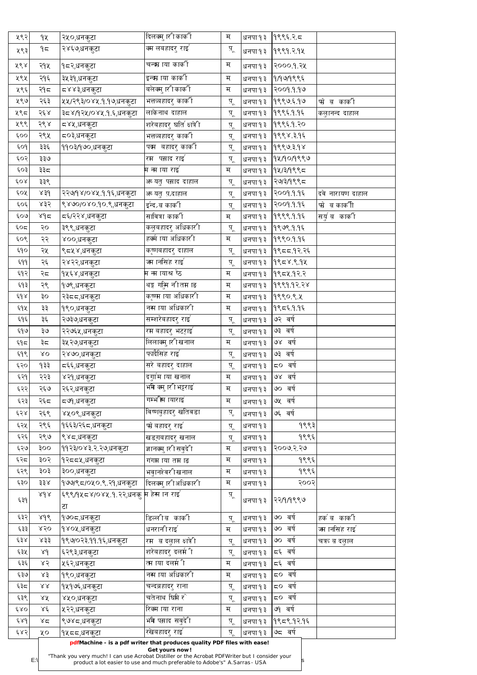| ५९२   | qy               | २५०,धनकुटा                                                                                     | दिलक्मु ारी कार्की                                                                             | म                   | धनपा १३ | 9995.75                   |                          |
|-------|------------------|------------------------------------------------------------------------------------------------|------------------------------------------------------------------------------------------------|---------------------|---------|---------------------------|--------------------------|
| ५९३   | ۹≂               | २४६७,धनकुटा                                                                                    | क्म लबहादरु राइ`                                                                               | प् $\overline{A}$   | धनपा १३ | 19999.2.94                |                          |
| ४९४   | २१५              | १८२,धनकुटा                                                                                     | चन्द्म ाया कार्की                                                                              | म                   | धनपा १३ | २००० १ २५                 |                          |
| ५९५   | २१६              | ३५३१,धनकुटा                                                                                    | इन्व्म ाया कार्की                                                                              | म                   | धनपा १३ | 91999995                  |                          |
| ५९६   | २१८              | द४४३,धनकुटा                                                                                    | बलेक्मु ारी कार्की                                                                             | म                   | धनपा १३ | २००१.१.१७                 |                          |
| ५९७   | २६३              | ५५/२९३/०४५.१.१७,धनकुटा                                                                         | भत्तऋबहादरु काकी                                                                               | पू                  | धनपा १३ | १९९७६१७                   | फो ब कार्की              |
| ५९८   | २६४              | ३८४/१२५/०४५ १.६,धनकुटा                                                                         | लाकेनाथ दाहाल                                                                                  | पू                  | धनपा १३ | १९९६ १.१६                 | कलुानन्द दाहाल           |
| ५९९   | २९४              | ८४५,धनकुटा                                                                                     | शरेबहादरु घति क्षत्रेी                                                                         | प़्                 | धनपा १३ | १९९६१.२०                  |                          |
| ६००   | २९५              | ८०३,धनकुटा                                                                                     | भत्तऋबहादरु काकी                                                                               | $\frac{q}{q}$       | धनपा १३ | 1999839६                  |                          |
| 509   | ३३६              | ११०३/१७०,धनकुटा                                                                                | पत्म बहादरु कार्की                                                                             | प़्                 | धनपा १३ | 9999398                   |                          |
| ६०२   | ३३७              |                                                                                                | रम पस्राद राइ`                                                                                 | प़्                 | धनपा १३ | १५७०७९९७                  |                          |
| 603   | ३३८              |                                                                                                | म न्म ाया राइ`                                                                                 | म                   | धनपा १३ | १५/३/१९९८                 |                          |
| 60x   | ३३९              |                                                                                                | अच्यतु पस्राद दाहाल                                                                            | पू                  | धनपा १३ | २७/३/१९९८                 |                          |
| ६०५   | $85\%$           | २२७/१४/०४५.१.१६,धनकुटा                                                                         | अ यतु प़द्राहाल                                                                                | पू                  | धनपा १३ | २००१.१.१६                 | दवे नारायण दाहाल         |
| ६०६   | ४३२              | ९४७०/०४०.१०.९,धनकुटा                                                                           | इन्दे,ब कार्की                                                                                 | पू                  | धनपा १३ | २००१.१.१६                 | फो ब काकीी               |
| ६०७   | ४१८              | द६/२२४,धनकुटा                                                                                  | सावित्रा कार्की                                                                                | म                   | धनपा १३ | १९९९ १ १६                 | सर्यु व कार्की           |
| ६०द्र | २०               | ३९९,धनकुटा                                                                                     | कलुबहादरु अधिकारी                                                                              | पू                  | धनपा १३ | 9999995                   |                          |
| ६०९   | २२               | ४००,धनकुटा                                                                                     | हर्क्म ाया अधिकारी                                                                             | म                   | धनपा १३ | १९९०११६                   |                          |
| ६१०   | २५               | ९८५४,धनकुटा                                                                                    | कृष्णबहादरु दाहाल                                                                              | प् $\overline{a}$   | धनपा १३ | १९८८.१२.२६                |                          |
| E(99) | २६               | २४२२,धनकुटा                                                                                    | ज्म ानसिंह राई $\degree$                                                                       | पू                  | धनपा १३ | 19958.9.94                |                          |
| ६१२   | २८               | १५६४,धनकुटा                                                                                    | म ना ायाश्र षेठ                                                                                | म                   | धनपा १३ | १९८५ १२ २                 |                          |
| ६१३   | २९               | १७९,धनकुटा                                                                                     | थङ्ग गढुिम नीतम ाङ                                                                             | म                   |         | धनपा १३   $\,$ १९९१ १२.२४ |                          |
| ६१४   | ३०               | २३८८,धनकुटा                                                                                    | कृष्णम ाया अधिकारी                                                                             | म                   | धनपा १३ | १९९०.९.५                  |                          |
| ६१५   | ३३               | १९०,धनकुटा                                                                                     | नस ाया अधिकारी                                                                                 | म                   | धनपा १३ | १९८६ १.१६                 |                          |
| ६१६   | ३६               | २७३७,धनकुटा                                                                                    | सम्शरेबहादरु राइ                                                                               | प़्                 | धनपा १३ | ७२ वर्ष                   |                          |
| ६१७   | ३७               | २२७६५,धनकुटा                                                                                   | रम बहादरु भटराइ`                                                                               | पू                  | धनपा १३ | ७३ वर्ष                   |                          |
| ६१८   | ३८               | ३५२७,धनकुटा                                                                                    | लिलाक्मु ारी खनाल                                                                              | म                   | धनपा १३ | ७४ वर्ष                   |                          |
| ६१९   | $\lambda$ O      | २४७०,धनकुटा                                                                                    | फादैसिंह राइ <sup>'</sup>                                                                      | प् $\overline{A}$   | धनपा १३ | ७३ वर्ष                   |                          |
| ६२०   | 433              | द६६,धनक <u>ु</u> टा                                                                            | सरे बहादरु दाहाल                                                                               | पू                  | धनपा १३ | ८० वर्ष                   |                          |
| 59    | २२३              | ४२१,धनकुटा                                                                                     | दगुांम ाया खनाल                                                                                | म                   | धनपा १३ | ७४ वर्ष                   |                          |
| ६२२   | २६७              | २६२,धनकुटा                                                                                     | भमि क्मु ारी भट्टराइ                                                                           | म                   | धनपा १३ | ७० वर्ष                   |                          |
| ६२३   | २६८              | द७९,धनकुटा                                                                                     | गम्भ स्म ायाराइ                                                                                | म                   | धनपा १३ | ७५ वर्ष                   |                          |
| ६२४   | २६९              | ४५०९,धनकुटा                                                                                    | विष्णबुहादरु खतिवडा                                                                            | प़्                 | धनपा १३ | ७६ वर्ष                   |                          |
| ६२५   | २९६              | १६६३/२६८,धनकुटा                                                                                | फो बहादरु राइ`                                                                                 | पू                  | धनपा १३ | १९९३                      |                          |
| ६२६   | २९७              | ९४८,धनकुटा                                                                                     | खडग़बहादरु खनाल                                                                                | $\underline{q}$     | धनपा १३ | १९९६                      |                          |
| ६२७   | ooş              | ११२३/०४३ <sub>.</sub> २.२७,धनकुटा                                                              | ज्ञानक्मु ारी सवुदेी                                                                           | म                   | धनपा १३ | २००७ २ २७                 |                          |
| ६२८   | ३०२              | १२८८५,धनकुटा                                                                                   | गंगम ाया तम ाङ                                                                                 | म                   | धनपा १३ | १९९६                      |                          |
| ६२९   | ३०३              | ३००,धनकुटा                                                                                     | भवुानश्ेवरीखनाल                                                                                | म                   | धनपा १३ | १९९६                      |                          |
| ६३०   | ३३४              | <sub> </sub> १७७/९ <i>८\०</i> ५०.९.२१,धनकुटा                                                   | दिलक्मु ारीअधिकारी                                                                             | म                   | धनपा १३ | २००२                      |                          |
|       | 8d               |                                                                                                |                                                                                                | पू                  |         |                           |                          |
| 659   |                  | टा                                                                                             |                                                                                                |                     | धनपा १३ | २२७९९७                    |                          |
| ६३२   | 8d6              | १७०८,धनकुटा                                                                                    | डिल्लीब कार्की                                                                                 | प़्                 | धनपा १३ | ७० वर्ष                   | हर्क ब़ कार्की           |
| ६३३।  | 850              | १४०५,धनकुटा                                                                                    | धनरानीराइ                                                                                      | म                   | धनपा १३ | ७० वर्ष                   | ज्म ानसिंह राई $\degree$ |
| 638   | x33              | १९७/०२३.११.१६,धनकुटा                                                                           | $\overline{\phantom{a}}$ रम $\overline{\phantom{a}}$ ब दलुाल क्षात्रे $\overline{\phantom{a}}$ | $\ddot{A}^{\prime}$ | धनपा १३ | $\circ$ वर्ष              | चत्रत ब दलाल             |
| ६३५   | 84               | ६२९३,धनकुटा                                                                                    | शरेबहादरु दलर्म ी                                                                              | प् $\overline{a}$   | धनपा १३ | द६ वर्ष                   |                          |
| ६३६   | 85               | ५६२,धनकुटा                                                                                     | त्म ाया दलर्म ी                                                                                | म                   | धनपा १३ | द६ वर्ष                   |                          |
| ६३७   | x3               | १९०,धनकूटा                                                                                     | नस ाया अधिकारी                                                                                 | म                   | धनपा १३ | ८० वर्ष                   |                          |
| ६३८   | $\lambda\lambda$ | १५१७६,धनकुटा                                                                                   | चन्दब्रहादर् राना                                                                              | प् $\overline{A}$   | धनपा १३ | ८० वर्ष                   |                          |
| ६३९   | 28               | ४५०,धनकुटा                                                                                     | चतेनाथ घिमि र $\hat{}$                                                                         | पू                  | धनपा १३ | ८० वर्ष                   |                          |
| 680   | 28               | ५२२,धनकुटा                                                                                     | रिक्म ाया राना                                                                                 | म                   | धनपा १३ | ७१ वर्ष                   |                          |
| 684   | ४८               | ९७४८,धनकुटा                                                                                    | भमे पस्राद सवुदेी                                                                              | $\overline{A}$      | धनपा १३ | १९८९ १२१६                 |                          |
| ६४२   | ४०               | १५८८,धनकुटा                                                                                    | रखेबहादर् राइ                                                                                  | प़्                 | धनपा १३ | ७८ वर्ष                   |                          |
|       |                  |                                                                                                | pdfMachine - is a pdf writer that produces quality PDF files with ease!                        |                     |         |                           |                          |
|       | $E:\setminus$    | "Thank you very much! I can use Acrobat Distiller or the Acrobat PDFWriter but I consider your | Get yours now!<br>product a lot easier to use and much preferable to Adobe's" A.Sarras - USA   |                     |         |                           |                          |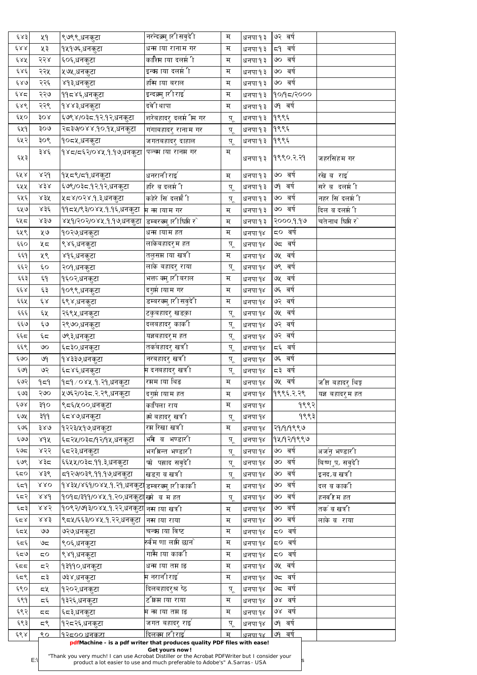| ६४३                   | ५१                  | <sub>।</sub> ९७९९,धनकुटा                                                                       | नरन्दक्र्मु ारी सबुदेी                                                                             | म                 | धनपा १३        | ७२ वर्ष            |                               |
|-----------------------|---------------------|------------------------------------------------------------------------------------------------|----------------------------------------------------------------------------------------------------|-------------------|----------------|--------------------|-------------------------------|
| $\xi \lambda \lambda$ | ५३                  | १५१७६,धनकुटा                                                                                   | धन्म ाया रानाम गर                                                                                  | म                 | धनपा १३        | द9 वर्ष            |                               |
| ६४५                   | २२४                 | ६०६,धनकुटा                                                                                     | काशिम ाया दलर्म ी                                                                                  | म                 | धनपा १३        | ७० वर्ष            |                               |
| و ۶۶                  | २२५                 | ∣५७५,धनकुटा                                                                                    | इन्व्म ाया दलर्म ी                                                                                 | म                 | धनपा १३        | ७० वर्ष            |                               |
| 680                   | २२६                 | ४१३,धनकुटा                                                                                     | हस्मि ाया बराल                                                                                     | म                 | धनपा १३        | ७० वर्ष            |                               |
| ६४द्र                 | २२७                 | <sub>।</sub> ११८४६,धनकुटा                                                                      | इन्दक्र्मु ारी राइ                                                                                 | म                 | धनपा १३        | १०/१८/२०००         |                               |
| 686                   | २२९                 | १४४३,धनकुटा                                                                                    | दवेी थापा                                                                                          | म                 | धनपा १३        | ७१ वर्ष            |                               |
| ६५०                   | 30x                 | ६७९४/०३८.१२.१२,धनकुटा                                                                          | शरेबहादरु दलर्म ीम गर                                                                              | $\overline{A}$    | धनपा १३        | १९९६               |                               |
| ६५१                   | २०७                 | २८३७/०४४.१०.१५,धनकुटा                                                                          | गंगाबहादरु रानाम गर                                                                                | प़्               | धनपा १३        | १९९६               |                               |
| ६५२                   | ३०९                 | १०८५,धनकुटा                                                                                    | जगतबहादरु दाहाल                                                                                    | प् $\overline{A}$ | धनपा १३        | १९९६               |                               |
|                       | ३४६                 | १४८/८६२/०४५.१.१७,धनकुटा                                                                        | पञ्चम ाया रानम गर                                                                                  | म                 |                |                    |                               |
| ६५३                   |                     |                                                                                                |                                                                                                    |                   | धनपा १३        | १९९० २ २१          | जहरसिंहम गर                   |
| ६५४                   | 850                 | १५८९/८१,धनकुटा                                                                                 | धनरानी राइ $\degree$                                                                               | म                 | धनपा १३        | ७० वर्ष            | रखे ब़राई                     |
| ६५५                   | x3x                 | ६७९/०३८.१२.१२,धनकुटा                                                                           | हरि ब दलर्म ी                                                                                      | पू                | धनपा १३        | ७१ वर्ष            | सरे ब़दलर्मी ी                |
| ६५६                   | ४३५                 | ५८४/०२४.१.३,धनकुटा                                                                             | कहेरे सिं दलमैंी                                                                                   | प् $\overline{A}$ | धनपा १३        | ७० वर्ष            | नहर सिं दलर्म ी               |
| ६५७                   | ४३६                 | 99८४/९३/०४४.१.१६,धनकुटा <sub>म</sub> ना ायाम गर                                                |                                                                                                    | म                 | धनपा १३        | ७० वर्ष            | दिल ब दलर्म ी                 |
| ६५८                   | 830                 | ४५१/२०२/०४५.१.१७,धनकुटा                                                                        | डम्वरक्मु ारीधिमे र $\hat{ }$                                                                      | म                 | धनपा १३        | २०००.१.१७          | चतेनाथ घिमे र $\hat{ }$       |
| ६५९                   | ५७                  | <u> १</u> ०२७,धनकुटा                                                                           | धन्म ायाम हत                                                                                       | म्                | धनपा १४        | द्र० वर्ष          |                               |
| ६६०                   | ५८                  | ९४६,धनकुटा                                                                                     | लाकेबहादरुम हत                                                                                     | प् $\overline{A}$ | धनपा १४        | ७८ वर्ष            |                               |
| ६६१                   | ५९                  | ४१६,धनकुटा                                                                                     | तलुसम ाया खत्री                                                                                    | म                 | धनपा १४        | ७५ वर्ष            |                               |
| $\xi \xi \xi$         | $\epsilon$ o        | २०१,धनकुटा                                                                                     | लाके बहादरु राया                                                                                   | प् $\overline{A}$ | धनपा १४        | ७९ वर्ष            |                               |
| ६६३                   | $\epsilon$ d        | १६०२,धनकुटा                                                                                    | भक्त क्मु ारीबराल                                                                                  | म                 | धनपा १४        | ७५ वर्ष            |                               |
| وفوع                  | ६३                  | १०९९,धनकुटा                                                                                    | दगुमे ायाम गर                                                                                      | म                 | धनपा १४        | ७६ वर्ष            |                               |
| ६६५                   | $\xi_{\mathcal{R}}$ |                                                                                                | डम्बरक्मु ारी सवुदेी                                                                               | म                 |                | ७२ वर्ष            |                               |
| چې                    |                     | ६९४,धनकुटा                                                                                     |                                                                                                    |                   | धनपा १४        | ७५ वर्ष            |                               |
| ६६७                   | ६५                  | २६९५,धनकुटा                                                                                    | टकुबहादरु खड्का                                                                                    | प़्               | धनपा १४        | ७२ वर्ष            |                               |
|                       | ६७                  | २९७०,धनकुटा                                                                                    | दलबहादरु कार्की                                                                                    | प् $\overline{A}$ | धनपा १४        | ७२ वर्ष            |                               |
| ६६८                   | $\epsilon \simeq$   | ७९३,धनकुटा                                                                                     | यज्ञबहादरुम हत                                                                                     | प् $\overline{A}$ | धनपा १४        |                    |                               |
| ६६९                   | $\infty$            | ६८३०,धनकुटा                                                                                    | तर्कबहादरु खत्री                                                                                   | प़्               | धनपा १४        | द६ वर्ष<br>७६ वर्ष |                               |
| ६७०                   | ७१                  | १४३३७,धनकुटा                                                                                   | नरबहादरु खत्री                                                                                     | प़्               | धनपा १४        | द३ वर्ष            |                               |
| 599                   | ७२                  | ६८४६,धनकुटा                                                                                    | म दनबहादरु खर्त्र <mark>ी</mark>                                                                   | प् $\overline{A}$ | धनपा १४        |                    |                               |
| ६७२                   | 959                 | १८१ ∕ ०४५.१.२१,धनकुटा                                                                          | रमम ाया थिङ                                                                                        | म                 | धनपा १४        | ७५ वर्ष            | <sub>.</sub> जीत बहादरु थिङ्ग |
| ६७३                   | २७०                 | ५७६२/०३८.२.२९,धनकुटा                                                                           | दगुर्म ायाम हत                                                                                     | म                 | धनपा १४        | १९९६ २ २९          | यज्ञ बहादरुम हत               |
| ६७४                   | ३१०                 | ९८६/५००,धनकुटा                                                                                 | कापिला राय                                                                                         | म                 | धनपा १४        | १९९२               |                               |
| ६७५                   | 995                 | <sub>।</sub> ६८४७,धनकुटा                                                                       | ह्मे बहादर <mark>ु</mark> खत्री                                                                    | $\ddot{A}$        | धनपा १४        | १९९३               |                               |
| ६७६                   | ३४७                 | १२२३/५१७,धनकुटा                                                                                | रम रिखा खत्री                                                                                      | म                 | धनपा १४        | २१/१/१९९७          |                               |
| ६७७                   | 8d                  | <sub>।</sub> ६८२५/०३८/१२/१५,धनकुटा                                                             | भमि ब भण्डारी                                                                                      | प् $\overline{A}$ | धनपा १४        | १५/१२/१९९७         |                               |
| ६७८                   | ४२२                 | ६८२३,धनकुटा                                                                                    | भगीवन्त भण्डारी                                                                                    | प् $\overline{A}$ | धनपा १४        | ७० वर्ष            | अजनु भण्डारी                  |
| ६७९                   | ४३८                 | ६६५५/०३८.११.३,धनकुटा                                                                           | फो पस्राद सवुदेी                                                                                   | प्                | धनपा १४        | ७० वर्ष            | बिष्णुप़, सबुदेी              |
| ६८०                   | ४३९                 | द्र9२७/०३९.११.१७,धनकुटा                                                                        | खडग ब़ खत्री                                                                                       | प् $\overline{A}$ | धनपा १४        | ७० वर्ष            | इनद∠ब़ खत्री                  |
| ६८१                   | $\lambda\lambda O$  | १४३५/४६१/०४५.१.२१,धनकुट  डम्वरक्मु ारीकार्की                                                   |                                                                                                    | म                 | धनपा १४        | ७० वर्ष            | दल व कार्की                   |
| ६८२                   | 88d                 | १०१८/३११/०४५.१.२०,धनकुट <mark>ा</mark> ख्मे  ब म हत                                            |                                                                                                    | प्                | धनपा १४        | ७० वर्ष            | हनव रि म हत                   |
| ६८३                   | 885                 | १०९२/७१३/०४५.१.२२,धनकुटा नस ाया खत्री                                                          |                                                                                                    | म                 | धनपा १४        | ७० वर्ष            | तर्क ब़ खत्री                 |
| وٰد ۾                 | 883                 | ९८५/६६३/०४५.१.२२,धनकुटा  नस ाया राया                                                           |                                                                                                    | म                 | धनपा १४        | ७० वर्ष            | लाके ब राया                   |
| ६८५                   | $\Theta$            | ७२७,धनकुटा                                                                                     | चन्द्म ाया विष्ट                                                                                   | म                 | धनपा १४        | द्र० वर्ष          |                               |
| ६८६                   | ಅದ                  | ९०६,धनकुटा                                                                                     | रुर्वम णा लाम छान <b>े</b>                                                                         | म                 | धनपा १४        | ८० वर्ष            |                               |
| $e\in S$              | 50                  | ९४१,धनकुटा                                                                                     | गासै ाया कार्की                                                                                    | म                 | धनपा १४        | ८० वर्ष            |                               |
| 55                    | 55                  | १३११०,धनकुटा                                                                                   | धन्म ाया तम ाङ                                                                                     | म                 | धनपा १४        | ७५ वर्ष            |                               |
| ६८९                   | 55                  | ७३४,धनकुटा                                                                                     | म नरानीराइ <sup>'</sup>                                                                            | म                 | धनपा १४        | ७८ वर्ष            |                               |
| ६९०                   | द५                  | १२०२,धनकुटा                                                                                    | दिलबहादरुश्र ष्ठे                                                                                  | पू                | धनपा १४        | ७८ वर्ष            |                               |
| ६९१                   | 55                  | १३२६,धनकुटा                                                                                    | ट क्रिम ाया राया                                                                                   | म                 | धनपा १४        | ७४ वर्ष            |                               |
| ६९२                   | 55                  | ६८३,धनक <u>ु</u> टा                                                                            | म न्म ाया तम ाङ                                                                                    | म                 | धनपा १४        | ७४ वर्ष            |                               |
| ६९३                   | 55                  | १२८२६,धनकुटा                                                                                   | जगत बहादरु राइ`                                                                                    | प् $\overline{A}$ | धनपा १४        | ७१ वर्ष            |                               |
| ६९४                   | $\mathbf{Q}$        | <u> १२८०० धनकटा</u>                                                                            | <u>दिलक्म ारी राइर्</u><br>pdfMachine - is a pdf writer that produces quality PDF files with ease! | म                 | <u>धनपा १४</u> | वर्ष<br>99         |                               |
|                       |                     |                                                                                                | Get yours now!                                                                                     |                   |                |                    |                               |
|                       | $E:\setminus$       | "Thank you very much! I can use Acrobat Distiller or the Acrobat PDFWriter but I consider your | product a lot easier to use and much preferable to Adobe's" A. Sarras - USA                        |                   |                |                    |                               |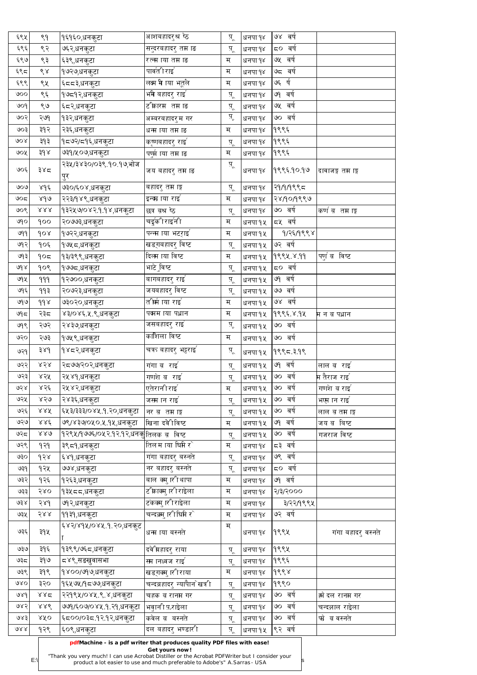| ६९५                    | $\delta$                | १६१६०,धनकुटा                           | अाशबहादरुश्र ष्ठ               | पू                      | धनपा १४ | ७४ वर्ष    |                                                             |
|------------------------|-------------------------|----------------------------------------|--------------------------------|-------------------------|---------|------------|-------------------------------------------------------------|
| ६९६                    | ९२                      | ७६२,धनकुटा                             | सन्दरबहादरु तम ाङ              | प़्                     | धनपा १४ | ८० वर्ष    |                                                             |
| ६९७                    | ९३                      | ६३९,धनकुटा                             | रत्न्म ाया तम ाङ               | म                       | धनपा १४ | ७५ वर्ष    |                                                             |
| 595                    | ९४                      | १७२७,धनकुटा                            | पार्वती राइ                    | म                       | धनपा १४ | ७८ वर्ष    |                                                             |
| ६९९                    | ९५                      | ६८८३,धनकुटा                            | लक्ष्म मे ाया भट्तले           | म                       | धनपा १४ | ७६ र्ष     |                                                             |
| ७००                    | ९६                      | १७द१२,धनकुटा                           | भमे बहादरु राइ <sup>'</sup>    | प़्                     | धनपा १४ | ७१ वर्ष    |                                                             |
| 909                    | ९७                      | ६८२,धनकुटा                             | ट कारम) तम ाङ                  | प़्                     | धनपा १४ | ७५ वर्ष    |                                                             |
| ७०२                    | २७१                     | १३२,धनकुटा                             | अम्बरबहादरुम गर                | प़्                     | धनपा १४ | ७० वर्ष    |                                                             |
| ७०३                    | ३१२                     | २३६,धनकुटा                             | धन्म ाया तम ाङ                 | म                       | धनपा १४ | १९९६       |                                                             |
| 908                    | ३१३                     | १८७२/८१६,धनकुटा                        | कृष्णबहादरु राइ`               | प़्                     | धनपा १४ | १९९६       |                                                             |
| ७०५                    | $3d \lambda$            | ७३१/५०७,धनकुटा                         | पणुमे ाया तम ाङ                | म                       | धनपा १४ | १९९६       |                                                             |
| ७०६                    | ३४८                     | २३५/३४३०/०३९.१०.१७,भोज<br>पुर          | जय बहादरु तम ाङ                | प़्                     | धनपा १४ | १९९६ १०.१७ | दावाजङ्ग तम ाङ्ग                                            |
| ७०७                    | $8d\epsilon$            | ७३०/६०४,धनकुटा                         | बहादरु तम ाङ्ग                 | प्                      | धनपा १४ | २१/१/१९९८  |                                                             |
| 905                    | 8d                      | २२३/१४९,धनकुटा                         | इन्व्म ाया राइ`                | म                       | धनपा १४ | २४७०७९९७   |                                                             |
| ७०९                    | $\lambda\lambda\lambda$ | १३२५७/०४२.१.१४,धनकुटा                  | छत्र ब़श्र ष्ठे                | प़्                     | धनपा १४ | ७० वर्ष    | कर्ण ब़लमाङ्ग                                               |
| ७१०                    | 900                     | २०७७३,धनकुटा                           | चर्डुकीराईनी                   | म                       | धनपा १५ | द्र वर्ष   |                                                             |
| 999                    | $\delta$                | १७२२,धनकुटा                            | पन्न्म ाया भटराइ`              | म                       | धनपा १५ | १/२६/१९९४  |                                                             |
| ७१२                    | १०६                     | १७५८,धनकुटा                            | खडग़बहादरु विष्ट               | प़्                     | धनपा १५ | ७२ वर्ष    |                                                             |
| ७१३                    | $\partial \sigma$       | १३/३९९,धनकुटा                          | दिलम ाया विष्ट                 | म                       | धनपा १५ | 9९९५ ४.११  | पर्णुं ब़कविष्ट                                             |
| 68                     | $\delta$                | <u>१</u> ७७८,धनकुटा                    | भाटे ुविष्ट                    | प् $\overline{A}$       | धनपा १५ | ८० वर्ष    |                                                             |
| ७१५।                   | 999                     | १२७००,धनकुटा                           | बागबहादरु राइ`                 | पू                      | धनपा १५ | ७१ वर्ष    |                                                             |
| ७१६                    | 993                     | २०७२३,धनकुटा                           | जयबहादरु विष्ट                 | पू                      | धनपा १५ | ७७ वर्ष    |                                                             |
| ७१७                    | d d x                   | ७३०२०,धनकुटा                           | तभिर्म ाया राई                 | म                       | धनपा १५ | ७४ वर्ष    |                                                             |
| $\mathbb{S}^{\varphi}$ | २३८                     | ४३/०४६ ५.९,धनकुटा                      | पत्मम ाया पध्रान               | म                       | धनपा १५ | १९९६ ४.१५  | म न ब पध्रान                                                |
| ७१९                    | २७२                     | २४३७,धनकुटा                            | जसबहादरु राइ                   | प़्                     | धनपा १५ | ७० वर्ष    |                                                             |
| ७२०                    | २७३                     | १७५९,धनकुटा                            | काशिला विष्ट                   | म                       | धनपा १५ | ७० वर्ष    |                                                             |
| ७२१                    | 38d                     | १४८२,धनकुटा                            | चत्रत बहादरु भट्टराइ`          | पू                      | धनपा १५ | १९९८.३.१९  |                                                             |
| ७२२                    | 858                     | २द७७/२०२,धनकुटा                        | गंगा ब़राइ                     | प्                      | धनपा १५ | ७१ वर्ष    | लाल ब $\overline{\phantom{a}}$ राइ $\overline{\phantom{a}}$ |
| ७२३                    | 858                     | २५४१,धनकुटा                            | गणशे व राइ                     | प् $\overline{A}$       | धनपा १५ | ७० वर्ष    | <b>म</b> तैराज राइ $^\mathsf{c}$                            |
| ७२४                    | ४२६                     | २५४२,धनकुटा                            | एतेरानीराइ $^\epsilon$         | म                       | धनपा १५ | ७० वर्ष    | गणशे ब राई                                                  |
| ७२५                    | ४२७                     | २४३६,धनकुटा                            | जस्म ान राइ $^\mathsf{c}$      | पू                      | धनपा १५ | ७० वर्ष    | भएम ान राइ                                                  |
| ७२६                    | 888                     | ६५३/३३३/०४५.१.२०,धनकुटा                | नर ब़तमाङ्ग                    | प़्                     | धनपा १५ | ७० वर्ष    | लाल व तम ाङ्ग                                               |
| ७२७                    | 886                     | ७९/४३७/०५०.५.१५,धनकुटा                 | खिना दवेीविष्ट                 | म                       | धनपा १५ | ७१ वर्ष    | जय ब़कबिष्ट                                                 |
| ७२८                    | 880                     | १२९५/१७७६/०५२.१२.१२,धनक् तिलक ब़ विष्ट |                                | $\ddot{A}$              | धनपा १५ | ७० वर्ष    | गजराज विष्ट                                                 |
| ७२९                    | १२१                     | ३९८१,धनकुटा                            | तिलम ाया घिमे र $\degree$      | म                       | धनपा १४ | द३ वर्ष    |                                                             |
| ७३०                    | ds                      | ६४१,धनकुटा                             | गंगा बहादरु बस्नते             | प़्                     | धनपा १४ | वर्ष<br>७९ |                                                             |
| ७३१                    | १२५                     | ७७४,धनकुटा                             | नर बहादरु बस्नते               | $\ddot{A}$              | धनपा १४ | ८० वर्ष    |                                                             |
| ७३२                    | १२६                     | १२६३,धनकुटा                            | बाल क्मु ारीथापा               | म                       | धनपा १४ | ७१ वर्ष    |                                                             |
| ७३३                    | 580                     | १३५८८,धनकुटा                           | ट क्राक्मु ारी राइेला          | म                       | धनपा १४ | 9/3/9000   |                                                             |
| 638                    | २४१                     | ७१२,धनकुटा                             | टकक्मु ारी राइेला              | म                       | धनपा १४ | ३/२२/१९९५  |                                                             |
| ७३५                    | २४४                     | ११३१,धनकुटा                            | चन्दक्र्मु ारीधिमी र $\hat{ }$ | म                       | धनपा १४ | ७२ वर्ष    |                                                             |
| ७३६                    | ३१५                     | ६४२/४१५/०४५.१.२०,धनकुट                 | धन्म ाया बस्नते                | म                       | धनपा १४ | १९९५       | गंगा बहादरु वस्नते                                          |
| ७३७                    | ३१६                     | १३९९/७६८,धनकुटा                        | दवेभिहादरु राया                | प़्                     | धनपा १४ | १९९५       |                                                             |
| ಅ३८                    | ३१७                     | ८४९,सङखुवासभा                          | स्म ानध्वज राई $\degree$       | $\overline{A}^{\prime}$ | धनपा १४ | १९९६       |                                                             |
| ७३९                    | ३१९                     | १४००/७१७,धनकुटा                        | खडगक्मु ारी राया               | म                       | धनपा १४ | 9888       |                                                             |
| QXQ                    | ३२०                     | <sub>।</sub> १६५७५/१८७७,धनकुटा         | चन्दब्रहादरु न्यापैान`खत्री    | प़्                     | धनपा १४ | 9990       |                                                             |
| 989                    | 882                     | २२१९५/०४५.९.४,धनकुटा                   | चहक ब़ रानम गर                 | पू                      | धनपा १४ | ७० वर्ष    | <u>ह्मे दल रानम गर</u>                                      |
| ७४२                    | 888                     | ७७१/६०७/०४५.१.२१,धनकुटा                | भवुानी परराइेला                | पू                      | धनपा १४ | ७० वर्ष    | चन्दल्राल राइेला                                            |
| 983                    | 80 <sup>o</sup>         | ६८००/०३८.१२.१२,धनकुटा                  | कवेल ब बस्नते                  | प़्                     | धनपा १४ | ७० वर्ष    | फो ब वस्नते                                                 |
| QXX                    | १२९                     | ६०९,धनकुटा                             | दल बहादरु भण्डारी              | प् $\overline{a}$       | धनपा १५ | ९२ वर्ष    |                                                             |

 $E:\n\begin{bmatrix}\n\text{mean} \\
\text{mean} \\
\text{mean} \\
\text{mean} \\
\text{mean} \\
\text{mean} \\
\text{mean} \\
\text{mean} \\
\text{mean} \\
\text{mean} \\
\text{mean} \\
\text{mean} \\
\text{mean} \\
\text{mean} \\
\text{mean} \\
\text{mean} \\
\text{mean} \\
\text{mean} \\
\text{mean} \\
\text{mean} \\
\text{mean} \\
\text{mean} \\
\text{mean} \\
\text{mean} \\
\text{mean} \\
\text{mean} \\
\text{mean} \\
\text{mean} \\
\text{mean} \\
\text{mean} \\
\text{mean} \\
\text{mean} \\
\text{mean} \\
\text{mean} \\
\text{mean} \\$ product a lot easier to use and much preferable to Adobe's" A.Sarras - USA

**pdfMachine - is a pdf writer that produces quality PDF files with ease!**

## **Get yours now!**

["Thank you very much! I can use Acrobat Distiller or the Acrobat PDFWriter but I consider your](http://www.pdfmachine.com?cl)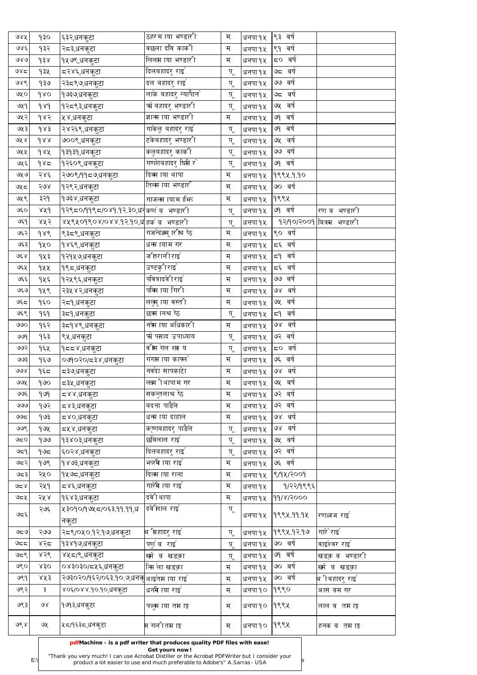| ७४५                         | १३०                | <sub>।</sub> ६३२,धनकुटा                   | ठहर माया भण्डारी              | म                 | धनपा १५ | ९३ वर्ष    |                           |
|-----------------------------|--------------------|-------------------------------------------|-------------------------------|-------------------|---------|------------|---------------------------|
| ७४६                         | १३२                | २८३,धनकुटा                                | वछला दवि कार्की               | म                 | धनपा १५ | l९१ वर्ष   |                           |
| 980                         | $\lambda \xi \rho$ | १५७९,धनकुटा                               | लिलम ाया भण्डारी              | म                 | धनपा १५ | ८० वर्ष    |                           |
| 985                         | १३५                | द२४६,धनकुटा                               | दिलबहादरु राइ ँ               | प् $\overline{A}$ | धनपा १५ | ७८ वर्ष    |                           |
| ७४९                         | १३७                | २३८९७,धनकुटा                              | दल बहादरु राइ ँ               | पू                | धनपा १५ | ७७ वर्ष    |                           |
| ७५०                         | $\delta$           | <u>१</u> ७३७,धनकुटा                       | लाके बहादरु न्यापैान`         | प़्               | धनपा १५ | ७८ वर्ष    |                           |
| ७५१                         | $\delta \lambda$   | १२८९३,धनकुटा                              | फो़ बहादरु भण्डारी            | प् $\overline{A}$ | धनपा १५ | ७५ वर्ष    |                           |
| ७५२                         | १४२                | ५४,धनकुटा                                 | ज्ञान्म ाया भण्डारी           | म्                | धनपा १५ | ७१ वर्ष    |                           |
| ७५३                         | $\delta$ $\delta$  | २४२६९,धनकुटा                              | गाकेलु बहादरु राइ $^{\prime}$ | प़्               | धनपा १५ | ७१ वर्ष    |                           |
| 9रू ४                       | dxx                | ७००९,धनकुटा                               | टकेबहादरु भण्डारी             | प़्               | धनपा १५ | ७५ वर्ष    |                           |
| ७५५                         | dar                | १३१३१,धनकुटा                              | कलुबहादरु कार्की              | पू                | धनपा १५ | ७७ वर्ष    |                           |
| ७५६                         | 985                | १२६०९,धनकुटा                              | गणशेबहादरु घिमि र $\hat{ }$   | प् $\overline{A}$ | धनपा १५ | ७१ वर्ष    |                           |
| ७५७                         | २४६                | २७०९/११८७,धनकुटा                          | दिव्म ाया थापा                | म                 | धनपा १५ | १९९५ १.१०  |                           |
| ७५८                         | २७४                | १२९२,धनकुटा                               | तिलम ाया भण्डारी              | म                 | धनपा १५ | ७० वर्ष    |                           |
| ७५९                         | ३२१                | <sub> </sub> १७३४,धनकुटा                  | गाजलम ायाम क्षित्र            | म                 | धनपा १५ | १९९५       |                           |
| ७६० $ $                     | 88d                | १२९८०/११९८/०४१.१२.३०,धन॑कर्ण ब़   भण्डारी |                               | प्                | धनपा १५ | ७१ वर्ष    | रण ब़ भण्डारी             |
| ७६१                         | ४५२                | ४५९५०१९०४/०४४.१२.१०,ध हर्क ब भण्डारी      |                               | प़्               | धनपा १५ |            | १२/१०/२००१ बित्रस भण्डारी |
| ७६२                         | dxe                | ९३८९,धनकुटा                               | गजन्दक्र्मु ारीश्र ष्ठे       | म्                | धनपा १५ | ९० वर्ष    |                           |
| ७६३                         | १५०                | <sub> </sub> १४६९,धनकुटा                  | धन्म ायाम गर                  | म                 | धनपा १५ | 'द६ वर्ष   |                           |
| <b>انگر</b> ج               | १५३                | १२१५७,धनकुटा                              | जीतरानी राइ                   | म                 | धनपा १५ | द9 वर्ष    |                           |
| ७६५                         | १५५                | १९८,धनकुटा                                | उण्टकु1िराइ $^\epsilon$       | म                 | धनपा १५ | द६ वर्ष    |                           |
| ७६६ $\vert$                 | १५६                | १२५९६,धनकूटा                              | पवित्रादवेी राइ               | म                 | धनपा १५ | ७७ वर्ष    |                           |
| ७६७                         | १५९                | २३५४२,धनकुटा                              | पक्मि ाया गिरी                | म                 | धनपा १५ | ७४ वर्ष    |                           |
| 959                         | $\delta$           | २द९,धनकुटा                                | ललुमु ाया वस्ती               | म                 | धनपा १५ | ७५ वर्ष    |                           |
| ७६९                         | 959                | ३द9,धनकुटा                                | छऋ ानश्र ष्ठे                 | प् $\overline{A}$ | धनपा १५ | वर्ष<br>59 |                           |
| ७७०                         | १६२                | ३द्र१४९,धनकूटा                            | नऋे ाया अधिकारी               | म्                | धनपा १५ | ७४ वर्ष    |                           |
| ७७१                         | १६३                | ९५,धनकुटा                                 | फो पस्राद उपाध्याय            | प़्               | धनपा १५ | ७२ वर्ष    |                           |
| ७७२                         | १६५                | १८८४,धनकुटा                               | वीस गल शा य                   | प़्               | धनपा १५ | ८० वर्ष    |                           |
| ७७३                         | १६७                | ०७१०२०/८३४,धनकुटा                         | गंगम ाया काफ्ले               | म                 | धनपा १५ | ७६ वर्ष    |                           |
| $\partial \partial \lambda$ | १६८                | द३७,धनक <u>ु</u> टा                       | नवंदा सापकाटेा                | म                 | धनपा १५ | ७४ वर्ष    |                           |
| ७७५                         | 900                | ८३५,धनकुटा                                | लक्ष्म ीथापाम गर              | म                 | धनपा १५ | ७५ वर्ष    |                           |
| ७७६                         | 909                | द४४,धनकुटा                                | सकन्तलाश्र ष्ठे               | म                 | धनपा १५ | ७२ वर्ष    |                           |
| ७७७                         | १७२                | ८४३,धनकुटा                                | बदना पाडैले                   | म                 | धनपा १५ | ७२ वर्ष    |                           |
| ಅಅಧ                         | १७३                | द४०,धनकुटा                                | धन्म ाया दाहाल                | म्                | धनपा १५ | ७४ वर्ष    |                           |
| ७७९                         | १७५                | द्र्ष्४,धनकुटा                            | कॄ्णबहादरु पाडैले             | प़्               | धनपा १५ | ७४ वर्ष    |                           |
| ಅಧ೦                         | 900                | १३४०३,धनकुटा                              | छविलाल राइ $\degree$          | प़्               | धनपा १५ | ७५ वर्ष    |                           |
| ७द्र9                       | مه)                | <sub>।</sub> ६०२४,धनकुटा                  | दिलबहादरु राइ $^{\prime}$     | प़्               | धनपा १५ | ७२ वर्ष    |                           |
| ७द२                         | 908                | <sub>।</sub> १४७३,धनकुटा                  | भऋमे ाया राइ $\degree$        | म                 | धनपा १५ | ७६ वर्ष    |                           |
| 923                         | २५०                | १५७८,धनकुटा                               | दिलम ाया राना                 | म                 | धनपा १५ | 9/94/2009  |                           |
| کا کا کا                    | २५१                | द४६,धनकुटा                                | गारेमे ाया राइ $\degree$      | म                 | धनपा १५ | १/२२/१९९६  |                           |
| ७८५                         | २५४                | १६४३,धनकुटा                               | दवेीथापा                      | म                 | धनपा १५ | 99/8/2000  |                           |
| 350                         | २७६                | ५३०१०/१७५८/०६३.११.११,ध                    | दवे'िलाल राइ                  | प़्               | धनपा १५ | 9९९५.99.9५ | रणध्वज राइ                |
|                             |                    | नकूटा                                     |                               |                   |         |            |                           |
| ಅಧಅ                         | २७७                | २८९/०५० १२ १७,धनकुटा                      | श्र भिहादरु राइ`              | प़्               | धनपा १५ | १९९५.१२.१७ | गारे`राइ'                 |
| ಅಧಧ                         | ४२८                | १३४१७,धनकुटा                              | पणुं ब़राई                    | $\ddot{A}$        | धनपा १५ | ७० वर्ष    | वाइंश्वर राइ`             |
| ७८९                         | ४२९                | ४५८/९,धनकुटा                              | खमे व खडका                    | $\ddot{A}$        | धनपा १५ | ७१ वर्ष    | खडक़ ब़ भण्डारी           |
| ७९०                         | x30                | ०४३०३०/८५६,धनकुटा                         | न्मि ला खडका                  | म                 | धनपा १५ | ७० वर्ष    | ख्मे ब़ खडक़ा             |
| ७९१                         | 25                 | २७३०२०/१६२/०६३.१०.७,धनक् आईतम ाया राई     |                               | म                 | धनपा १५ | ७० वर्ष    | श्र <b>ीबहादरु राइ</b> ໌  |
| ७९२                         | ३                  | ४०६/०४४.१०.१०,धनकुटा                      | धनमे ाया राइ                  | म                 | धनपा १० | १९९०       | आस बम गर                  |
| ७९३                         | $\mathcal{A}$      | <sub> </sub> १७१३,धनकुटा                  | फलुम ाया तम ाङ्ग              | म                 | धनपा १० | १९९५       | लाल ब़क्तमाङ्ग            |
| ७९४                         | ७५                 | ५८⁄१६३८,धनकुटा                            | म गलीतम ाङ्ग                  | म                 | धनपा १० | १९९५       | हनक ब़ तम ाङ्ग            |

 $E:\n\begin{bmatrix}\n\text{mean} \\
\text{mean} \\
\text{mean} \\
\text{mean} \\
\text{mean} \\
\text{mean} \\
\text{mean} \\
\text{mean} \\
\text{mean} \\
\text{mean} \\
\text{mean} \\
\text{mean} \\
\text{mean} \\
\text{mean} \\
\text{mean} \\
\text{mean} \\
\text{mean} \\
\text{mean} \\
\text{mean} \\
\text{mean} \\
\text{mean} \\
\text{mean} \\
\text{mean} \\
\text{mean} \\
\text{mean} \\
\text{mean} \\
\text{mean} \\
\text{mean} \\
\text{mean} \\
\text{mean} \\
\text{mean} \\
\text{mean} \\
\text{mean} \\
\text{mean} \\
\text{mean} \\$ product a lot easier to use and much preferable to Adobe's" A.Sarras - USA

**pdfMachine - is a pdf writer that produces quality PDF files with ease!**

#### **Get yours now!**

["Thank you very much! I can use Acrobat Distiller or the Acrobat PDFWriter but I consider your](http://www.pdfmachine.com?cl)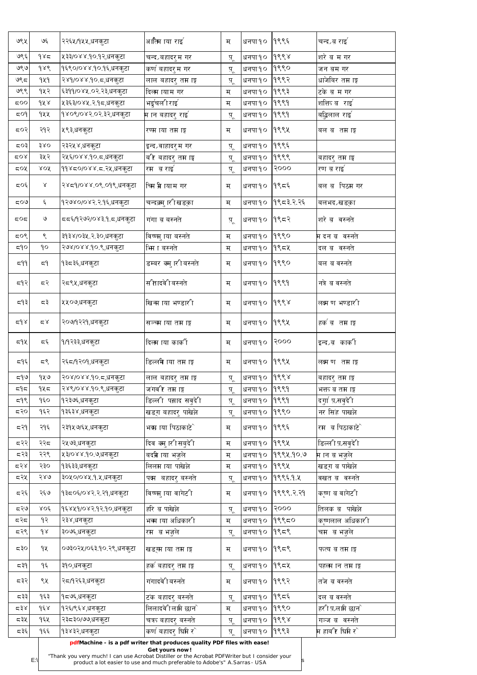| ७९५                   | ও६                | २२६५/१५५,धनकुटा                                                                                | अात्मि ाया राइ                                                                                                                                                           | म                 | धनपा १०      | १९९६      | चन्द्रब राइ`                      |
|-----------------------|-------------------|------------------------------------------------------------------------------------------------|--------------------------------------------------------------------------------------------------------------------------------------------------------------------------|-------------------|--------------|-----------|-----------------------------------|
| ७९६                   | 985               | ५३३/०४४.१०.१२,धनकुटा                                                                           | चन्द्रबहादरुम गर                                                                                                                                                         | प् $\overline{A}$ | धनपा १०      | 9888      | शरे ब म गर                        |
| ७९७                   | $\delta \lambda$  | १६९०/०४४.१०.१६,धनकुटा                                                                          | कर्ण बहादरुम गर                                                                                                                                                          | पू                | धनपा १०      | १९९०      | जन ब़म गर                         |
| 995                   | 949               | २४१/०४४.१०.८,धनकुटा                                                                            | लाल बहादरु तम ाङ्ग                                                                                                                                                       | पू                | धनपा १०      | १९९२      | <sub>।</sub> धाजेबिर तम ाङ्ग      |
| ७९९                   | १५२               | ६३११/०४५.०२.२३,धनकुटा                                                                          | दिलम ायाम गर                                                                                                                                                             | म                 | धनपा १०      | १९९३      | टके ब म गर                        |
| 500                   | dX                | ५३६३/०४५.२.१८,धनकुटा                                                                           | भर्डुचलीराइ                                                                                                                                                              | म                 | धनपा १०      | 9999      | शत्तित व राइ                      |
| SO9                   | १५५               | १४०९/०४२.०२.३२,धनकुटा                                                                          | म ान बहादरु राइ`                                                                                                                                                         | प्                | धनपा १०      | 9999      | र्बाढ़ुलाल राइ <sup>'</sup>       |
| 507                   | २१२               | ५९३,धनकुटा                                                                                     | रण्म ाया तम ाङ्ग                                                                                                                                                         | म                 | धनपा १०      | १९९५      | बल ब़ तम ाङ्ग                     |
| द्र0३∣                | 380               | २३२५४,धनकुटा                                                                                   | इन्द्रवाहादरुम गर                                                                                                                                                        | प़्               | धनपा १०      | १९९६      |                                   |
| ⊄0∢                   | ३५२               | २५६/०४४.१०.८,धनकुटा                                                                            | र्बार बहादरु तम ाङ्ग                                                                                                                                                     | प़्               | धनपा १०      | 9999      | बिहादरु तम ाङ्घ                   |
| $50\%$                | XOX               | ११४८०/०४४.८.२५,धनकुटा                                                                          | रम बराइ                                                                                                                                                                  | प़्               | धनपा १०      | २०००      | रण ब राइ                          |
| 505                   | $\propto$         | २४८१/०४४.०९.०१९,धनकुटा                                                                         | चिम भ्रे ायाम गर                                                                                                                                                         | म                 | धनपा १०      | १९८६      | बल ब़ <b>्रिम गर</b>              |
| ದ೦೬                   | ६                 | १२७४०/०४२.२.१६,धनकुटा                                                                          | चन्दक्र्मु ारीखड्का                                                                                                                                                      | म                 | धनपा १०      | १९८३२२६   | बलभद∠खडका                         |
| 507                   | $\mathcal{O}$     | दद६/१२७२/०४३.१.द,धनकुटा                                                                        | गंगा व बस्नते                                                                                                                                                            | प़्               | धनपा १०      | 9952      | शरे ब वस्नते                      |
| 507                   | $\mathcal{S}$     | ३१३४/०३५.२.३०,धनकुटा                                                                           | विष्णमु ाया बस्नते                                                                                                                                                       | म                 | धनपा १०      | १९९०      | म दन ब़ वस्नते                    |
| 590                   | $\delta$          | २७४/०४४.१०.९,धनकुटा                                                                            | भिा बस्नते                                                                                                                                                               | म                 | धनपा १०      | $9$ ९८५   | दल ब़ वस्नते                      |
| 79م                   | 55                | १३८३६,धनकुटा                                                                                   | डम्बर क्मु ारीबस्नते                                                                                                                                                     | म                 | धनपा १०      | १९९०      | बल ब वस्नते                       |
| 593                   | 55 <sup>2</sup>   | २८९५,धनकुटा                                                                                    | सीतादवेीबस्नते                                                                                                                                                           | म                 | धनपा१०  १९९१ |           | नत्रे ब वस्नते                    |
| 597                   | 55                | ५५०७,धनकुटा                                                                                    | खिन्म ाया भण्डारी                                                                                                                                                        | म                 | धनपा १०      | $\delta$  | लक्ष्म ण भण्डारी                  |
| $\approx$ م $\approx$ | $\simeq$ $\times$ | २०७/१२२१,धनकुटा                                                                                | सञ्च्म ाया तम ाङ्ग                                                                                                                                                       | म                 | धनपा १०      | १९९५      | हक`ब़ तम ाङ्ग                     |
| ८१५                   | 55<               | १/१२३३,धनकुटा                                                                                  | दिलम ाया काकी                                                                                                                                                            | म                 | धनपा १०      | 5000      | इन्द्रब कार्की                    |
| द९६∣                  | 55                | २६८/१२०१,धनकुटा                                                                                | डिल्लमे ाया तम ाङ्ग                                                                                                                                                      | म                 | धनपा १०      | १९९५      | लक्ष्म ण तम ाङ्ग                  |
| 599                   | १५७               | २०४/०४४.१०.८,धनकुटा                                                                            | लाल बहादरु तम ाङ्ग                                                                                                                                                       | पू                | धनपा १०      | 668       | बहादरु तम ाङ्ग                    |
| ದಗಿದ                  | १५८               | २४९/०४४.१०.९,धनकुटा                                                                            | जगवीर तम ाङ्ग                                                                                                                                                            | प़्               | धनपा १०      | 9999      | भत्तत ब तम ।ङ्ग                   |
| 598                   | $\delta$          | १२३७६,धनकुटा                                                                                   | डिल्ली पस्राद सवुदेी                                                                                                                                                     | प़्               | धनपा १०      | 9999      | दगुा प़्रसवुदे1ि                  |
| द२०                   | १६२               | १३६३४,धनकुटा                                                                                   | खडग बहादरु पाखेल्रे                                                                                                                                                      | पू                | धनपा १०      | १९९०      | नर सिंह पाखल्रे                   |
| 539                   | २१६               | २३१५७/६५,धनकुटा                                                                                | भक्म ाया पिठाकाटेे                                                                                                                                                       | म                 | धनपा १०      | १९९६      | रम ब पिठाकाटे                     |
| द२२                   | २२८               | २५७३,धनकुटा                                                                                    | दिव क्मु ारीसबुदेी                                                                                                                                                       | म                 | धनपा १०      | १९९५      | डिल्ली प़ सबुदेी                  |
| 552                   | २२९               | ५३/०४४.१०.७,धनकुटा                                                                             | बद्म्री ाया भजुले                                                                                                                                                        | म                 | धनपा १०      | १९९५ १०.७ | म ान ब भजुले                      |
| 552                   | २३०               | १३६३३,धनकुटा                                                                                   | लिलम ाया पाखेल्रे                                                                                                                                                        | म                 | धनपा १०      | १९९५      | खिडग ब पाखेल्रे                   |
| द२५                   | २४७               | ३०५०/०४५.१.५,धनकुटा                                                                            | पत्म बहादरु बस्नते                                                                                                                                                       | पू                | धनपा १०      | 199959.4  | वखत ब़  वस्नते                    |
| द२६                   | २६७               | १३८०६/०४२.२.२१,धनकुटा                                                                          | lविष्णमु ाया वागे <mark>ट</mark> ी                                                                                                                                       | म                 | धनपा १०      | 9९९९ २ २१ | कृष्ण ब वागेटी                    |
| द२७                   | $XO\xi$           | १६४५१/०४२.१२.१०,धनकुटा                                                                         | हरि व पाखेल्रे                                                                                                                                                           | पू                | धनपा १०      | 9000      | तिलक ब़ पाखेल्ने                  |
| 555                   | १२                | २३४,धनकुटा                                                                                     | भव्म ाया अधिकारी                                                                                                                                                         | म                 | धनपा १०      | १९९८०     | कृष्णलाल अधिकारी                  |
| द२९                   | $\delta$          | ३०७६,धनकुटा                                                                                    | रम  ब भजुले                                                                                                                                                              | <u>प</u> ू        | धनपा १०      | 9959      | चम  ब भजुले                       |
| 530                   | 9X                | ०७३०२५/०६३.१०.२९,धनकुटा                                                                        | खड़ग्म ाया तम ाङ्ग                                                                                                                                                       | म                 | धनपा १०      | 9959      | फत्य ब तम ाङ्ग                    |
| ⊂ ३१                  | १६                | ३१०,धनकुटा                                                                                     | हर्क बहादरु तम ाङ्ग                                                                                                                                                      | प्                | धनपा १०      | 19954     | पहलम ान तम ाङ्ग                   |
| 552                   | ९५                | २८/१२६३,धनकुटा                                                                                 | गंगादवेीबस्नते                                                                                                                                                           | म                 | धनपा १०      | १९९२      | तजे ब वस्नते                      |
| ८३३।                  | १६३               | १८७६,धनकुटा                                                                                    | टक बहादर् बस्नते                                                                                                                                                         | $\overline{A}$    | धनपा १०      | 9559      | दल ब वस्नते                       |
| $x \in \mathbb{R}$    | $d\xi$            | १२६/९६४,धनकूटा                                                                                 | लिलादवेीलामि छान`                                                                                                                                                        | म                 | धनपा १०      | 9990      | <i>हर</i> ी प़्रलामि छान <b>े</b> |
| द३५                   | १६५               | २३८३०/७७,धनकुटा                                                                                | चत्रत बहादर् बस्नते                                                                                                                                                      | पू                | धनपा १०      | 9998      | गञ्ज ब वस्नते                     |
| द३६                   | १६६               | १३४३२,धनकूटा                                                                                   | कर्ण बहादर् घिमि र $\hat{ }$                                                                                                                                             | प्                | धनपा १०      | १९९३      | <b>म हाब</b> ीर घिमि र $\hat{ }$  |
|                       | $E:\$             | "Thank you very much! I can use Acrobat Distiller or the Acrobat PDFWriter but I consider your | pdfMachine - is a pdf writer that produces quality PDF files with ease!<br>Get yours now!<br>product a lot easier to use and much preferable to Adobe's" A. Sarras - USA |                   |              |           |                                   |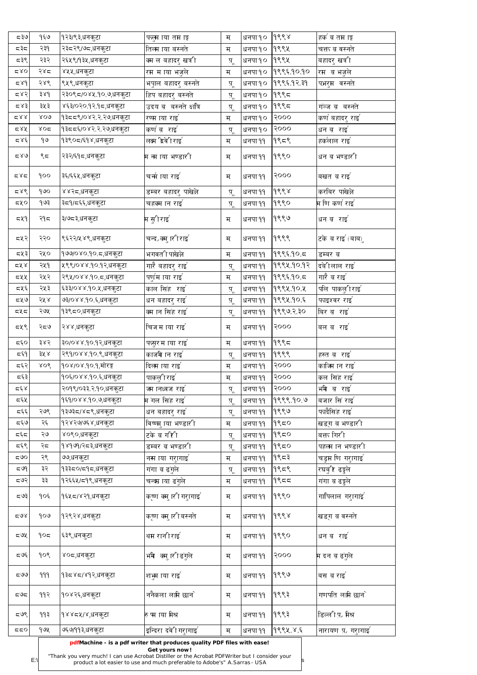| $e$ इ र  | १६७          | १२३/९३,धनकुटा                 | फलुम ाया तम ाङ्ग                                                                          | म          | धनपा १० | 9998       | हक' ब़ तम ाङ्ग                                |
|----------|--------------|-------------------------------|-------------------------------------------------------------------------------------------|------------|---------|------------|-----------------------------------------------|
| ಧಕ್ಷಿದ   | २३१          | २३८२९/७८,धनकुटा               | तिलम ाया बस्नते                                                                           | म          | धनपा १० | १९९५       | चत्तत ब वस्नते                                |
| ८३९      | २३२          | २६५९/१३५,धनकुटा               | क्म ल बहादरु खत्री                                                                        | प़्        | धनपा १० | १९९५       | बहादरु खर्त्री                                |
| 280      | २४द          | ४५५,धनकुटा                    | रम म ाया भजुले                                                                            | म          | धनपा १० | १९९६.१०.१० | रम  ब भजुले                                   |
| 589      | २४९          | ९५९,धनकुटा                    | भपुाल बहादरु बस्नते                                                                       | प़्        | धनपा १० | १९९६ १२ ३१ | पभरुम वस्नते                                  |
| 587      | ३४१          | २३०९८/०४५.१०.७,धनकुटा         | हिप बहादरु बस्नते                                                                         | प्         | धनपा १० | $9$ ९९८    |                                               |
| 587      | ३५३          | ४६३/०२०.१२.१८,धनकुटा          | उदय ब़ बस्नते क्षांत्रि                                                                   | प़्        | धनपा १० | $9$ ९९८    | गञ्ज ब बस्नते                                 |
| 282      | XOQ          | १३८८९/०४२.२.२७,धनकुटा         | रण्म ाया राइ                                                                              | म          | धनपा १० | 5000       | कर्ण बहादरु राइ                               |
| 284      | $\lambda$ 02 | १३८८६/०४२.२.२७,धनकुटा         | कर्ण ब़राई                                                                                | प्         | धनपा १० | 9000       | धन ब राइ                                      |
| 285      | १७           | १३९०८/६१४,धनकुटा              | लक्ष्म 'द्रवेी राइ $\lceil$                                                               | म          | धनपा ११ | १९८९       | हकलाल राइ`                                    |
| 580      | ९८           | २३२/६१८,धनकुटा                | म ना ाया भण्डारी                                                                          | म          | धनपा ११ | १९९०       | धन ब भण्डारी                                  |
| 587      | ရ၀၀          | ३६/६६५,धनकुटा                 | चर्मा ाया राइ $^{\circ}$                                                                  | म          | धनपा ११ | २०००       | बखत ब़ राइ`                                   |
| 587      | १७०          | ४४२८,धनकुटा                   | डम्बर बहादरु पाखेल्रे                                                                     | प्         | धनपा ११ | १९९४       | करबिर पाखेल्रे                                |
| 50/2     | १७३          | ३८१/८६६,धनकुटा                | चहक्म ान राइ`                                                                             | प़्        | धनपा ११ | १९९०       | म णि कर्ण राइ <sup>र</sup>                    |
| 549      | २१८          | ३/७८३,धनकुटा                  | म सुीराइ'                                                                                 | म          | धनपा ११ | १९९७       | धन ब़राइ                                      |
| द्रप्र२  | २२०          | ९६२२/५४९,धनकुटा               | चन्द्रक्मु ारीराइ`                                                                        | म          | धनपा ११ | १९९९       | टके ब राइ (बाब)ु                              |
| द्रप्र३∣ | २५०          | १७७/०४०.१०.८,धनकुटा           | भगवती पाखेल्रे                                                                            | म्         | धनपा ११ | 9995905    | डम्बर ब़                                      |
| 2x       | २५१          | ५९९/०४४.१०.१२,धनकुटा          | गारै बहादरु राइ $^{\circ}$                                                                | प्         | धनपा ११ | १९९५.१०.१२ | दबेीलाल राइ $^{\scriptscriptstyle\mathsf{f}}$ |
| ८५५      | २५२          | २९५/०४४.१०.८,धनकुटा           | पणुमि ाया राइँ                                                                            | म          | धनपा ११ | १९९६१०.८   | गारै व राइ $\degree$                          |
| द्रप्र६∣ | २५३          | ६३३/०४४.१०.५,धनकुटा           | काल सिंह) राइ                                                                             | $\ddot{A}$ | धनपा ११ | १९९५ १० ५  | पलि पाकलुीराइ                                 |
| द्रप्र   | २५४          | ७३/०४४.१०.६,धनकुटा            | धन बहादरु राइ`                                                                            | प़्        | धनपा ११ | १९९५ १०.६  | फाइश्वर राइ                                   |
| πγπ      | २७५          | १३९८०,धनकुटा                  | क्म ान सिंह राइ $\degree$                                                                 | प़्        | धनपा ११ | १९९७ २ ३०  | बिर ब राइ                                     |
| द्रपू९   | २८७          | २४४,धनकुटा                    | चिजम ाया राइ`                                                                             | म          | धनपा ११ | 5000       | बल ब राइ                                      |
| द६०      | ३४२          | ३०/०४४.१०.१२,धनकुटा           | फसुर माया राइ`                                                                            | म          | धनपा ११ | १९९८       |                                               |
| द६१      | ३५ ४         | २९१/०४४.१०.९,धनकुटा           | काजमे ान राइ $\degree$                                                                    | प़्        | धनपा ११ | १९९९       | हस्त ब़ राइ <sup>'</sup>                      |
| द६२      | 808          | १०४/०४.१०.१,मोरङ्ग            | दिलम ाया राइ                                                                              | म          | धनपा ११ | 9000       | काजिम ान राइ $\degree$                        |
| द६३      |              | १०६/०४४.१०.६,धनकुटा           | पाकलुीराइ                                                                                 | म          | धनपा ११ | २०००       | कल सिंह राइ $\mathcal{S}$                     |
| 557      |              | २०१९/०३३.२.१०,धनकुटा          | ज्म ानध्वज राइ ँ                                                                          | प़्        | धनपा ११ | २०००       | भमे व राइ                                     |
| द६५      |              | १६१/०४४.१०.७,धनकुटा           | म गल सिंह राइ <sup>'</sup>                                                                | प्         | धनपा ११ | १९९९.१०.७  | बजार सिं राइ $\degree$                        |
| द६६      | २७९          | १३७३८/४८९,धनकुटा              | धन बहादरु राइ`                                                                            | प्         | धनपा ११ | १९९७       | फादैसिंह राइ $\degree$                        |
| द६७      | २६           | १२४२७/७६४,धनकुटा              | विष्णमु ाया भण्डारी                                                                       | म          | धनपा ११ | 9550       | खडग ब भण्डारी                                 |
| द६द      | २७           | ४०९०,धनकुटा                   | टके ब गरिी                                                                                | प्         | धनपा ११ | 9550       | बत्तत गिरी                                    |
| द६९      | २८           | <sub>,</sub> १४१७१/२८३,धनकुटा | डम्बर ब़ भण्डारी                                                                          | प्         | धनपा ११ | 9550       | पहलम ान भण्डारी                               |
| ಧ9೦      | २९           | ७७,धनकुटा                     | नस ाया गरुागाइँ                                                                           | म्         | धनपा ११ | १९८३       | चडुम णि गरुागाइँ                              |
| 599      | ३२           | १३३८०/द१द,धनकुटा              | गंगा ब ढंगुले                                                                             | प्         | धनपा ११ | १९८९       | रघबु1र ढङ्गुले                                |
| 597      | ३३           | १२६६५/८१९,धनकुटा              | चन्द्म ाया ढंगुले                                                                         | म          | धनपा ११ | 9559       | गंगा ब ढङ्गुले                                |
| 507      | १०६          | १६५८/४२१,धनकुटा               | कृष्ण क्मु ारी गरुागाई                                                                    | म          | धनपा ११ | १९९०       | गापिलाल गरुागांइ`                             |
| 50x      | १०७          | १२९२४,धनकुटा                  | कृष्ण क्मु ारीबस्नते                                                                      | म          | धनपा ११ | १९९४       | lखडग ब वस्नते                                 |
| 50x      | १०८          | ६३९,धनकुटा                    | थम रानीराइ $\mathcal{C}$                                                                  | म          | धनपा ११ | 9990       | धन ब राइ                                      |
| 595      | 909          | ४०८,धनकुटा                    | भमे क्मुारीढगुले                                                                          | म          | धनपा ११ | २०००       | म दन ब ढगुले                                  |
| 500      | 999          | १३८४८/४१२,धनकुटा              | शभूम ाया राइ                                                                              | म          | धनपा ११ | 9999       | बस ब राइ $\degree$                            |
| ದರಿದ     | ११२          | १०४२६,धनकुटा                  | ननैकला लामि छाने                                                                          | म          | धनपा ११ | १९९३       | गणपति लामि छा <b>न</b> े                      |
| 597      | ११३          | १४४८५/४,धनकुटा                | रु पा ाया मिश्र                                                                           | म          | धनपा ११ | १९९३       | डिल्ली प़. मिश्र                              |
| 550      | १७५          | ७६७/११३,धनकुटा                | इन्दिरा दवे $\mathfrak l$ गरागाइ $\mathfrak l$                                            | म          | धनपा ११ | १९९५ ४ ६   | नारायण प़. गरुागाइ                            |
|          |              |                               | pdfMachine - is a pdf writer that produces quality PDF files with ease!<br>Get yours now! |            |         |            |                                               |

 $E:\n\begin{bmatrix}\n\text{mean} \\
\text{mean} \\
\text{mean} \\
\text{mean} \\
\text{mean} \\
\text{mean} \\
\text{mean} \\
\text{mean} \\
\text{mean} \\
\text{mean} \\
\text{mean} \\
\text{mean} \\
\text{mean} \\
\text{mean} \\
\text{mean} \\
\text{mean} \\
\text{mean} \\
\text{mean} \\
\text{mean} \\
\text{mean} \\
\text{mean} \\
\text{mean} \\
\text{mean} \\
\text{mean} \\
\text{mean} \\
\text{mean} \\
\text{mean} \\
\text{mean} \\
\text{mean} \\
\text{mean} \\
\text{mean} \\
\text{mean} \\
\text{mean} \\
\text{mean} \\
\text{mean} \\$ product a lot easier to use and much preferable to Adobe's" A.Sarras - USA

["Thank you very much! I can use Acrobat Distiller or the Acrobat PDFWriter but I consider your](http://www.pdfmachine.com?cl)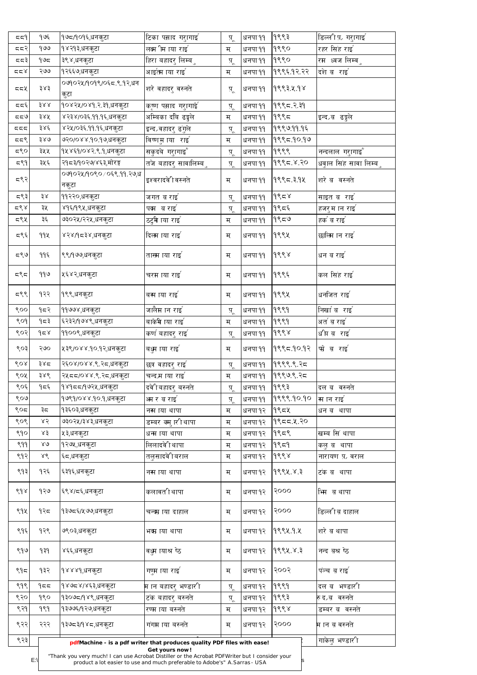| 557          | १७६           | १७८⁄१०१६,धनकुटा                                                                                | $ $ टिका पस्राद गरुागाइ $^{\backprime}$                                                      | $\overline{A}$          | धनपा ११ | १९९३              | डिल्ली प़ <i>्</i> रागाइँ      |
|--------------|---------------|------------------------------------------------------------------------------------------------|----------------------------------------------------------------------------------------------|-------------------------|---------|-------------------|--------------------------------|
| 557          | १७७           | १४२१३,धनकुटा                                                                                   | लक्ष्म ीम ाया राइ $\degree$                                                                  | म                       | धनपा ११ | १९९०              | रहर सिंह राइ                   |
| 557          | ۹७८           | ३९४,धनकुटा                                                                                     | हिरा बहादरु लिम्ब <b>ु</b>                                                                   | पू                      | धनपा ११ | १९९०              | रम ध्वज लिम्व <b>ु</b>         |
| 557          | २७७           | १२६६७,धनकुटा                                                                                   | आइत्म ाया राइ                                                                                | म                       | धनपा ११ | १९९६ १२.२२        | दशे ब़राइ                      |
| 552          | ३४३           | ०७१०२५/१०१९/०६८.९.१२,धन<br>कुटा                                                                | शरे वहादरु वस्नते                                                                            | $\overline{A}^{\prime}$ | धनपा ११ | १९९३.५.१४         |                                |
| 557          | 388           | १०४२५/०४१.२.३१,धनकुटा                                                                          | <sup>।</sup> कृष्ण पस्नाद गरुागाइँ                                                           | प् $\overline{A}$       | धनपा ११ | <u> १९९८ २ ३१</u> |                                |
| $e\approx 5$ | ३४५           | ४२३४/०३६.११.१६,धनकुटा                                                                          | अम्बिका दबि ढङ्गुले                                                                          | म                       | धनपा ११ | 9995              | इन्द्रब ढङ्गले                 |
| 557          | ३४६           | ४२५/०३६.११.१६,धनकुटा                                                                           | इन्द्रवहादरु ढंगुले                                                                          | $\overline{A}^{\prime}$ | धनपा ११ | १९९७१११६          |                                |
| 557          | ३४७           | ७२०/०४४.१०.१७,धनकुटा                                                                           | विष्णमुाया राइँ                                                                              | म                       | धनपा ११ | 9९९८.१०.१७        |                                |
| 580          | ३५५           | १५४६१/०४२.९.१,धनकुटा                                                                           | <sup> </sup> सकुदबे गरुागाइँ                                                                 | प़्                     | धनपा ११ | 9999              | नन्दलाल गरुागाइँ               |
| 597          | ३५६           | २१८३/१०२७/४६३,मोरङ्ग                                                                           | तजे बहादरु सावालिम्ब <b>ु</b>                                                                | प् $\overline{A}$       | धनपा ११ | १९९८ ४.२०         | धवुाल सिंह सावा लिम्ब <i>ु</i> |
| द९२          |               | ०७१०२५/१०९०/०६९.११.२७,ध<br>नकुटा                                                               | इश्वरादवेी वस्नते                                                                            | म                       | धनपा ११ | १९९८ ३१५          | शरे ब वस्नते                   |
| 597          | ३४            | ११२२०,धनकुटा                                                                                   | जगत ब राइ`                                                                                   | $\overline{A}$          | धनपा ११ | ds                | साइत ब राइ                     |
| 252          | ३५            | ४१६/१९५,धनकुटा                                                                                 | पद्म बराइ                                                                                    | पू                      | धनपा ११ | १९८६              | हजरुम ान राइ`                  |
| द९५          | ३६            | ७३०२५/२२५,धनकुटा                                                                               | ठटुमे ाया राइ                                                                                | म                       | धनपा ११ | १९८७              | हर्क ब राइ                     |
| 595          | 99X           | ४२४/१८३४,धनकुटा                                                                                | दिलम ाया राइ                                                                                 | म                       | धनपा ११ | १९९५              | छालिम ान राइ`                  |
| 59           | ११६           | ९९/१७७,धनकुटा                                                                                  | तासम ाया राइ`                                                                                | म                       | धनपा ११ | १९९४              | धन ब राइ $\,$                  |
| 557          | ११७           | ५६४२,धनकुटा                                                                                    | चरम ाया राइ                                                                                  | म                       | धनपा ११ | १९९६              | कल सिंह राई                    |
| 597          | १२२           | १९९,धनकुटा                                                                                     | बस ाया राइ                                                                                   | म                       | धनपा ११ | १९९५              | धनजित राइ $\degree$            |
| ९००          | १८२           | ११७७४,धनकुटा                                                                                   | जालैम ान राइ $^{'}$                                                                          | $\overline{A}^{\prime}$ | धनपा ११ | 9999              | निर्खाब राई                    |
| ९०१          | 959           | ६२३२/१७४९,धनकुटा                                                                               | बाँकमे ाया राई                                                                               | म                       | धनपा ११ | 9999              | अर्त ब राइ $^\epsilon$         |
| ९०२          | $\delta$      | ११००९,धनकुटा                                                                                   | कर्ण बहादरु राइ`                                                                             | प् $\overline{A}$       | धनपा ११ | $ds^2$            | र्धाप्त व राइ                  |
| ९०३          | २७०           | ५३९/०४४.१०.१२,धनकुटा                                                                           | बधुम ाया राइ`                                                                                | म्                      | धनपा ११ | १९९८ १०.१२        | फो ब राइ                       |
| 60x          | ३४८           | २६०४/०४४.९.२८,धनकुटा                                                                           | छत्र वहादरु राइ`                                                                             | प्                      | धनपा ११ | १९९९ ९.२८         |                                |
| ९०५          | ३४९           | २५८८/०४४.९.२८,धनकुटा                                                                           | चन्दम ाया राइ`                                                                               | म                       | धनपा ११ | १९९७.९.२८         |                                |
| ९०६          | १८६           | १४१८८/९७२५,धनकुटा                                                                              | दवेीबहादरु बस्नते                                                                            | प् $\overline{A}$       | धनपा ११ | १९९३              | दल ब़ वस्नते                   |
| ९०७          |               | १७९१/०४४.१०.१,धनकुटा                                                                           | अम र ब राइ                                                                                   | प्                      | धनपा ११ | 9९९९.90.90        | स ान राइँ                      |
| $\zeta$      | ३८            | १३६०३,धनकुटा                                                                                   | नस ाया थापा                                                                                  | म                       | धनपा १२ | १९८५              | धन ब़ थापा                     |
| ९०९          | 85            | ७३०२५/३४३,धनकुटा                                                                               | डिम्बर क्मु ारीथापा                                                                          | म                       | धनपा १२ | 9955 4.20         |                                |
| ९१०          | ४३            | ५३,धनकुटा                                                                                      | धन्म ाया थापा                                                                                | म                       | धनपा १२ | 9559              | खम्ब सिं थापा                  |
| 899          | $80^{\circ}$  | १२७५,धनकुटा                                                                                    | लिलादवेी थापा                                                                                | म                       | धनपा १२ | १९८१              | कलु ब़ थापा                    |
| ९१२          | ४९            | ६८,धनकुटा                                                                                      | तलुसादवेीबराल                                                                                | म                       | धनपा १२ | $ds^2$            | नारायण प़. वराल                |
| ९१३          | १२६           | ६३१६,धनकुटा                                                                                    | नस ाया थापा                                                                                  | म                       | धनपा १२ | १९९५ ४.३          | टंक ब़ थापा                    |
| ९१४          | १२७           | ६९४/द६,धनकुटा                                                                                  | कलावतीथापा                                                                                   | म                       | धनपा १२ | २०००              | भिम ब़ थापा                    |
| ९१५          | १२८           | १३७८६/५७७,धनकुटा                                                                               | चन्द्म ाया दाहाल                                                                             | म                       | धनपा १२ | २०००              | डिल्लीब दाहाल                  |
| ९१६          | १२९           | ७९०३,धनकुटा                                                                                    | भक्म ाया थापा                                                                                | म                       | धनपा १२ | 9९९५ १.४          | शरे ब थापा                     |
| ९१७          | 939           | ४६६,धनकुटा                                                                                     | वध्न ायाश्र ष्ठ                                                                              | म                       | धनपा १२ | १९९५ ४.३          | नन्द ब़श्र ष्ठे                |
| ९१८          | १३२           | १४४४१,धनकूटा                                                                                   | गण्म ाया राइ`                                                                                | म                       | धनपा १२ | २००२              | पंञ्च ब राइ'                   |
| ९१९          | 955           | १४७८४/४६३,धनकुटा                                                                               | म ान बहादरु भण्डारी                                                                          | $\overline{A}$          | धनपा १२ | 9999              | दल ब़ भण्डारी                  |
| ९२०          | १९०           | १३०७८/१४९,धनकुटा                                                                               | टंक बहादरु बस्नते                                                                            | $\ddot{A}$              | धनपा १२ | १९९३              | रु द∋ब़ वस्नते                 |
| ९२१          | १९१           | १३७७६/१२७,धनकूटा                                                                               | रण्म ाया बस्नते                                                                              | म                       | धनपा १२ | 9998              | डम्बर ब़ वस्नते                |
| ९२२          | २२२           | १३७८३/१४८,धनकुटा                                                                               | गंगम ाया बस्नते                                                                              | म्                      | धनपा १२ | 2000              | म ान ब वस्नते                  |
| ९२३          |               |                                                                                                | pdfMachine - is a pdf writer that produces quality PDF files with ease!                      |                         |         |                   | गाकेलु भण्डारी                 |
|              | $E:\setminus$ | "Thank you very much! I can use Acrobat Distiller or the Acrobat PDFWriter but I consider your | Get yours now!<br>product a lot easier to use and much preferable to Adobe's" A.Sarras - USA |                         |         |                   |                                |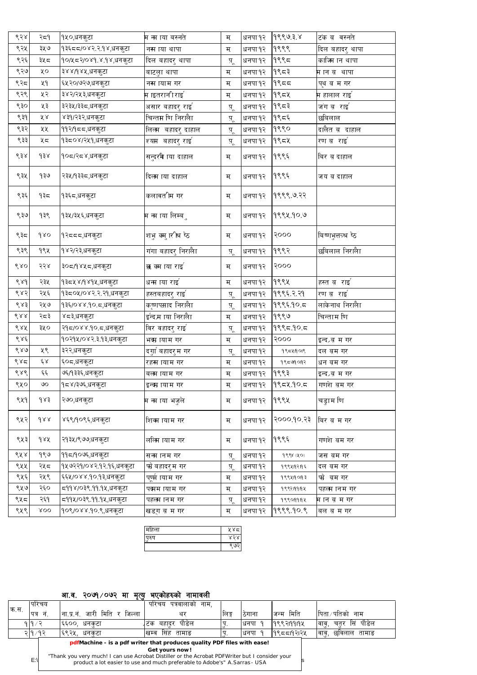| 658               | २८१                 | १५०,धनकुटा              | म ना ाया बस्नते              | म                 | धनपा १२ | १९९७३ ४    | टंक ब़ वस्नते              |
|-------------------|---------------------|-------------------------|------------------------------|-------------------|---------|------------|----------------------------|
| ९२५               | ३५७                 | १३६८८/०४२.२.१४,धनकुटा   | नस ाया थापा                  | म                 | धनपा १२ | 9999       | दिल बहादरु थापा            |
| ९२६               | ३५८                 | १०/५८२/०४१.४.१४,धनकुटा  | दिल बहादरु थापा              | प़्               | धनपा १२ | १९९८       | काजिम ान थापा              |
| ९२७               | ५०                  | ३४४/१४५,धनकुटा          | बाटलुा थापा                  | म                 | धनपा १२ | $9$ ९८३    | मानब थापा                  |
| ९२८               | ५१                  | ६५२०/७२७,धनकुटा         | नस ायाम गर                   | म                 | धनपा १२ | 9955       | पृथ ब़ म गर                |
| ९२९               | ५२                  | ३४२/२५३,धनकुटा          | म ाइतरानी <i>राइ</i> '       | म                 | धनपा १२ | १९८५       | म हालाल राइ $^{^{\prime}}$ |
| ९३०               | ५३                  | ३२३५/३३८,धनकुटा         | असार बहादरु राइ`             | पू                | धनपा १२ | $9$ ९८३    | जंग ब़राइ'                 |
| ९३१               | ४४                  | ४३१/२३२,धनकुटा          | चिन्तम णि निरालैा            | पू                | धनपा १२ | १९८६       | छबिलाल                     |
| ९३२               | ५५                  | ११२/१८८,धनकुटा          | लिलम  बहादरु दाहाल           | प़्               | धनपा १२ | १९९०       | दालैत ब दाहाल              |
| ९३३               | ५८                  | १३८०४/२५१,धनकुटा        | श्यम बहादरु राइ <sup>'</sup> | पू                | धनपा १२ | १९८५       | रण ब़राइ                   |
| $\delta$ ई $\chi$ | $\delta$            | १०८/२८४,धनकुटा          | सन्दरमे ाया दाहाल            | म                 | धनपा १२ | १९९६       | बिर ब दाहाल                |
| ९३५               | १३७                 | २३५/१३३८,धनकुटा         | दिलम ाया दाहाल               | म                 | धनपा १२ | १९९६       | जय व दाहाल                 |
| ९३६               | १३८                 | १३६८,धनकुटा             | कलावतीम गर                   | म                 | धनपा १२ | १९९९ ७.२२  |                            |
| ९३७               | १३९                 | १३५/३५६,धनकुटा          | म न्म ाया लिम्ब <b>ु</b>     | म                 | धनपा १२ | १९९५.१०.७  |                            |
| ९३८               | $\delta$            | १२ददद,धनकुटा            | शभु क्मु ारीश्र ष्ठे         | म                 | धनपा १२ | २०००       | बिष्णभुत्तत्र्श्र ष्ठ      |
| ९३९               | १९५                 | १४२/२३,धनकुटा           | गंगा बहादरु निरालैा          | प़्               | धनपा १२ | १९९२       | छबिलाल निरालैा             |
| 680               | २२४                 | ३०८/१४५८,धनकुटा         | <b>ञ्ज</b> क्म ाया राइ`      | म                 | धनपा १२ | 5000       |                            |
| 88d               | २३५                 | १३८४४/१४१४,धनकुटा       | धन्म ाया राइ                 | म                 | धनपा १२ | १९९५       | हस्त ब़राई                 |
| ९४२               | २५६                 | १३८०५/०४२.२.२१,धनकुटा   | हस्तबहादरु राइ`              | प्                | धनपा १२ | १९९६ २.२१  | रण ब़राइ                   |
| 683               | २५७                 | १३६/०४४.१०.८,धनकुटा     | कृष्णपस्राद निरालैा          | प़्               | धनपा १२ | १९९६१०.८   | लाकेनाथ निरालैा            |
| 688               | २८३                 | ४८३,धनकुटा              | ईन्द्रम ाया निरालैा          | म                 | धनपा १२ | १९९७       | चिन्ताम णि                 |
| ८४४               | ३५०                 | २१८/०४४.१०.८,धनकुटा     | विर वहादरु राइ ँ             | पू                | धनपा १२ | 9995905    |                            |
| 686               |                     | १०२१५/०४२.३.१३,धनकुटा   | भक्म ायाम गर                 | म                 | धनपा १२ | 5000       | इन्द्रब म गर               |
| 880               | ५९                  | ३२२,धनकुटा              | दगुां बहादरुम गर             | पू                | धनपा १२ | १९८५१०१९   | दल बम गर                   |
| 885               | $\xi_{\mathcal{S}}$ | ६०८,धनकुटा              | रहस ायाम गर                  | म                 | धनपा १२ | १९८७१०१२   | धन बम गर                   |
| 686               | چې                  | ७६/१३३६,धनकुटा          | बल्म ायाम गर                 | म                 | धनपा १२ | १९९३       | इन्द्रब म गर               |
| ९५०               | $\infty$            | १८४/३७६,धनकुटा          | इन्व्म ायाम गर               | म                 | धनपा १२ | १९८५ १०.८  | गणशे बम गर                 |
| ९५१               | १४३                 | २७०,धनकुटा              | म न्म ाया भजुले              | म                 | धनपा १२ | १९९५       | चड्डाम णि                  |
| ९५२               | $\delta$            | ४६९/१०९६,धनकुटा         | शिव्म ायाम गर                | म                 | धनपा १२ | १००० १० २३ | बिर ब़ म गर                |
| ९५३               | dax                 | २१३५/९७७,धनकुटा         | ललिम ायाम गर                 | म                 | धनपा १२ | १९९६       | गणशे बम गर                 |
| ९५४               | १९७                 | ११८/१०७६,धनकुटा         | सन्म ानम गर                  | पू                | धनपा १२ | 988 (80)   | जस ब़म गर                  |
| ९५५               | २५८                 | १५७२२१/०४२.१२.१६,धनकुटा | फो बहादरुम गर                | प्                | धनपा १२ | १९९५१२१६   | दल बम गर                   |
| ९५६               | २५९                 | ६६५/०४४.१०.१३,धनकुटा    | पण्र्म ायाम गर               | म                 | धनपा १२ | १९९५१०१३   | फो बम गर                   |
| ९५७               | २६०                 | द्र9१४/०३९.११.१४,धनकुटा | पद्मम ायाम गर                | म                 | धनपा १२ | १९९२ ११ १५ | पहलम ानम गर                |
| ९५८               | २६१                 | द्र9१५/०३९.११.१५,धनकुटा | पहलम ानम गर                  | प् $\overline{A}$ | धनपा १२ | १९९०१११५   | म ान ब म गर                |
|                   |                     |                         |                              |                   |         |            |                            |

| ९५९। |  | ४००  १०९/०४४.१०.९,धनकुटा | खडग व म गर |  |  | धनपा १२   १९९९.१०.९ | ∣बल ब़ म गर |
|------|--|--------------------------|------------|--|--|---------------------|-------------|
|------|--|--------------------------|------------|--|--|---------------------|-------------|

| हिला | ५४८    |  |
|------|--------|--|
|      | ۰<br>o |  |
|      |        |  |

# आ.व. २०७१ /०७२ मा मृत्यु भएकोहरुको नामावली

|         | पारचय    |                                      | पारचय<br>पत्रवालाको<br>नाम. |        |       |              |                            |
|---------|----------|--------------------------------------|-----------------------------|--------|-------|--------------|----------------------------|
| ।क्र.स. | पत्र     | मिति<br>जारी<br>जिल्ला<br>।ना.प्र.न. |                             | ।लिङ्ग | ठगाना | मिति<br>जन्म | क्षिता ∕ पतिको<br>नाम      |
|         | ∖  ¶ ∕   | ESOO<br>धनकटा                        | पौडेल<br>बहादुर<br>टक       |        | धनपा  | 19९९२19919५  | पौडेल<br>चतुर सि<br> वावु, |
|         | २∣१ ⁄ १२ | ।६९२५,<br>धनकटा                      | सिह<br>तामाङ<br>खम्व        |        | धनपा  | ।१९८८19२1२५  | तामाङ<br>!वा्ू,<br>छविलाल  |

**pdfMachine - is a pdf writer that produces quality PDF files with ease!**

# **Get yours now!**

["Thank you very much! I can use Acrobat Distiller or the Acrobat PDFWriter but I consider your](http://www.pdfmachine.com?cl) 

 $E:\n\begin{vmatrix}\n\text{Poisson} & \text{Poisson} \\
\text{Poisson} & \text{Poisson} \\
\text{Poisson} & \text{Poisson} \\
\text{Poisson} & \text{Poisson} \\
\text{Poisson} & \text{Poisson} \\
\text{Poisson} & \text{Poisson} \\
\text{Poisson} & \text{Poisson} \\
\text{Poisson} & \text{Poisson} \\
\text{Poisson} & \text{Poisson} \\
\text{Poisson} & \text{Poisson} \\
\text{Poisson} & \text{Poisson} \\
\text{Poisson} & \text$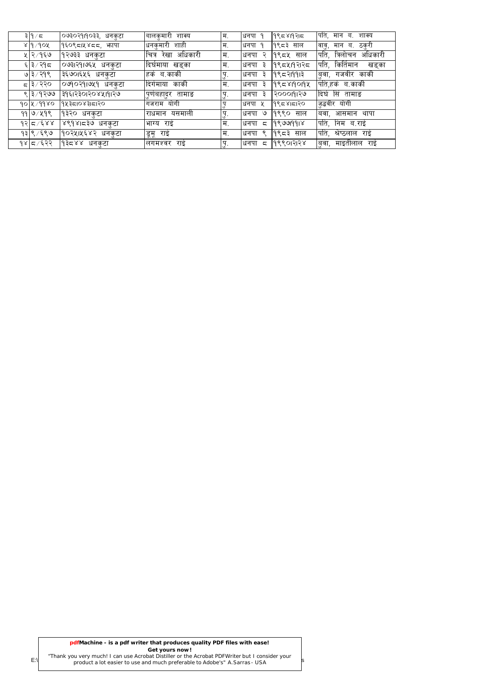| ३∣१∕ द            | ०७३०२१।१०३३,<br>धनकुटा | बालकमारी<br>शाक्य       | म.   | धनपा<br>୍ଦ | १९८४1१२1८   | पति, मान<br>ब.<br>शाक्य     |
|-------------------|------------------------|-------------------------|------|------------|-------------|-----------------------------|
| ४ १ /१०५          | १६०९८।५४८८, भापा       | शाही<br>धनकमारी         | म.   | 9<br>धनपा  | १९८३<br>साल | वाबु,<br>ठकरी<br>मान<br>ब.  |
| ५∣२ ⁄ १६७         | १२७३३ धनकटा            | अधिकारी<br>चित्र<br>रखा | म.   | Ç<br>धनपा  | १९८५ साल    | पति.<br>त्रिलोचन<br>अधिकारी |
| ६ ३ ∕ २१८         | ०७३।२१।७६५ धनकुटा      | ।दिर्घमाया खडका         | म.   | धनपा<br>З  | १९८५।१२।२८  | किर्तिमान<br>पति.<br>खडुका  |
| ७∣३∕२१९           | ३६७०।६५६ धनकटा         | हके ब.काकी              | पु.  | धनपा<br>З  | 19९८२1991३  | डुवा,<br>गजवीर काकी         |
| द ३∕२२०           | ०७१०२१।७५१ धनकुटा      | दिगेमाया काकी           | म.   | धनपा<br>З  | 19९८४19019४ | पिति,हर्क ब.काकी            |
| ९∣३∕१२७७          | રૂ૧દારર૦ાર૦૪પ્રા૧ાર૭   | पुणबहादुर तामाङ         | !पु. | धनपा<br>₹  | २०००११२७    | दिर्घ सिं तामाङ             |
| $90 \times 99$ ४० | 9435108315120          | योगी<br>गजराम           |      | धनपा ५     | 1995815120  | ज़ुद्धवीर योगी              |
| $99$ 9/299        | १३२० धनकटा             | राधमान यसमाली           | 'प.  | ও<br>धनपा  | १९९० साल    | बवा,<br>आसमान<br>थापा       |
| $92\sqrt{5}/2$    | ४९१४।द३७ धनकुटा        | भाग्य राई               | म.   | धनपा<br>ζ  | 198699918   | पति.<br>निम ब.राई           |
| १३∣९ ∕ ६९७        | १०२५।५६४२ धनकटा        | डूमू राई                | म.   | ୧<br>धनपा  | १९८३ साल    | पति,<br>श्रेष्ठलाल<br>राई   |
| १४∣८ ∕६२२         | りまこくく<br>धनकटा         | राइ<br>लगमश्वर          |      | धनपा<br>ς  | १९९०१२२४    | माइतीलाल<br>बवा,<br>राइ     |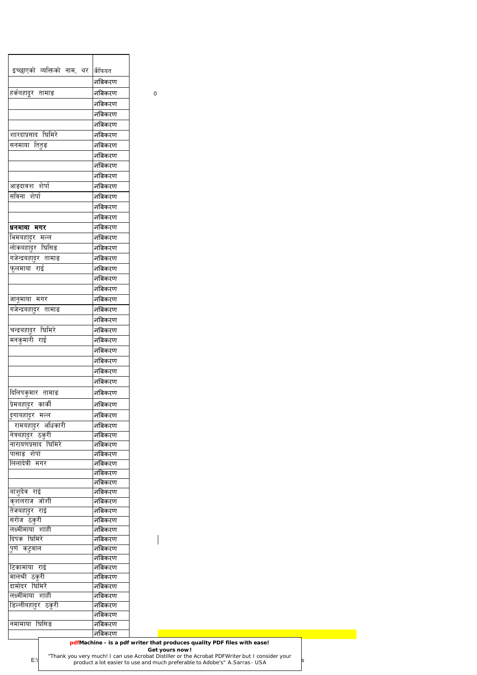| इच्छाएको व्यक्तिको नाम, थर कैफियत |                  |           |  |
|-----------------------------------|------------------|-----------|--|
|                                   | नबिकरण           |           |  |
| हर्कबहादूर तामाङ                  | नबिकरण           | $\pmb{0}$ |  |
|                                   | नबिकरण           |           |  |
|                                   | नबिकरण           |           |  |
|                                   | नबिकरण           |           |  |
| शारदाप्रसाद घिमिरे                | नबिकरण           |           |  |
| सनमाया तितुङ                      | नबिकरण           |           |  |
|                                   | नबिकरण           |           |  |
|                                   | नबिकरण           |           |  |
|                                   | नबिकरण           |           |  |
| आङदावश शेर्पा                     | नबिकरण           |           |  |
| सविना शेर्पा                      | नबिकरण           |           |  |
|                                   | नबिकरण           |           |  |
|                                   | नबिकरण           |           |  |
| धनमाया मगर                        | नबिकरण           |           |  |
| भिमबहादुर मल्ल                    | नबिकरण           |           |  |
| लोकबहादुर घिसिङ                   | नबिकरण           |           |  |
| गजेन्द्रबहादुर तामाङ              | नबिकरण           |           |  |
| फूलमाया राई                       | नबिकरण           |           |  |
|                                   | नबिकरण           |           |  |
|                                   | नबिकरण           |           |  |
| जानूमाया मगर                      | नबिकरण           |           |  |
| गजेन्द्रबहा्दर तामाङ              | नबिकरण           |           |  |
|                                   | नबिकरण           |           |  |
| चन्द्रबहादुर घिमिरे               | नबिकरण           |           |  |
| मनकुमारी राई                      | नबिकरण           |           |  |
|                                   | नबिकरण           |           |  |
|                                   | नबिकरण           |           |  |
|                                   | नबिकरण           |           |  |
|                                   | नबिकरण           |           |  |
|                                   |                  |           |  |
| दिलिपकुमार ता <u>माङ</u>          | नबिकरण           |           |  |
| प्रेमबहा्दर कार्की                | नबिकरण           |           |  |
| <i>दु</i> गाबहादुर मल्ल           | नबिकरण           |           |  |
| रामबहादुर अधिकारी                 | नबिकरण           |           |  |
| नेत्रबहादुर ठकुरी                 | नबिकरण           |           |  |
| नारायणप्रसाद घिमिरे               | नबिकरण           |           |  |
| पासाङ शेर्पा<br>लिलादेवी मगर      | नबिकरण<br>नबिकरण |           |  |
|                                   | नबिकरण           |           |  |
|                                   | नबिकरण           |           |  |
| बाशुदेव राई                       | नबिकरण           |           |  |
| कृशलराज जोशी                      | नबिकरण           |           |  |
| तेजबहादुर राई                     | नबिकरण           |           |  |
| सरोज ठकुरी                        | नबिकरण           |           |  |
| लक्ष्मीमाया शाही                  | नबिकरण           |           |  |
| दिपक घिमिरे                       | नबिकरण           |           |  |
| <u>पुर्ण कट्रवाल</u>              | नबिकरण           |           |  |
|                                   | नबिकरण           |           |  |
| टिकामाया राई                      | नबिकरण           |           |  |
| मालश्री ठकुरी                     | नबिकरण           |           |  |
| दामोदर घिमिरे                     | नबिकरण           |           |  |
| लक्ष्मीमाया शाही                  | नबिकरण           |           |  |
| डिल्लीबहादुर ठकुरी                | नबिकरण           |           |  |
|                                   | नबिकरण           |           |  |
| नमामाया घिसिङ                     | नबिकरण           |           |  |
|                                   | नबिकरण           |           |  |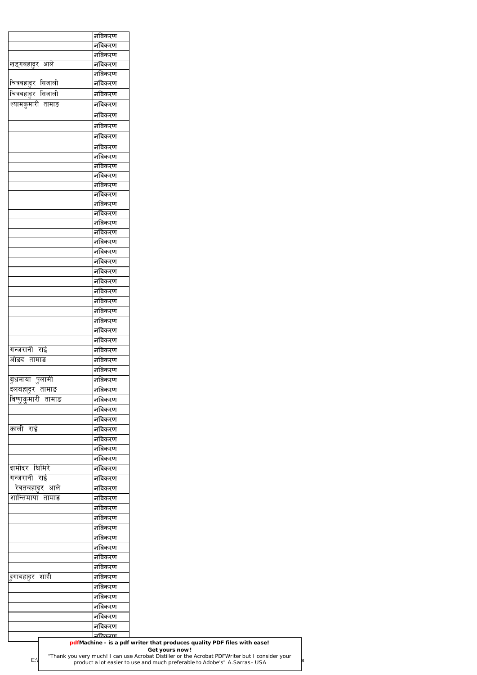|                           | नबिकरण           |
|---------------------------|------------------|
|                           | नबिकरण           |
|                           | नबिकरण           |
| खड्गबहादुर आले            | नबिकरण           |
|                           | नबिकरण           |
| चित्रबहादुर सिजाली        | नबिकरण           |
| चित्रबहादुर सिजाली        | नबिकरण           |
| <u>श्यामकु</u> मारी तामाङ | नबिकरण           |
|                           | नबिकरण           |
|                           | नबिकरण           |
|                           | नबिकरण           |
|                           | नबिकरण           |
|                           | नबिकरण           |
|                           | नबिकरण           |
|                           | नबिकरण           |
|                           | नबिकरण           |
|                           | नबिकरण           |
|                           | नबिकरण<br>नबिकरण |
|                           | नबिकरण           |
|                           | नबिकरण           |
|                           | नबिकरण           |
|                           | नबिकरण           |
|                           | नबिकरण           |
|                           | नबिकरण           |
|                           | नबिकरण           |
|                           | नबिकरण           |
|                           | नबिकरण           |
|                           | नबिकरण           |
|                           | नबिकरण           |
|                           | नबिकरण           |
|                           | नबिकरण           |
| गन्जरानी राई              | नबिकरण           |
| ओडद तामाङ                 | नबिकरण           |
|                           | नबिकरण           |
| <u>बु</u> धमाया पुलामी    | नबिकरण           |
| <u>दलबहादुर तामाङ</u>     | नबिकरण           |
| <u>विष्णुकुमारी तामाङ</u> | नबिकरण           |
|                           | नबिकरण           |
|                           | नबिकरण           |
| काली राई                  | नबिकरण           |
|                           | नबिकरण           |
|                           | नबिकरण           |
|                           | नबिकरण           |
| दामोदर घिमिरे             | नबिकरण           |
| गन्जरानी राई              | नबिकरण           |
| <u>रेवतबहादुर आले</u>     | नबिकरण           |
| <u>शान्तिमाया तामाङ</u>   | नबिकरण           |
|                           | नबिकरण           |
|                           | नबिकरण           |
|                           | —<br>नबिकरण      |
|                           | नबिकरण           |
|                           | नबिकरण           |
|                           | नबिकरण           |
|                           | नबिकरण           |
| <i>दु</i> गाबहादुर शाही   | नबिकरण           |
|                           | नबिकरण           |
|                           | नबिकरण           |
|                           | नबिकरण           |
|                           | नबिकरण           |
|                           | नबिकरण           |
|                           | <u> ਜਰਿकਾण</u>   |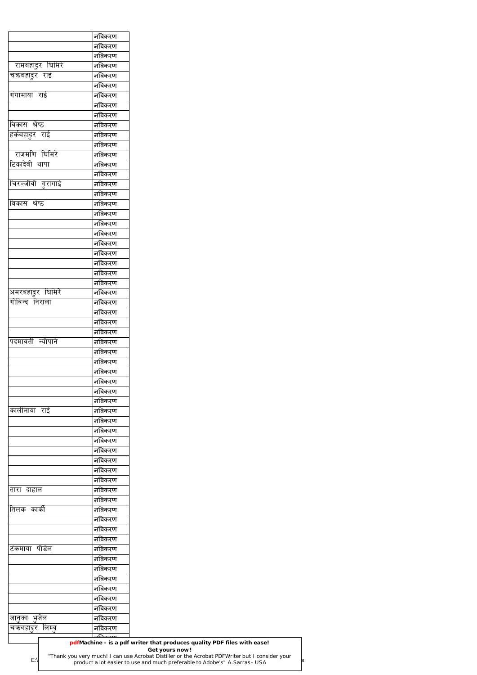| नबिकरण<br>नबिकरण<br>नबिकरण<br>नबिकरण<br>नबिकरण<br>नबिकरण<br>नबिकरण<br>नबिकरण<br>नबिकरण<br>नबिकरण<br>नबिकरण<br>नबिकरण<br>नबिकरण<br>नबिकरण<br>नबिकरण<br>नबिकरण<br>नबिकरण<br>नबिकरण<br>नबिकरण<br>नबिकरण<br>नबिकरण<br>नबिकरण<br>नबिकरण<br>नबिकरण<br>नबिकरण<br>नबिकरण<br>नबिकरण<br>नबिकरण<br>नबिकरण<br>नबिकरण<br>नबिकरण<br>नबिकरण<br>नबिकरण<br>नबिकरण |
|--------------------------------------------------------------------------------------------------------------------------------------------------------------------------------------------------------------------------------------------------------------------------------------------------------------------------------------------------|
|                                                                                                                                                                                                                                                                                                                                                  |
|                                                                                                                                                                                                                                                                                                                                                  |
|                                                                                                                                                                                                                                                                                                                                                  |
|                                                                                                                                                                                                                                                                                                                                                  |
|                                                                                                                                                                                                                                                                                                                                                  |
|                                                                                                                                                                                                                                                                                                                                                  |
|                                                                                                                                                                                                                                                                                                                                                  |
|                                                                                                                                                                                                                                                                                                                                                  |
|                                                                                                                                                                                                                                                                                                                                                  |
|                                                                                                                                                                                                                                                                                                                                                  |
|                                                                                                                                                                                                                                                                                                                                                  |
|                                                                                                                                                                                                                                                                                                                                                  |
|                                                                                                                                                                                                                                                                                                                                                  |
|                                                                                                                                                                                                                                                                                                                                                  |
|                                                                                                                                                                                                                                                                                                                                                  |
|                                                                                                                                                                                                                                                                                                                                                  |
|                                                                                                                                                                                                                                                                                                                                                  |
|                                                                                                                                                                                                                                                                                                                                                  |
|                                                                                                                                                                                                                                                                                                                                                  |
|                                                                                                                                                                                                                                                                                                                                                  |
|                                                                                                                                                                                                                                                                                                                                                  |
|                                                                                                                                                                                                                                                                                                                                                  |
|                                                                                                                                                                                                                                                                                                                                                  |
|                                                                                                                                                                                                                                                                                                                                                  |
|                                                                                                                                                                                                                                                                                                                                                  |
|                                                                                                                                                                                                                                                                                                                                                  |
|                                                                                                                                                                                                                                                                                                                                                  |
|                                                                                                                                                                                                                                                                                                                                                  |
|                                                                                                                                                                                                                                                                                                                                                  |
|                                                                                                                                                                                                                                                                                                                                                  |
|                                                                                                                                                                                                                                                                                                                                                  |
|                                                                                                                                                                                                                                                                                                                                                  |
|                                                                                                                                                                                                                                                                                                                                                  |
|                                                                                                                                                                                                                                                                                                                                                  |
| नबिकरण                                                                                                                                                                                                                                                                                                                                           |
| नबिकरण                                                                                                                                                                                                                                                                                                                                           |
| नबिकरण                                                                                                                                                                                                                                                                                                                                           |
| नबिकरण                                                                                                                                                                                                                                                                                                                                           |
| नबिकरण                                                                                                                                                                                                                                                                                                                                           |
| नबिकरण                                                                                                                                                                                                                                                                                                                                           |
| नबिकरण                                                                                                                                                                                                                                                                                                                                           |
| नबिकरण                                                                                                                                                                                                                                                                                                                                           |
| नबिकरण                                                                                                                                                                                                                                                                                                                                           |
| नबिकरण                                                                                                                                                                                                                                                                                                                                           |
| नबिकरण                                                                                                                                                                                                                                                                                                                                           |
| नबिकरण                                                                                                                                                                                                                                                                                                                                           |
| नबिकरण                                                                                                                                                                                                                                                                                                                                           |
| नबिकरण                                                                                                                                                                                                                                                                                                                                           |
| नबिकरण                                                                                                                                                                                                                                                                                                                                           |
| नबिकरण                                                                                                                                                                                                                                                                                                                                           |
| नबिकरण                                                                                                                                                                                                                                                                                                                                           |
| नबिकरण                                                                                                                                                                                                                                                                                                                                           |
| नबिकरण                                                                                                                                                                                                                                                                                                                                           |
| नबिकरण                                                                                                                                                                                                                                                                                                                                           |
| नबिकरण                                                                                                                                                                                                                                                                                                                                           |
| नबिकरण                                                                                                                                                                                                                                                                                                                                           |
| नबिकरण                                                                                                                                                                                                                                                                                                                                           |
| नबिकरण                                                                                                                                                                                                                                                                                                                                           |
| नबिकरण                                                                                                                                                                                                                                                                                                                                           |
| नबिकरण                                                                                                                                                                                                                                                                                                                                           |
| pdfMachine - is a pdf writer that produces quality PDF files with ease!                                                                                                                                                                                                                                                                          |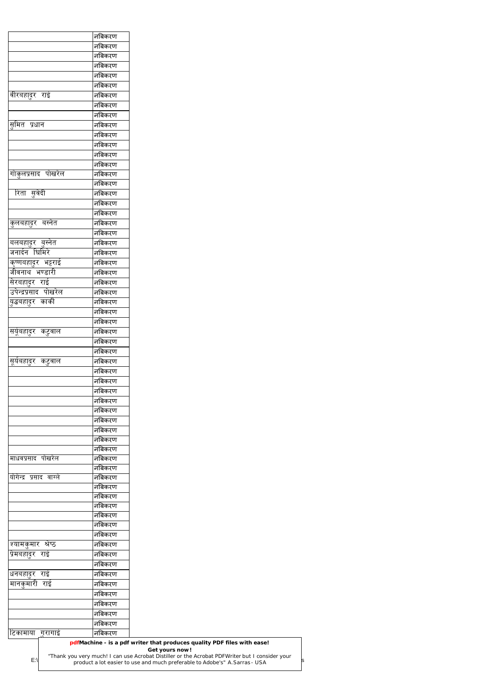|                         | नबिकरण |  |
|-------------------------|--------|--|
|                         | नबिकरण |  |
|                         | नबिकरण |  |
|                         | नबिकरण |  |
|                         | नबिकरण |  |
|                         | नबिकरण |  |
| वीरबहा्दर राई           | नबिकरण |  |
|                         | नबिकरण |  |
|                         | नबिकरण |  |
| समित प्रधान             | नबिकरण |  |
|                         | नबिकरण |  |
|                         | नबिकरण |  |
|                         | नबिकरण |  |
|                         | नबिकरण |  |
| गोकुलप्रसाद पोखरेल      | नबिकरण |  |
|                         | नबिकरण |  |
| रिता सुवेदी             | नबिकरण |  |
|                         | नबिकरण |  |
|                         | नबिकरण |  |
| कुलबहादुर बस्नेत        | नबिकरण |  |
|                         | नबिकरण |  |
| बलबहादुर बुस्नेत        | नबिकरण |  |
| जनार्दन घिमिरे          | नबिकरण |  |
| कृष्णबहादुर भट्टराई     | नबिकरण |  |
| जीवनाथ भण्डारी          | नबिकरण |  |
| सेरबहादुर राई           | नबिकरण |  |
| उपेन्द्रप्रसाद पोखरेल   | नबिकरण |  |
| युद्धबहादुर कार्की      | नबिकरण |  |
|                         | नबिकरण |  |
|                         | नबिकरण |  |
| सयूंबहादुर कटुवाल       | नबिकरण |  |
|                         | नबिकरण |  |
|                         | नबिकरण |  |
| सूर्यबहादुर कटुवाल      | नबिकरण |  |
|                         | नबिकरण |  |
|                         | नबिकरण |  |
|                         | नबिकरण |  |
|                         | नबिकरण |  |
|                         | नबिकरण |  |
|                         | नबिकरण |  |
|                         | नबिकरण |  |
|                         | नबिकरण |  |
|                         | नबिकरण |  |
| माधवप्रसाद पोखरेल       | नबिकरण |  |
|                         | नबिकरण |  |
| योगेन्द्र प्रसाद वाग्ले | नबिकरण |  |
|                         | नबिकरण |  |
|                         | नबिकरण |  |
|                         | नबिकरण |  |

|                 |         | नबिकरण |                                                                                                                                                                                                                                                                            |
|-----------------|---------|--------|----------------------------------------------------------------------------------------------------------------------------------------------------------------------------------------------------------------------------------------------------------------------------|
|                 |         | नबिकरण |                                                                                                                                                                                                                                                                            |
|                 |         | नबिकरण |                                                                                                                                                                                                                                                                            |
| श्यामकुमार      | श्रेष्ठ | नबिकरण |                                                                                                                                                                                                                                                                            |
| प्रिमबहादुर राइ |         | नबिकरण |                                                                                                                                                                                                                                                                            |
|                 |         | नबिकरण |                                                                                                                                                                                                                                                                            |
| धनबहादर         | राई     | नबिकरण |                                                                                                                                                                                                                                                                            |
| मानकमारी        | राई     | नबिकरण |                                                                                                                                                                                                                                                                            |
|                 |         | नबिकरण |                                                                                                                                                                                                                                                                            |
|                 |         | नबिकरण |                                                                                                                                                                                                                                                                            |
|                 |         | नबिकरण |                                                                                                                                                                                                                                                                            |
|                 |         | नबिकरण |                                                                                                                                                                                                                                                                            |
| टिकामाया गरागाई |         | नबिकरण |                                                                                                                                                                                                                                                                            |
| $E:\setminus$   |         |        | pdfMachine - is a pdf writer that produces quality PDF files with ease!<br>Get yours now!<br>"Thank you very much! I can use Acrobat Distiller or the Acrobat PDFWriter but I consider your<br>product a lot easier to use and much preferable to Adobe's" A. Sarras - USA |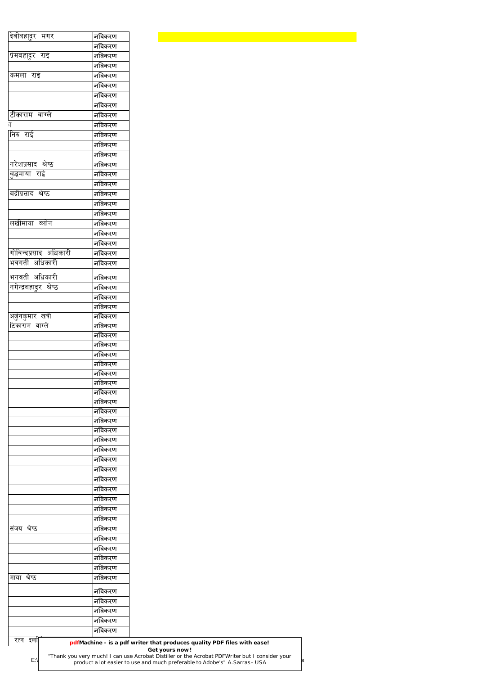| देवीबहादुर मगर                             | नबिकरण           |  |  |  |
|--------------------------------------------|------------------|--|--|--|
|                                            | नबिकरण           |  |  |  |
| प्रेमबहादुर राई                            | नबिकरण           |  |  |  |
|                                            | नबिकरण           |  |  |  |
| कमला राई                                   | नबिकरण           |  |  |  |
|                                            | नबिकरण           |  |  |  |
|                                            | नबिकरण           |  |  |  |
|                                            | नबिकरण           |  |  |  |
| टीकाराम वाग्ले                             | नबिकरण           |  |  |  |
| 丌<br>निरु राई                              | नबिकरण<br>नबिकरण |  |  |  |
|                                            | नबिकरण           |  |  |  |
|                                            | नबिकरण           |  |  |  |
| नरेशप्रसाद श्रेष्ठ                         | नबिकरण           |  |  |  |
| बुद्धमाया राई                              | नबिकरण           |  |  |  |
|                                            | नबिकरण           |  |  |  |
| बद्रीप्रसाद श्रेष्ठ                        | नबिकरण           |  |  |  |
|                                            | नबिकरण           |  |  |  |
|                                            | नबिकरण           |  |  |  |
| लखीमाया व्लोन                              | नबिकरण           |  |  |  |
|                                            | नबिकरण           |  |  |  |
| गोविन्दप्रसाद अधिकारी                      | नबिकरण           |  |  |  |
| भवगती अधिकारी                              | नबिकरण<br>नबिकरण |  |  |  |
|                                            |                  |  |  |  |
| भगवती अधिकारी                              | नबिकरण           |  |  |  |
| नगेन्द्रबहादुर श्रेष्ठ                     | नबिकरण           |  |  |  |
|                                            | नबिकरण           |  |  |  |
|                                            | नबिकरण<br>नबिकरण |  |  |  |
| <u>अर्जुनकुमार खत्री</u><br>टिकाराम वाग्ले | नबिकरण           |  |  |  |
|                                            | नबिकरण           |  |  |  |
|                                            | नबिकरण           |  |  |  |
|                                            | नबिकरण           |  |  |  |
|                                            | नबिकरण           |  |  |  |
|                                            | नबिकरण           |  |  |  |
|                                            | नबिकरण           |  |  |  |
|                                            | नबिकरण<br>नबिकरण |  |  |  |
|                                            | नबिकरण           |  |  |  |
|                                            | नबिकरण           |  |  |  |
|                                            | नबिकरण           |  |  |  |
|                                            | नबिकरण           |  |  |  |
|                                            | नबिकरण           |  |  |  |
|                                            | नबिकरण           |  |  |  |
|                                            | नबिकरण           |  |  |  |
|                                            | नबिकरण           |  |  |  |
|                                            | नबिकरण           |  |  |  |
|                                            | नबिकरण<br>नबिकरण |  |  |  |
|                                            | नबिकरण           |  |  |  |
| संजय श्रेष्ठ                               | नबिकरण           |  |  |  |
|                                            | नबिकरण           |  |  |  |
|                                            | नबिकरण           |  |  |  |
|                                            | नबिकरण           |  |  |  |
|                                            | नबिकरण           |  |  |  |
| माया श्रेष्ठ                               | नबिकरण           |  |  |  |
|                                            | नबिकरण           |  |  |  |
|                                            | नबिकरण           |  |  |  |
|                                            | नबिकरण           |  |  |  |
|                                            | नबिकरण           |  |  |  |
|                                            | नबिकरण           |  |  |  |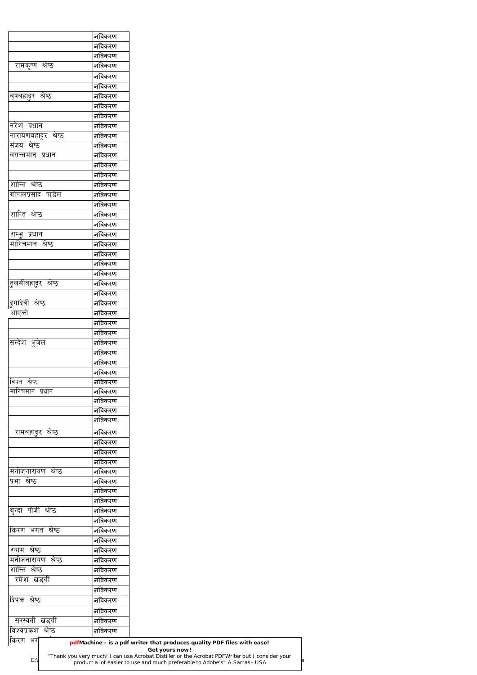|                                     | नबिकरण           |  |  |
|-------------------------------------|------------------|--|--|
|                                     | नबिकरण           |  |  |
|                                     | नबिकरण           |  |  |
| रामकृष्ण श्रेष्ठ                    | नबिकरण           |  |  |
|                                     | नबिकरण           |  |  |
|                                     | नबिकरण           |  |  |
| बृषबहादुर श्रेष्ठ                   | नबिकरण           |  |  |
|                                     | नबिकरण           |  |  |
|                                     |                  |  |  |
|                                     | नबिकरण           |  |  |
| नरेश प्रधान                         | नबिकरण           |  |  |
| नारायणबहा <u>दु</u> र श्रेष्ठ       | नबिकरण           |  |  |
| संजय श्रेष्ठ                        | नबिकरण           |  |  |
| बसन्तमान प्रधान                     | नबिकरण           |  |  |
|                                     | नबिकरण           |  |  |
|                                     | नबिकरण           |  |  |
| शान्ति श्रेष्ठ                      | नबिकरण           |  |  |
| गोपालप्रसाद पाडेल                   | नबिकरण           |  |  |
|                                     | नबिकरण           |  |  |
| शान्ति श्रेष्ठ                      | नबिकरण           |  |  |
|                                     | नबिकरण           |  |  |
| शम्भू प्रधान                        | नबिकरण           |  |  |
| <u>मारिचमान श्रेष्ठ</u>             | नबिकरण           |  |  |
|                                     | नबिकरण           |  |  |
|                                     | नबिकरण           |  |  |
|                                     | नबिकरण           |  |  |
| <u>तु</u> लसीबहादुर श्रेष्ठ         | नबिकरण           |  |  |
|                                     | नबिकरण           |  |  |
| डुगदिवी श्रेष्ठ                     | नबिकरण           |  |  |
| आएको                                | नबिकरण           |  |  |
|                                     | नबिकरण           |  |  |
|                                     | नबिकरण           |  |  |
| सन्देश भुजेल                        | नबिकरण           |  |  |
|                                     | नबिकरण           |  |  |
|                                     |                  |  |  |
|                                     | नबिकरण           |  |  |
| विपन श्रेष्ठ                        | नबिकरण           |  |  |
|                                     | नबिकरण           |  |  |
| मारिचमान प्रधान                     | नबिकरण           |  |  |
|                                     | नबिकरण           |  |  |
|                                     | नबिकरण           |  |  |
|                                     | नबिकरण           |  |  |
| रामबहादुर श्रेष्ठ                   | नबिकरण           |  |  |
|                                     | नबिकरण           |  |  |
|                                     | नबिकरण           |  |  |
|                                     | नबिकरण           |  |  |
| मनोजनारायण श्रेष्ठ                  | नबिकरण           |  |  |
| प्रभा श्रेष्ठ                       | नबिकरण           |  |  |
|                                     | नबिकरण           |  |  |
|                                     | नबिकरण           |  |  |
| बृन्दा पौजी श्रेष्ठ                 | नबिकरण           |  |  |
|                                     | नबिकरण           |  |  |
| किरण भगत श्रेष्ठ                    | नबिकरण           |  |  |
|                                     | नबिकरण           |  |  |
| श्याम श्रेष्ठ                       | नबिकरण           |  |  |
| मनोजनारायण श्रेष्ठ                  | नबिकरण           |  |  |
| शान्ति श्रेष्ठ                      | नबिकरण           |  |  |
|                                     |                  |  |  |
| रमेश खड्गी                          | नबिकरण           |  |  |
|                                     | नबिकरण           |  |  |
| दिपक श्रेष्ठ                        | नबिकरण           |  |  |
|                                     | नबिकरण           |  |  |
|                                     |                  |  |  |
| सरस्वती खड्गी<br>विश्वप्रकश श्रेष्ठ | नबिकरण<br>नबिकरण |  |  |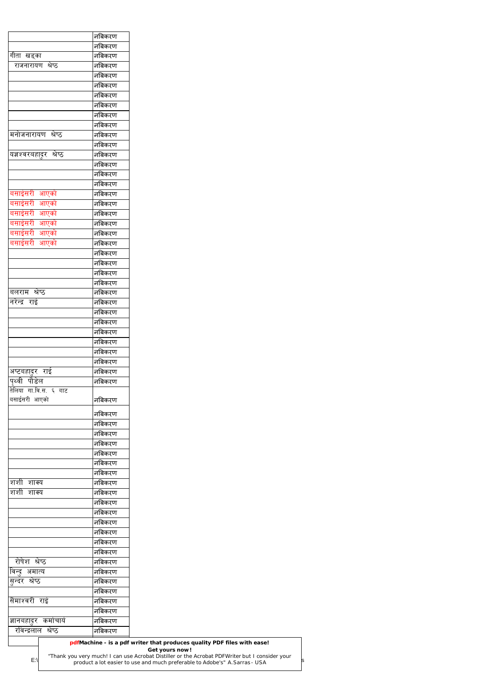|                                               | _<br>नबिकरण      |
|-----------------------------------------------|------------------|
|                                               | नबिकरण           |
| गीता खड्का                                    | नबिकरण           |
| राजनारायण श्रेष्ठ                             | नबिकरण           |
|                                               | नबिकरण           |
|                                               | नबिकरण           |
|                                               | नबिकरण           |
|                                               | नबिकरण           |
|                                               | नबिकरण           |
|                                               | नबिकरण           |
| मनोजनारायण श्रेष्ठ                            | नबिकरण           |
|                                               | नबिकरण           |
| यज्ञश्वरबहा्दर श्रेष्ठ                        | नबिकरण           |
|                                               | नबिकरण           |
|                                               | नबिकरण           |
|                                               | नबिकरण           |
| बसाईसरी आएको                                  |                  |
|                                               | नबिकरण           |
| बसाईसरी आएको                                  | नबिकरण           |
| बसाईसरी आएको                                  | नबिकरण           |
| बसाईसरी आएको                                  | नबिकरण           |
| बसाईसरी आएको                                  | नबिकरण           |
| बसाईसरी आएको                                  | नबिकरण           |
|                                               | नबिकरण           |
|                                               | नबिकरण           |
|                                               | नबिकरण           |
|                                               | —<br>नबिकरण      |
| बलराम श्रेष्ठ                                 | नबिकरण           |
| नरेन्द्र राई                                  | नबिकरण           |
|                                               | नबिकरण           |
|                                               | नबिकरण           |
|                                               | नबिकरण           |
|                                               | नबिकरण           |
|                                               | नबिकरण           |
|                                               | नबिकरण           |
| अष्टबहादुर राई                                | नबिकरण           |
| पृथ्वी पौडेल                                  | नबिकरण           |
| तेलिया गा.वि.स. ६ बाट                         |                  |
| बसाईसरी आएको                                  | नबिकरण           |
|                                               |                  |
|                                               | नबिकरण           |
|                                               | नबिकरण           |
|                                               | नबिकरण           |
|                                               | नबिकरण           |
|                                               | नबिकरण           |
|                                               | नबिकरण           |
|                                               | नबिकरण           |
| शशी शाक्य                                     | नबिकरण           |
| शशी शाक्य                                     | नबिकरण           |
|                                               | नबिकरण           |
|                                               | नबिकरण           |
|                                               | नबिकरण           |
|                                               | नबिकरण           |
|                                               | नबिकरण           |
|                                               |                  |
|                                               | नबिकरण           |
|                                               |                  |
| रोषेश श्रेष्ठ                                 | नबिकरण           |
|                                               | नबिकरण           |
|                                               | नबिकरण           |
| <u>विन्दु</u> अमात्य<br>सन्दर श्रेष्ठ         | नबिकरण           |
|                                               | नबिकरण           |
| सैमाश्वरी राई                                 | नबिकरण           |
| ज्ञानबहादुर कर्माचार्य<br>रविन्द्रलाल श्रेष्ठ | नबिकरण<br>नबिकरण |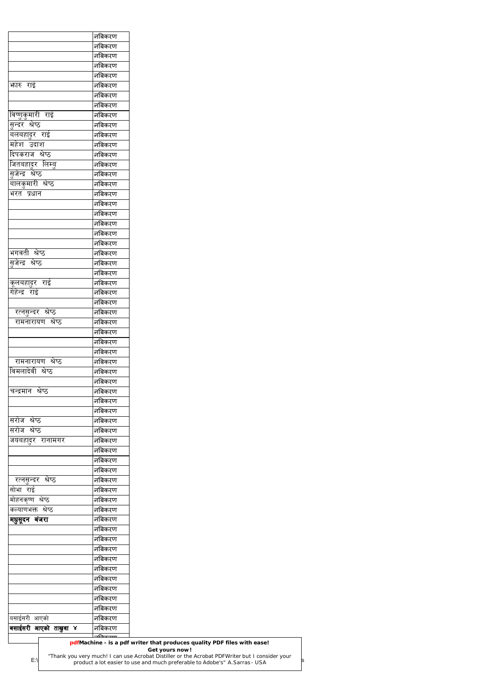|                                                            | नबिकरण |
|------------------------------------------------------------|--------|
|                                                            | नबिकरण |
|                                                            | नबिकरण |
|                                                            | नबिकरण |
| फारु राई                                                   | नबिकरण |
|                                                            | नबिकरण |
|                                                            | नबिकरण |
| <u>विष्णुकुमारी राई</u>                                    | नबिकरण |
| सुन्दर श्रेष्ठ                                             | नबिकरण |
| बलबहादुर राई                                               | नबिकरण |
| महेश उदाश                                                  | नबिकरण |
| दिपकराज श्रेष्ठ                                            | नबिकरण |
|                                                            | नबिकरण |
| जितबहादुर लिम्बु<br>सुजेन्द्र श्रेष्ठ<br>बालकुमारी श्रेष्ठ | नबिकरण |
|                                                            | नबिकरण |
| भरत प्रधान                                                 | नबिकरण |
|                                                            | नबिकरण |
|                                                            | नबिकरण |
|                                                            |        |
|                                                            | नबिकरण |
|                                                            | नबिकरण |
|                                                            | नबिकरण |
| भगवती श्रेष्ठ                                              | नबिकरण |
| <u>सु</u> जेन्द्र श्रेष्ठ                                  | नबिकरण |
|                                                            | नबिकरण |
| कूलबहादुर राई<br>गेहेन्द्र राई                             | नबिकरण |
|                                                            | नबिकरण |
|                                                            | नबिकरण |
| रत्नसुन्दर श्रेष्ठ                                         | नबिकरण |
| रामनारायण श्रेष्ठ                                          | नबिकरण |
|                                                            | नबिकरण |
|                                                            | नबिकरण |
|                                                            | नबिकरण |
| रामनारायण श्रेष्ठ                                          | नबिकरण |
| विमलादेवी श्रेष्ठ                                          | नबिकरण |
|                                                            | नबिकरण |
| चन्द्रमान श्रेष्ठ                                          | नबिकरण |
|                                                            | नबिकरण |
|                                                            | नबिकरण |
| सरोज श्रेष्ठ                                               | नबिकरण |
| सरोज श्रेष्ठ                                               | नबिकरण |
|                                                            |        |
| जयबहादुर रानामगर                                           | नबिकरण |
|                                                            | नबिकरण |
|                                                            | नबिकरण |
|                                                            | नबिकरण |
| रत्नसुन्दर श्रेष्ठ                                         | नबिकरण |
| सोभा राई                                                   | नबिकरण |
| मोहनकृष्ण श्रेष्ठ                                          | नबिकरण |
| कल्याणभक्त श्रेष्ठ                                         | नबिकरण |
| मधुसूदन बंजरा                                              | नबिकरण |
|                                                            | नबिकरण |
|                                                            | नबिकरण |
|                                                            | नबिकरण |
|                                                            | नबिकरण |
|                                                            | नबिकरण |
|                                                            | नबिकरण |
|                                                            | नबिकरण |
|                                                            | नबिकरण |
|                                                            | नबिकरण |
|                                                            | नबिकरण |
|                                                            |        |
| बसाईसरी आएको<br>बसाईसरी आएको ताखुवा ४                      | नबिकरण |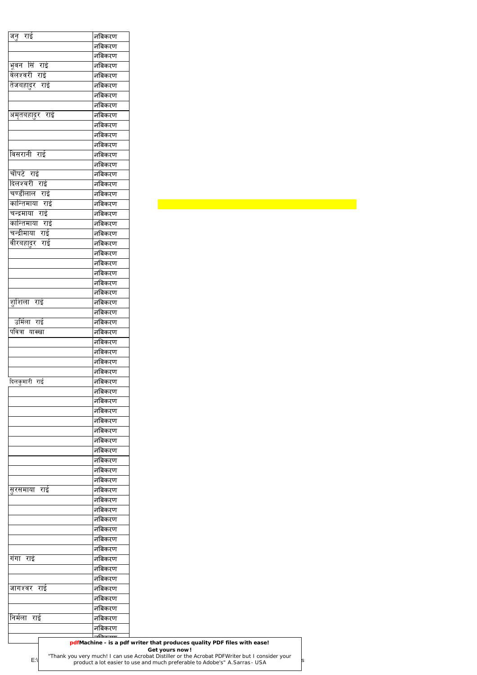| <u>जनु</u> राई  | नबिकरण           |  |
|-----------------|------------------|--|
|                 | नबिकरण           |  |
|                 | नबिकरण           |  |
| भूवन सिं राई    | नबिकरण           |  |
| वेलश्वरी राई    | नबिकरण           |  |
| तेजबहादुर राई   | नबिकरण           |  |
|                 | नबिकरण           |  |
|                 | नबिकरण           |  |
| अमृतबहादुर राई  | नबिकरण           |  |
|                 | नबिकरण           |  |
|                 | नबिकरण           |  |
|                 | नबिकरण           |  |
| विसरानी राई     | नबिकरण           |  |
|                 | नबिकरण           |  |
| चौपटे राई       | नबिकरण           |  |
| दिलश्वरी राई    | नबिकरण           |  |
| चण्डीलाल राई    | नबिकरण           |  |
| कान्तिमाया राई  | नबिकरण           |  |
| चन्द्रमाया राई  | नबिकरण           |  |
| कान्तिमाया राई  | नबिकरण           |  |
| चन्द्रीमाया राई | नबिकरण           |  |
| वीरबहादुर राई   | नबिकरण           |  |
|                 | नबिकरण           |  |
|                 | नबिकरण           |  |
|                 |                  |  |
|                 | नबिकरण           |  |
|                 | नबिकरण           |  |
|                 | नबिकरण           |  |
| शुशिला राई      | नबिकरण           |  |
|                 | नबिकरण           |  |
| उर्मिला राई     | नबिकरण           |  |
| पवित्रा याक्खा  | नबिकरण           |  |
|                 | नबिकरण           |  |
|                 | नबिकरण           |  |
|                 | नबिकरण           |  |
|                 | नबिकरण           |  |
| दिलकुमारी राई   | नबिकरण           |  |
|                 | नबिकरण           |  |
|                 | नबिकरण           |  |
|                 | नबिकरण           |  |
|                 | नबिकरण           |  |
|                 | नबिकरण           |  |
|                 | नबिकरण           |  |
|                 | नबिकरण           |  |
|                 | नबिकरण           |  |
|                 | नबिकरण           |  |
|                 | नबिकरण           |  |
| सुरसमाया राई    | नबिकरण           |  |
|                 | नबिकरण           |  |
|                 | नबिकरण           |  |
|                 | नबिकरण           |  |
|                 | नबिकरण           |  |
|                 | नबिकरण           |  |
|                 | नबिकरण           |  |
| गंगा राई        | नबिकरण           |  |
|                 | नबिकरण           |  |
|                 | नबिकरण           |  |
| जागश्वर राई     | नबिकरण           |  |
|                 | नबिकरण           |  |
|                 | नबिकरण           |  |
|                 |                  |  |
|                 |                  |  |
| निर्मला राई     | नबिकरण<br>नबिकरण |  |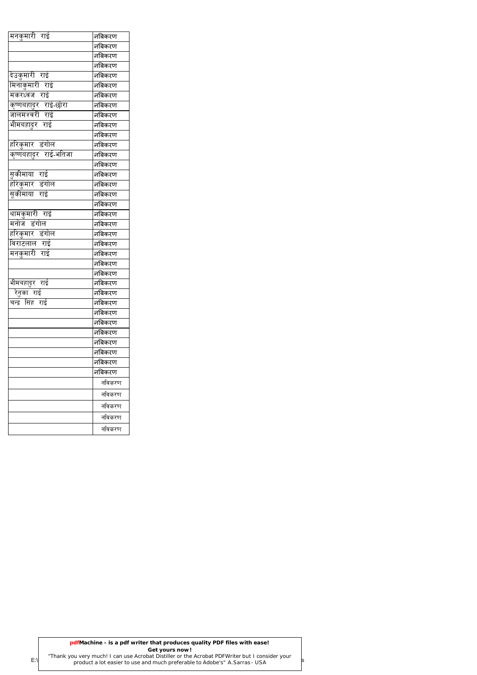| मनकुमारी राई                 | नबिकरण |  |
|------------------------------|--------|--|
|                              | नबिकरण |  |
|                              | नबिकरण |  |
|                              | नबिकरण |  |
| देउकुमारी राई                | नबिकरण |  |
| मिनाकुमारी राई               | नबिकरण |  |
| मकरध्वज राई                  | नबिकरण |  |
| कृष्णबहादुर राई-छोरा         | नबिकरण |  |
| जालमश्वरी राई                | नबिकरण |  |
| भीमबहादुर राई                | नबिकरण |  |
|                              | नबिकरण |  |
| हरिकुमार डंगोल               | नबिकरण |  |
| <u>कृष्णबहादुर राई-भतिजा</u> | नबिकरण |  |
|                              | नबिकरण |  |
| सुकीमाया राई                 | नबिकरण |  |
| <u>हरिकुमार डंगोल</u>        | नबिकरण |  |
| सूकीमाया राई                 | नबिकरण |  |
|                              | नबिकरण |  |
| थामकुमारी राई                | नबिकरण |  |
| मनोज डंगोल                   | नबिकरण |  |
| हरिकुमार डंगोल               | नबिकरण |  |
| विराटलाल राई                 | नबिकरण |  |
| मनकुमारी राई                 | नबिकरण |  |
|                              | नबिकरण |  |
|                              | नबिकरण |  |
| भीमबहादुर राई                | नबिकरण |  |
| रेनुका राई                   | नबिकरण |  |
| सिंह राई<br>चन्द्र           | नबिकरण |  |
|                              | नबिकरण |  |
|                              | नबिकरण |  |
|                              | नबिकरण |  |
|                              | नबिकरण |  |
|                              | नबिकरण |  |
|                              | नबिकरण |  |
|                              | नबिकरण |  |
|                              | नविकरण |  |
|                              | नविकरण |  |
|                              | नविकरण |  |
|                              | नविकरण |  |
|                              | नविकरण |  |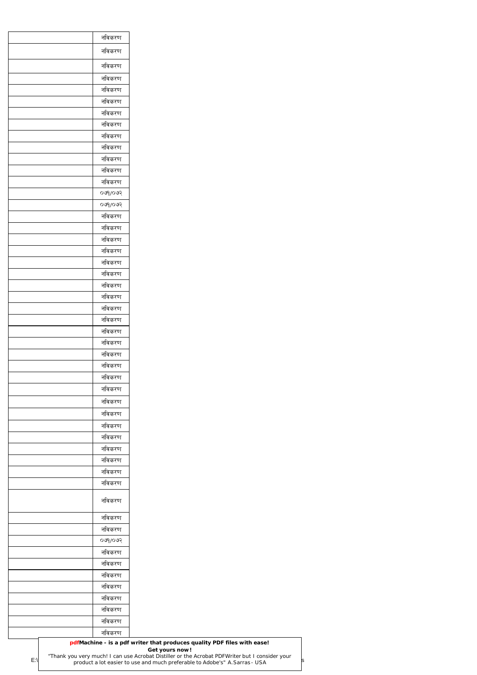| नविकरण                       |  |
|------------------------------|--|
| नविकरण                       |  |
| नविकरण                       |  |
| नविकरण                       |  |
| नविकरण                       |  |
| नविकरण                       |  |
| नविकरण                       |  |
| नविकरण                       |  |
| नविकरण                       |  |
| नविकरण                       |  |
| नविकरण                       |  |
| नविकरण                       |  |
| नविकरण                       |  |
| 500                          |  |
| ०७१/०७२                      |  |
| नविकरण                       |  |
| नविकरण                       |  |
| नविकरण                       |  |
| नविकरण                       |  |
| नविकरण                       |  |
| नविकरण                       |  |
| नविकरण                       |  |
| नविकरण                       |  |
| नविकरण                       |  |
| नविकरण                       |  |
| नविकरण                       |  |
| नविकरण                       |  |
| नविकरण                       |  |
| नविकरण                       |  |
| नविकरण                       |  |
| नविकरण                       |  |
| नविकरण                       |  |
| नविकरण                       |  |
| नविकरण                       |  |
| नविकरण                       |  |
| नविकरण                       |  |
| नविकरण                       |  |
| नविकरण                       |  |
| नविकरण                       |  |
| नविकरण                       |  |
| नविकरण                       |  |
| नविकरण                       |  |
| ०७१/०७२                      |  |
| नविकरण                       |  |
| नविकरण                       |  |
| नविकरण                       |  |
| नविकरण                       |  |
| नविकरण                       |  |
| नविकरण                       |  |
| नविकरण                       |  |
| नविकरण                       |  |
| pdfMachine - is a pdf writer |  |

# **pdfMachine - is a pdf writer that produces quality PDF files with ease!**

### **Get yours now!**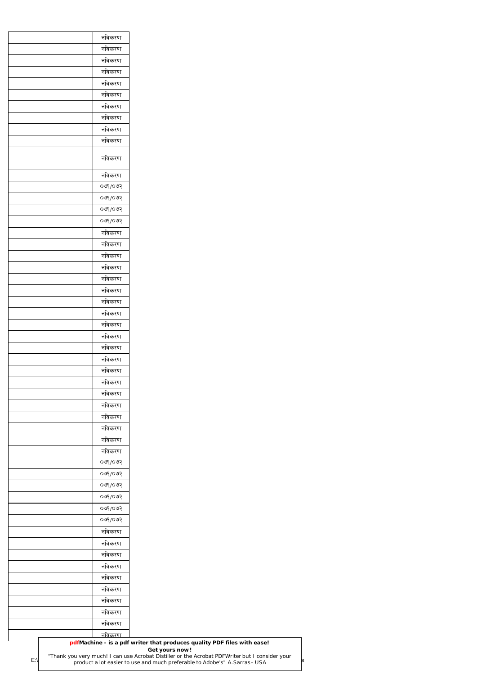| नविकरण                                                                  |  |
|-------------------------------------------------------------------------|--|
| नविकरण                                                                  |  |
| नविकरण                                                                  |  |
| नविकरण                                                                  |  |
| नविकरण                                                                  |  |
| नविकरण                                                                  |  |
| नविकरण                                                                  |  |
| नविकरण                                                                  |  |
| नविकरण                                                                  |  |
| नविकरण                                                                  |  |
| नविकरण                                                                  |  |
| नविकरण                                                                  |  |
| 009/009                                                                 |  |
| 009/009                                                                 |  |
| 009/009                                                                 |  |
| 500                                                                     |  |
| नविकरण                                                                  |  |
| नविकरण                                                                  |  |
| नविकरण                                                                  |  |
| नविकरण                                                                  |  |
| नविकरण                                                                  |  |
| नविकरण                                                                  |  |
| नविकरण                                                                  |  |
| नविकरण                                                                  |  |
| नविकरण                                                                  |  |
| नविकरण                                                                  |  |
| नविकरण                                                                  |  |
| नविकरण                                                                  |  |
| नविकरण                                                                  |  |
| नविकरण                                                                  |  |
| नविकरण                                                                  |  |
| नविकरण                                                                  |  |
| नविकरण                                                                  |  |
| नविकरण                                                                  |  |
| नविकरण                                                                  |  |
| नविकरण                                                                  |  |
| $500$ poo<br>$580$ p $80$                                               |  |
| 000000                                                                  |  |
| 500                                                                     |  |
| 500                                                                     |  |
| 009/009                                                                 |  |
| नविकरण                                                                  |  |
| नविकरण                                                                  |  |
| नविकरण                                                                  |  |
| नविकरण                                                                  |  |
| नविकरण                                                                  |  |
| नविकरण                                                                  |  |
| नविकरण                                                                  |  |
| नविकरण                                                                  |  |
| नविकरण                                                                  |  |
| <u>नविकरण</u>                                                           |  |
| pdfMachine - is a pdf writer that produces quality PDF files with ease! |  |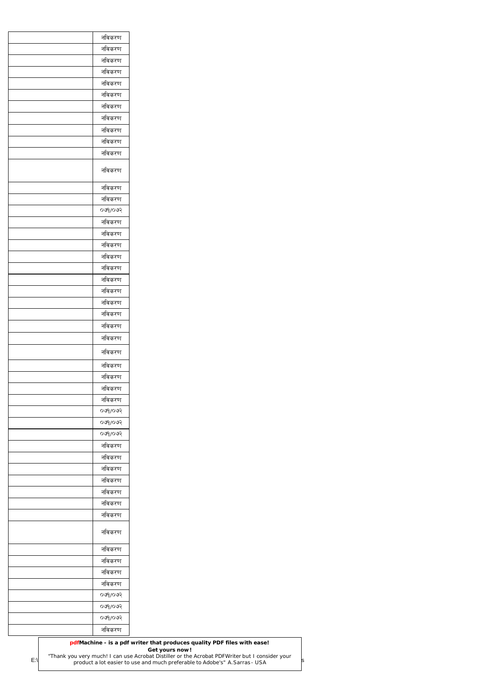| नविकरण    |
|-----------|
| नविकरण    |
| नविकरण    |
| नविकरण    |
| नविकरण    |
| नविकरण    |
| नविकरण    |
| नविकरण    |
| नविकरण    |
| नविकरण    |
| नविकरण    |
|           |
| नविकरण    |
| नविकरण    |
| नविकरण    |
| 0.99      |
| नविकरण    |
| नविकरण    |
| नविकरण    |
| नविकरण    |
| नविकरण    |
| नविकरण    |
| नविकरण    |
| नविकरण    |
| नविकरण    |
| नविकरण    |
| नविकरण    |
|           |
| नविकरण    |
| नविकरण    |
| नविकरण    |
| नविकरण    |
| नविकरण    |
| 009/009   |
| 009/009   |
| $500$ poo |
| नविकरण    |
| नविकरण    |
| नविकरण    |
| नविकरण    |
| नविकरण    |
| नविकरण    |
| नविकरण    |
| नविकरण    |
| नविकरण    |
| नविकरण    |
|           |
| नविकरण    |
| नविकरण    |
| 0.99      |
| 009/009   |
| 009/009   |
| नविकरण    |

|     | pdfMachine - is a pdf writer that produces quality PDF files with ease!                                                                                                       |  |
|-----|-------------------------------------------------------------------------------------------------------------------------------------------------------------------------------|--|
|     | Get yours now!                                                                                                                                                                |  |
| E:\ | "Thank you very much! I can use Acrobat Distiller or the Acrobat PDFWriter but I consider your<br>product a lot easier to use and much preferable to Adobe's" A. Sarras - USA |  |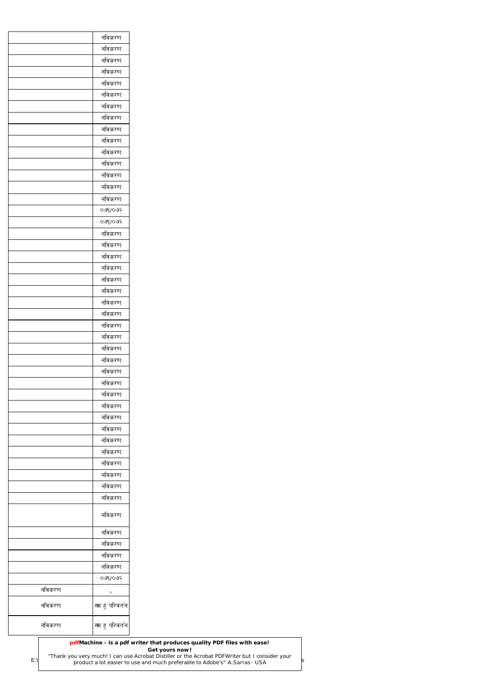|        | नविकरण                |
|--------|-----------------------|
|        | नविकरण                |
|        | नविकरण                |
|        | नविकरण                |
|        | नविकरण                |
|        | नविकरण                |
|        | नविकरण                |
|        | नविकरण                |
|        | नविकरण                |
|        | नविकरण                |
|        | नविकरण                |
|        | नविकरण                |
|        | नविकरण                |
|        |                       |
|        | नविकरण                |
|        | नविकरण                |
|        | ०७१/०७२               |
|        | 500                   |
|        | नविकरण                |
|        | नविकरण                |
|        | नविकरण                |
|        | नविकरण                |
|        | नविकरण                |
|        | नविकरण                |
|        | नविकरण                |
|        | नविकरण                |
|        | नविकरण                |
|        | नविकरण                |
|        | नविकरण                |
|        | नविकरण                |
|        | नविकरण                |
|        | नविकरण                |
|        | नविकरण                |
|        | नविकरण                |
|        | नविकरण                |
|        | नविकरण                |
|        |                       |
|        | नविकरण                |
|        | नविकरण                |
|        | नविकरण                |
|        | नविकरण                |
|        | नविकरण                |
|        | नविकरण                |
|        | नविकरण                |
|        | नविकरण                |
|        | नविकरण                |
|        | नविकरण                |
|        | नविकरण                |
|        | ०७१/०७२               |
| नविकरण |                       |
| नविकरण | ,,<br>स्म हु परिवर्तन |
|        |                       |
| नविकरण | स्म हु परिवर्तन       |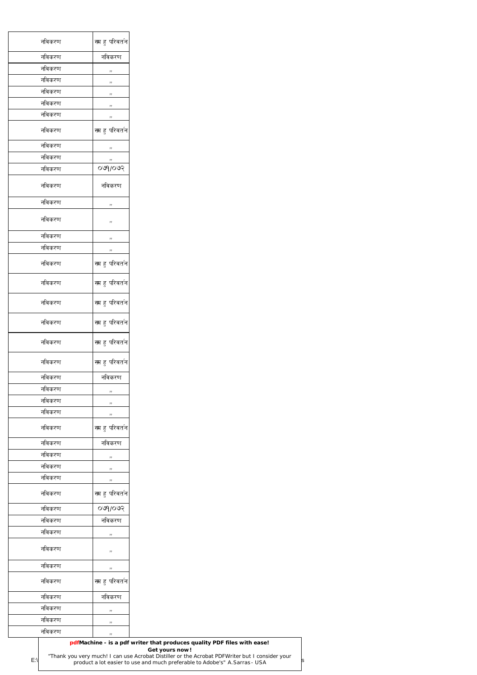| स्म हु परिवर्तन<br>नविकरण<br>नविकरण<br>नविकरण<br>नविकरण<br>,,<br>नविकरण<br>,,<br>नविकरण<br>,,<br>नविकरण<br>,,<br>नविकरण<br>,,<br>स्म हु परिवर्तन<br>नविकरण<br>नविकरण<br>,,<br>नविकरण<br>,,<br>०७१/०७२<br>नविकरण<br>नविकरण<br>नविकरण<br>नविकरण<br>,,<br>नविकरण<br>,,<br>नविकरण<br>,,<br>नविकरण<br>,,<br>स्म हु परिवर्तन<br>नविकरण<br>नविकरण<br>स्म हु परिवर्तन<br>नविकरण<br>स्म हु परिवर्तन<br>नविकरण<br>स्म हु परिवर्तन<br>नविकरण<br>स्म हु परिवर्तन<br>नविकरण<br>नविकरण<br>नविकरण<br>नविकरण<br>,,<br>नविकरण<br>,,<br>नविकरण<br>,,<br>स्म हु परिवर्तन<br>नविकरण<br>नविकरण<br>नविकरण<br>नविकरण<br>,,<br>नविकरण<br>,,<br>नविकरण<br>,,<br>स्म हु परिवर्तन<br>नविकरण<br>०७१/०७२<br>नविकरण<br>नविकरण<br>नविकरण<br>नविकरण<br>,,<br>नविकरण<br>,,<br>नविकरण<br>,,<br>स्म हु परिवर्तन<br>नविकरण<br>नविकरण<br>नविकरण<br>नविकरण<br>,,<br>नविकरण<br>,,<br>नविकरण<br>,, |  |
|------------------------------------------------------------------------------------------------------------------------------------------------------------------------------------------------------------------------------------------------------------------------------------------------------------------------------------------------------------------------------------------------------------------------------------------------------------------------------------------------------------------------------------------------------------------------------------------------------------------------------------------------------------------------------------------------------------------------------------------------------------------------------------------------------------------------------------------------------------|--|
|                                                                                                                                                                                                                                                                                                                                                                                                                                                                                                                                                                                                                                                                                                                                                                                                                                                            |  |
|                                                                                                                                                                                                                                                                                                                                                                                                                                                                                                                                                                                                                                                                                                                                                                                                                                                            |  |
|                                                                                                                                                                                                                                                                                                                                                                                                                                                                                                                                                                                                                                                                                                                                                                                                                                                            |  |
| स्म हु परिवर्तन                                                                                                                                                                                                                                                                                                                                                                                                                                                                                                                                                                                                                                                                                                                                                                                                                                            |  |
|                                                                                                                                                                                                                                                                                                                                                                                                                                                                                                                                                                                                                                                                                                                                                                                                                                                            |  |
|                                                                                                                                                                                                                                                                                                                                                                                                                                                                                                                                                                                                                                                                                                                                                                                                                                                            |  |
|                                                                                                                                                                                                                                                                                                                                                                                                                                                                                                                                                                                                                                                                                                                                                                                                                                                            |  |
|                                                                                                                                                                                                                                                                                                                                                                                                                                                                                                                                                                                                                                                                                                                                                                                                                                                            |  |
|                                                                                                                                                                                                                                                                                                                                                                                                                                                                                                                                                                                                                                                                                                                                                                                                                                                            |  |
|                                                                                                                                                                                                                                                                                                                                                                                                                                                                                                                                                                                                                                                                                                                                                                                                                                                            |  |
|                                                                                                                                                                                                                                                                                                                                                                                                                                                                                                                                                                                                                                                                                                                                                                                                                                                            |  |
|                                                                                                                                                                                                                                                                                                                                                                                                                                                                                                                                                                                                                                                                                                                                                                                                                                                            |  |
|                                                                                                                                                                                                                                                                                                                                                                                                                                                                                                                                                                                                                                                                                                                                                                                                                                                            |  |
|                                                                                                                                                                                                                                                                                                                                                                                                                                                                                                                                                                                                                                                                                                                                                                                                                                                            |  |
|                                                                                                                                                                                                                                                                                                                                                                                                                                                                                                                                                                                                                                                                                                                                                                                                                                                            |  |
|                                                                                                                                                                                                                                                                                                                                                                                                                                                                                                                                                                                                                                                                                                                                                                                                                                                            |  |
|                                                                                                                                                                                                                                                                                                                                                                                                                                                                                                                                                                                                                                                                                                                                                                                                                                                            |  |
|                                                                                                                                                                                                                                                                                                                                                                                                                                                                                                                                                                                                                                                                                                                                                                                                                                                            |  |
|                                                                                                                                                                                                                                                                                                                                                                                                                                                                                                                                                                                                                                                                                                                                                                                                                                                            |  |
|                                                                                                                                                                                                                                                                                                                                                                                                                                                                                                                                                                                                                                                                                                                                                                                                                                                            |  |
|                                                                                                                                                                                                                                                                                                                                                                                                                                                                                                                                                                                                                                                                                                                                                                                                                                                            |  |
|                                                                                                                                                                                                                                                                                                                                                                                                                                                                                                                                                                                                                                                                                                                                                                                                                                                            |  |
|                                                                                                                                                                                                                                                                                                                                                                                                                                                                                                                                                                                                                                                                                                                                                                                                                                                            |  |
|                                                                                                                                                                                                                                                                                                                                                                                                                                                                                                                                                                                                                                                                                                                                                                                                                                                            |  |
|                                                                                                                                                                                                                                                                                                                                                                                                                                                                                                                                                                                                                                                                                                                                                                                                                                                            |  |
|                                                                                                                                                                                                                                                                                                                                                                                                                                                                                                                                                                                                                                                                                                                                                                                                                                                            |  |
|                                                                                                                                                                                                                                                                                                                                                                                                                                                                                                                                                                                                                                                                                                                                                                                                                                                            |  |
|                                                                                                                                                                                                                                                                                                                                                                                                                                                                                                                                                                                                                                                                                                                                                                                                                                                            |  |
|                                                                                                                                                                                                                                                                                                                                                                                                                                                                                                                                                                                                                                                                                                                                                                                                                                                            |  |
|                                                                                                                                                                                                                                                                                                                                                                                                                                                                                                                                                                                                                                                                                                                                                                                                                                                            |  |
|                                                                                                                                                                                                                                                                                                                                                                                                                                                                                                                                                                                                                                                                                                                                                                                                                                                            |  |
|                                                                                                                                                                                                                                                                                                                                                                                                                                                                                                                                                                                                                                                                                                                                                                                                                                                            |  |
|                                                                                                                                                                                                                                                                                                                                                                                                                                                                                                                                                                                                                                                                                                                                                                                                                                                            |  |
|                                                                                                                                                                                                                                                                                                                                                                                                                                                                                                                                                                                                                                                                                                                                                                                                                                                            |  |
|                                                                                                                                                                                                                                                                                                                                                                                                                                                                                                                                                                                                                                                                                                                                                                                                                                                            |  |
|                                                                                                                                                                                                                                                                                                                                                                                                                                                                                                                                                                                                                                                                                                                                                                                                                                                            |  |
|                                                                                                                                                                                                                                                                                                                                                                                                                                                                                                                                                                                                                                                                                                                                                                                                                                                            |  |
|                                                                                                                                                                                                                                                                                                                                                                                                                                                                                                                                                                                                                                                                                                                                                                                                                                                            |  |
|                                                                                                                                                                                                                                                                                                                                                                                                                                                                                                                                                                                                                                                                                                                                                                                                                                                            |  |
|                                                                                                                                                                                                                                                                                                                                                                                                                                                                                                                                                                                                                                                                                                                                                                                                                                                            |  |
|                                                                                                                                                                                                                                                                                                                                                                                                                                                                                                                                                                                                                                                                                                                                                                                                                                                            |  |
|                                                                                                                                                                                                                                                                                                                                                                                                                                                                                                                                                                                                                                                                                                                                                                                                                                                            |  |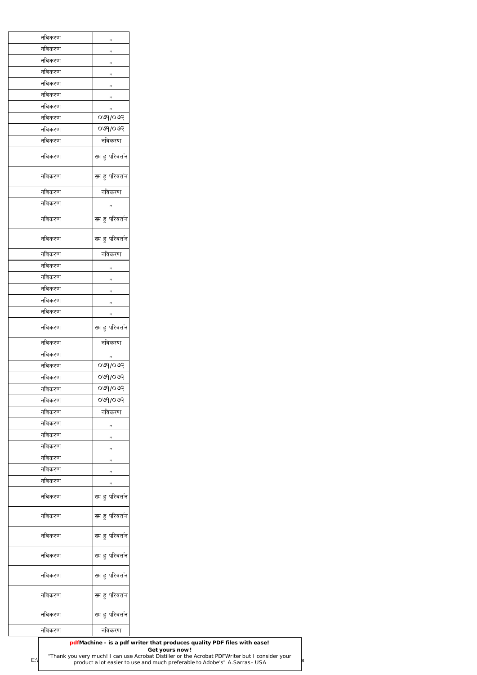| नविकरण | ,,                            |
|--------|-------------------------------|
| नविकरण | ,,                            |
| नविकरण | ,,                            |
| नविकरण | ,,                            |
| नविकरण | ,,                            |
| नविकरण | ,,                            |
| नविकरण | ,,                            |
| नविकरण | ०७१/०७२                       |
| नविकरण | ०७१/०७२                       |
| नविकरण | नविकरण                        |
| नविकरण | स्म हु परिवर्तन               |
| नविकरण | स्म हु परिव <b>र्त</b> न      |
| नविकरण | नविकरण                        |
| नविकरण | ,,                            |
| नविकरण | स्म हु परिवर्तन               |
| नविकरण | स्म हु परिवर्तन               |
| नविकरण | नविकरण                        |
| नविकरण | ,,                            |
| नविकरण | ,,                            |
| नविकरण | ,,                            |
| नविकरण | ,,                            |
| नविकरण | ,,                            |
| नविकरण | स्म हु परिवर्तन               |
| नविकरण | नविकरण                        |
| नविकरण | ,,                            |
| नविकरण | ०७१/०७२                       |
| नविकरण | ०७१/०७२                       |
| नविकरण | 000005                        |
| नविकरण | 009/009                       |
| नविकरण | नविकरण                        |
| नविकरण |                               |
| नविकरण | ,,                            |
|        | ,,                            |
| नविकरण | ,,                            |
| नविकरण | ,,                            |
| नविकरण | ,,                            |
| नविकरण | ,,                            |
| नविकरण | स्म हु परिवर्तन               |
| नविकरण | स्म हु परिवर्तन               |
| नविकरण | स्म हु परिवर्तन               |
| नविकरण | स्म हु परिवर्तन               |
| नविकरण | <mark>स</mark> ्म हु परिवर्तन |
| नविकरण | स्म हु परिवर्तन               |
| नविकरण | स्म हु परिव <b>र्त</b> न      |
| नविकरण | नविकरण                        |

|               | pdfMachine - is a pdf writer that produces quality PDF files with ease!                                                                                                       |  |
|---------------|-------------------------------------------------------------------------------------------------------------------------------------------------------------------------------|--|
|               | Get yours now!                                                                                                                                                                |  |
| $E:\setminus$ | "Thank you very much! I can use Acrobat Distiller or the Acrobat PDFWriter but I consider your<br>product a lot easier to use and much preferable to Adobe's" A. Sarras - USA |  |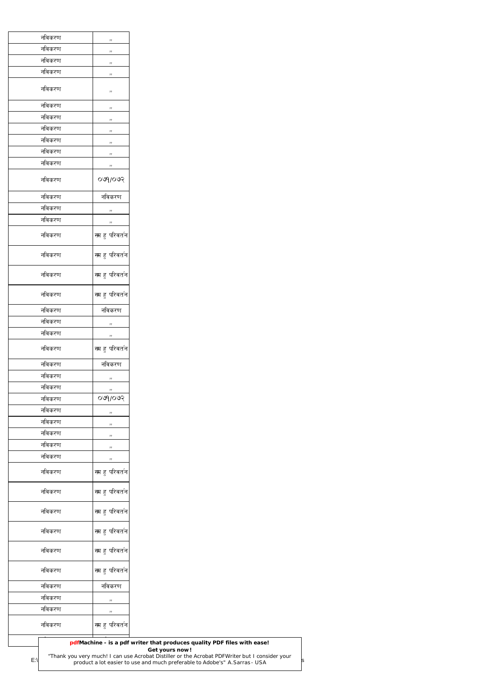| नविकरण | $\eta$              |
|--------|---------------------|
| नविकरण | $\,$ , $\,$         |
| नविकरण | ,,                  |
| नविकरण | , ,                 |
| नविकरण |                     |
|        | $\,$ , $\,$         |
| नविकरण | $\eta$              |
| नविकरण | ,,                  |
| नविकरण | ,,                  |
| नविकरण | ,,                  |
| नविकरण | $\,$ , $\,$         |
| नविकरण | $\eta$              |
| नविकरण | 500                 |
|        |                     |
| नविकरण | नविकरण              |
| नविकरण | ,,                  |
| नविकरण | $\eta$              |
| नविकरण | स्म हु परिवर्तन     |
|        |                     |
| नविकरण | स्म हु परिवर्तन     |
| नविकरण | स्म हु परिवर्तन     |
|        |                     |
| नविकरण | स्म हु परिवर्तन     |
| नविकरण | नविकरण              |
| नविकरण |                     |
| नविकरण | $\,$ , $\,$         |
|        | $\boldsymbol{\eta}$ |
| नविकरण | स्म हु परिवर्तन     |
| नविकरण | नविकरण              |
| नविकरण | ,,                  |
| नविकरण | $\,$ , $\,$         |
| नविकरण | 009/009             |
| नविकरण | $\,$ , $\,$         |
| नविकरण | $\,$ , $\,$         |
| नविकरण | $\,$ , $\,$         |
| नविकरण | ,,                  |
| नविकरण | $\eta$              |
|        |                     |
| नविकरण | स्म हु परिवर्तन     |
| नविकरण | स्म हु परिवर्तन     |
|        |                     |
| नविकरण | स्म हु परिवर्तन     |
|        |                     |
| नविकरण | स्म हु परिवर्तन     |
| नविकरण |                     |
|        | स्म हु परिवर्तन     |
| नविकरण | स्म हु परिवर्तन     |
|        |                     |
| नविकरण | नविकरण              |
| नविकरण | ,,                  |
| नविकरण | $\,$ , $\,$         |
|        |                     |
| नविकरण | स्म हु परिवर्तन     |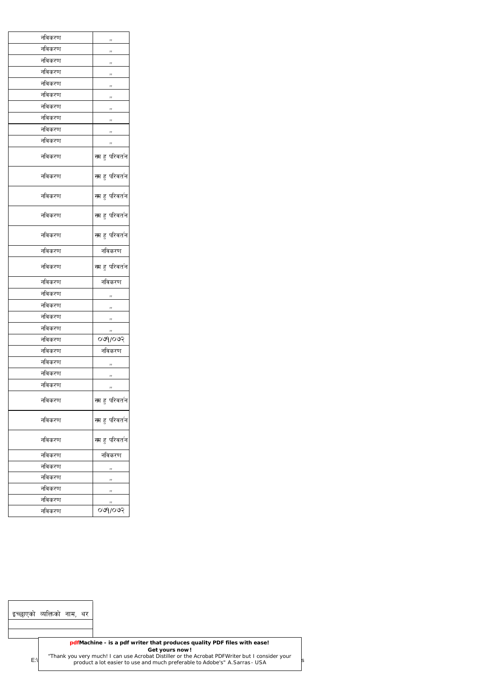| नविकरण | ,,                       |
|--------|--------------------------|
| नविकरण | ,,                       |
| नविकरण | ,,                       |
| नविकरण | ,,                       |
| नविकरण | ,,                       |
| नविकरण | ,,                       |
| नविकरण | ,,                       |
| नविकरण | ,,                       |
| नविकरण | ,,                       |
| नविकरण | ,,                       |
| नविकरण | स्म हु परिवर्तन          |
| नविकरण | स्म हु परिवर्तन          |
| नविकरण | स्म हु परिवर्तन          |
| नविकरण | स्म हु परिवर्तन          |
| नविकरण | स्म हु परिवर्तन          |
| नविकरण | नविकरण                   |
| नविकरण | स्म हु परिवर्तन          |
| नविकरण | नविकरण                   |
| नविकरण | ,,                       |
| नविकरण | ,,                       |
| नविकरण | ,,                       |
| नविकरण | ,,                       |
| नविकरण | ०७१/०७२                  |
| नविकरण | नविकरण                   |
| नविकरण | ,,                       |
| नविकरण | ,,                       |
| नविकरण | ,,                       |
| नविकरण | स्म हु परिवर्तन          |
| नविकरण | स्म हु परिवर्तन          |
| नविकरण | स्म हु परिव <b>र्त</b> न |
| नविकरण | नविकरण                   |
| नविकरण | ,,                       |
| नविकरण | ,,                       |
| नविकरण | ,,                       |
| नविकरण | ,,                       |
| नविकरण | 009/009                  |